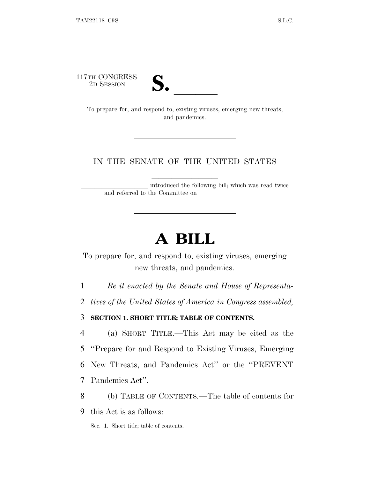117TH CONGRESS



TH CONGRESS<br>
2D SESSION<br>
To prepare for, and respond to, existing viruses, emerging new threats, and pandemics.

# IN THE SENATE OF THE UNITED STATES

introduced the following bill; which was read twice and referred to the Committee on

# **A BILL**

To prepare for, and respond to, existing viruses, emerging new threats, and pandemics.

1 *Be it enacted by the Senate and House of Representa-*

2 *tives of the United States of America in Congress assembled,*

3 **SECTION 1. SHORT TITLE; TABLE OF CONTENTS.**

 (a) SHORT TITLE.—This Act may be cited as the ''Prepare for and Respond to Existing Viruses, Emerging New Threats, and Pandemics Act'' or the ''PREVENT Pandemics Act''.

8 (b) TABLE OF CONTENTS.—The table of contents for

9 this Act is as follows:

Sec. 1. Short title; table of contents.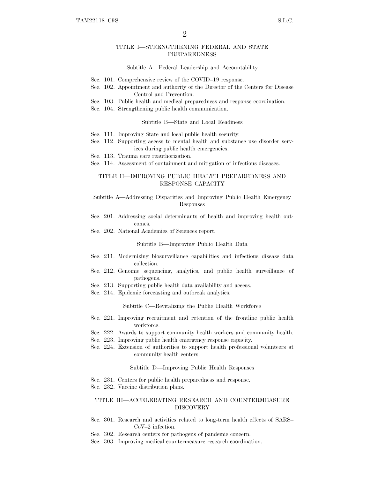### TITLE I—STRENGTHENING FEDERAL AND STATE PREPAREDNESS

#### Subtitle A—Federal Leadership and Accountability

- Sec. 101. Comprehensive review of the COVID–19 response.
- Sec. 102. Appointment and authority of the Director of the Centers for Disease Control and Prevention.
- Sec. 103. Public health and medical preparedness and response coordination.
- Sec. 104. Strengthening public health communication.

#### Subtitle B—State and Local Readiness

- Sec. 111. Improving State and local public health security.
- Sec. 112. Supporting access to mental health and substance use disorder services during public health emergencies.
- Sec. 113. Trauma care reauthorization.
- Sec. 114. Assessment of containment and mitigation of infectious diseases.

# TITLE II—IMPROVING PUBLIC HEALTH PREPAREDNESS AND RESPONSE CAPACITY

### Subtitle A—Addressing Disparities and Improving Public Health Emergency Responses

- Sec. 201. Addressing social determinants of health and improving health outcomes.
- Sec. 202. National Academies of Sciences report.

#### Subtitle B—Improving Public Health Data

- Sec. 211. Modernizing biosurveillance capabilities and infectious disease data collection.
- Sec. 212. Genomic sequencing, analytics, and public health surveillance of pathogens.
- Sec. 213. Supporting public health data availability and access.
- Sec. 214. Epidemic forecasting and outbreak analytics.

#### Subtitle C—Revitalizing the Public Health Workforce

- Sec. 221. Improving recruitment and retention of the frontline public health workforce.
- Sec. 222. Awards to support community health workers and community health.
- Sec. 223. Improving public health emergency response capacity.
- Sec. 224. Extension of authorities to support health professional volunteers at community health centers.

#### Subtitle D—Improving Public Health Responses

- Sec. 231. Centers for public health preparedness and response.
- Sec. 232. Vaccine distribution plans.

# TITLE III—ACCELERATING RESEARCH AND COUNTERMEASURE DISCOVERY

- Sec. 301. Research and activities related to long-term health effects of SARS– CoV–2 infection.
- Sec. 302. Research centers for pathogens of pandemic concern.
- Sec. 303. Improving medical countermeasure research coordination.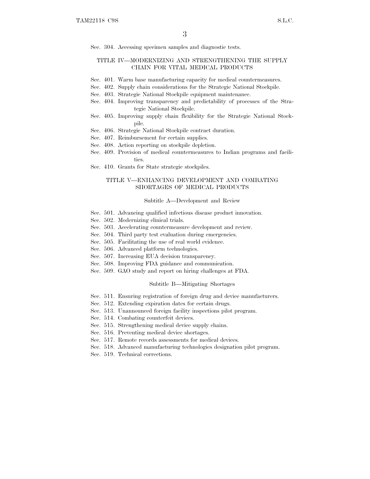Sec. 304. Accessing specimen samples and diagnostic tests.

# TITLE IV—MODERNIZING AND STRENGTHENING THE SUPPLY CHAIN FOR VITAL MEDICAL PRODUCTS

- Sec. 401. Warm base manufacturing capacity for medical countermeasures.
- Sec. 402. Supply chain considerations for the Strategic National Stockpile.
- Sec. 403. Strategic National Stockpile equipment maintenance.
- Sec. 404. Improving transparency and predictability of processes of the Strategic National Stockpile.
- Sec. 405. Improving supply chain flexibility for the Strategic National Stockpile.
- Sec. 406. Strategic National Stockpile contract duration.
- Sec. 407. Reimbursement for certain supplies.
- Sec. 408. Action reporting on stockpile depletion.
- Sec. 409. Provision of medical countermeasures to Indian programs and facilities.
- Sec. 410. Grants for State strategic stockpiles.

# TITLE V—ENHANCING DEVELOPMENT AND COMBATING SHORTAGES OF MEDICAL PRODUCTS

#### Subtitle A—Development and Review

- Sec. 501. Advancing qualified infectious disease product innovation.
- Sec. 502. Modernizing clinical trials.
- Sec. 503. Accelerating countermeasure development and review.
- Sec. 504. Third party test evaluation during emergencies.
- Sec. 505. Facilitating the use of real world evidence.
- Sec. 506. Advanced platform technologies.
- Sec. 507. Increasing EUA decision transparency.
- Sec. 508. Improving FDA guidance and communication.
- Sec. 509. GAO study and report on hiring challenges at FDA.

#### Subtitle B—Mitigating Shortages

- Sec. 511. Ensuring registration of foreign drug and device manufacturers.
- Sec. 512. Extending expiration dates for certain drugs.
- Sec. 513. Unannounced foreign facility inspections pilot program.
- Sec. 514. Combating counterfeit devices.
- Sec. 515. Strengthening medical device supply chains.
- Sec. 516. Preventing medical device shortages.
- Sec. 517. Remote records assessments for medical devices.
- Sec. 518. Advanced manufacturing technologies designation pilot program.
- Sec. 519. Technical corrections.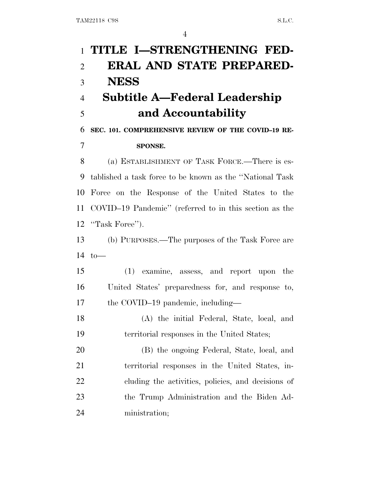# **TITLE I—STRENGTHENING FED- ERAL AND STATE PREPARED- NESS Subtitle A—Federal Leadership and Accountability SEC. 101. COMPREHENSIVE REVIEW OF THE COVID–19 RE- SPONSE.** (a) ESTABLISHMENT OF TASK FORCE.—There is es- tablished a task force to be known as the ''National Task Force on the Response of the United States to the COVID–19 Pandemic'' (referred to in this section as the 12 "Task Force"). (b) PURPOSES.—The purposes of the Task Force are to— (1) examine, assess, and report upon the United States' preparedness for, and response to, 17 the COVID–19 pandemic, including— (A) the initial Federal, State, local, and territorial responses in the United States; (B) the ongoing Federal, State, local, and territorial responses in the United States, in- cluding the activities, policies, and decisions of the Trump Administration and the Biden Ad-ministration;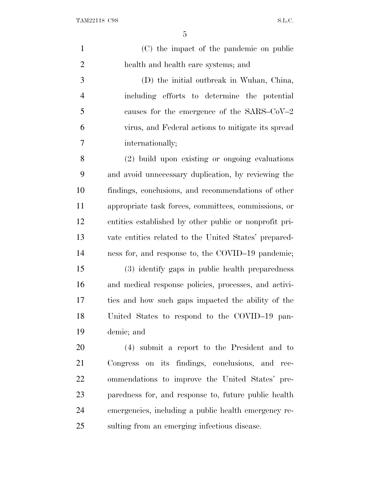(C) the impact of the pandemic on public health and health care systems; and (D) the initial outbreak in Wuhan, China, including efforts to determine the potential causes for the emergence of the SARS–CoV–2 virus, and Federal actions to mitigate its spread internationally; (2) build upon existing or ongoing evaluations and avoid unnecessary duplication, by reviewing the findings, conclusions, and recommendations of other

 appropriate task forces, committees, commissions, or entities established by other public or nonprofit pri- vate entities related to the United States' prepared-ness for, and response to, the COVID–19 pandemic;

 (3) identify gaps in public health preparedness and medical response policies, processes, and activi- ties and how such gaps impacted the ability of the United States to respond to the COVID–19 pan-demic; and

 (4) submit a report to the President and to Congress on its findings, conclusions, and rec- ommendations to improve the United States' pre- paredness for, and response to, future public health emergencies, including a public health emergency re-sulting from an emerging infectious disease.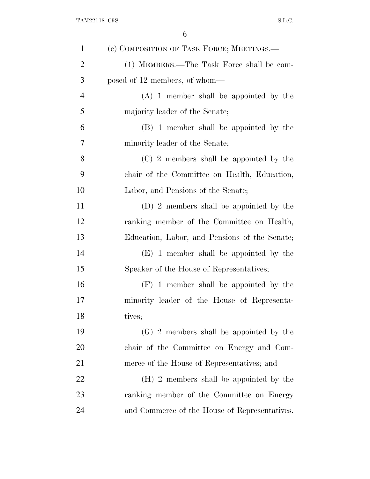| $\mathbf{1}$   | (c) COMPOSITION OF TASK FORCE; MEETINGS.—     |
|----------------|-----------------------------------------------|
| $\overline{2}$ | (1) MEMBERS.—The Task Force shall be com-     |
| 3              | posed of 12 members, of whom—                 |
| 4              | $(A)$ 1 member shall be appointed by the      |
| 5              | majority leader of the Senate;                |
| 6              | (B) 1 member shall be appointed by the        |
| 7              | minority leader of the Senate;                |
| 8              | (C) 2 members shall be appointed by the       |
| 9              | chair of the Committee on Health, Education,  |
| 10             | Labor, and Pensions of the Senate;            |
| 11             | (D) 2 members shall be appointed by the       |
| 12             | ranking member of the Committee on Health,    |
| 13             | Education, Labor, and Pensions of the Senate; |
| 14             | (E) 1 member shall be appointed by the        |
| 15             | Speaker of the House of Representatives;      |
| 16             | $(F)$ 1 member shall be appointed by the      |
| 17             | minority leader of the House of Representa-   |
| 18             | tives;                                        |
| 19             | $(G)$ 2 members shall be appointed by the     |
| 20             | chair of the Committee on Energy and Com-     |
| 21             | merce of the House of Representatives; and    |
| <u>22</u>      | (H) 2 members shall be appointed by the       |
| 23             | ranking member of the Committee on Energy     |
| 24             | and Commerce of the House of Representatives. |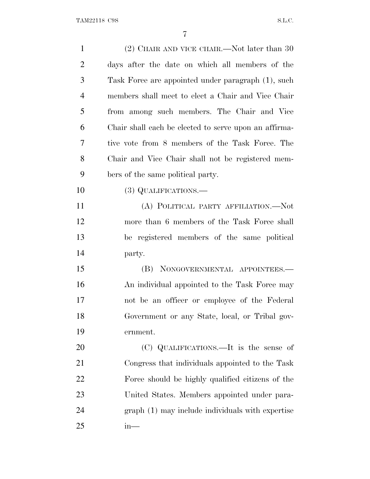| $\mathbf{1}$   | $(2)$ CHAIR AND VICE CHAIR.—Not later than 30         |
|----------------|-------------------------------------------------------|
| $\overline{2}$ | days after the date on which all members of the       |
| 3              | Task Force are appointed under paragraph (1), such    |
| $\overline{4}$ | members shall meet to elect a Chair and Vice Chair    |
| 5              | from among such members. The Chair and Vice           |
| 6              | Chair shall each be elected to serve upon an affirma- |
| 7              | tive vote from 8 members of the Task Force. The       |
| 8              | Chair and Vice Chair shall not be registered mem-     |
| 9              | bers of the same political party.                     |
| 10             | (3) QUALIFICATIONS.—                                  |
| 11             | (A) POLITICAL PARTY AFFILIATION.—Not                  |
| 12             | more than 6 members of the Task Force shall           |
| 13             | be registered members of the same political           |
| 14             | party.                                                |
| 15             | (B) NONGOVERNMENTAL APPOINTEES.—                      |
| 16             | An individual appointed to the Task Force may         |
| 17             | not be an officer or employee of the Federal          |
| 18             | Government or any State, local, or Tribal gov-        |
| 19             | ernment.                                              |
| 20             | (C) QUALIFICATIONS.—It is the sense of                |
| 21             | Congress that individuals appointed to the Task       |
| 22             | Force should be highly qualified citizens of the      |
| 23             | United States. Members appointed under para-          |
| 24             | graph (1) may include individuals with expertise      |
| 25             | $in-$                                                 |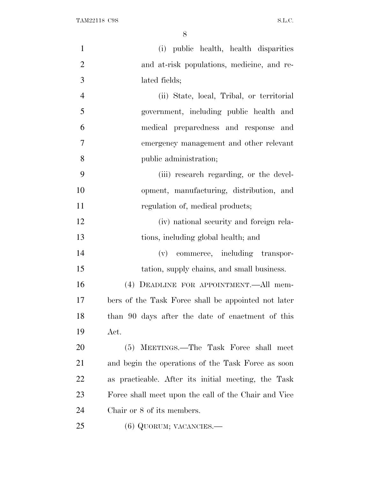| $\mathbf{1}$   | (i) public health, health disparities                |
|----------------|------------------------------------------------------|
| $\overline{2}$ | and at-risk populations, medicine, and re-           |
| 3              | lated fields;                                        |
| $\overline{4}$ | (ii) State, local, Tribal, or territorial            |
| 5              | government, including public health and              |
| 6              | medical preparedness and response and                |
| $\overline{7}$ | emergency management and other relevant              |
| 8              | public administration;                               |
| 9              | (iii) research regarding, or the devel-              |
| 10             | opment, manufacturing, distribution, and             |
| 11             | regulation of, medical products;                     |
| 12             | (iv) national security and foreign rela-             |
| 13             | tions, including global health; and                  |
| 14             | (v) commerce, including transpor-                    |
| 15             | tation, supply chains, and small business.           |
| 16             | (4) DEADLINE FOR APPOINTMENT.—All mem-               |
| 17             | bers of the Task Force shall be appointed not later  |
| 18             | than 90 days after the date of enactment of this     |
| 19             | Act.                                                 |
| 20             | (5) MEETINGS.—The Task Force shall meet              |
| 21             | and begin the operations of the Task Force as soon   |
| <u>22</u>      | as practicable. After its initial meeting, the Task  |
| 23             | Force shall meet upon the call of the Chair and Vice |
| 24             | Chair or 8 of its members.                           |
| 25             | $(6)$ QUORUM; VACANCIES.—                            |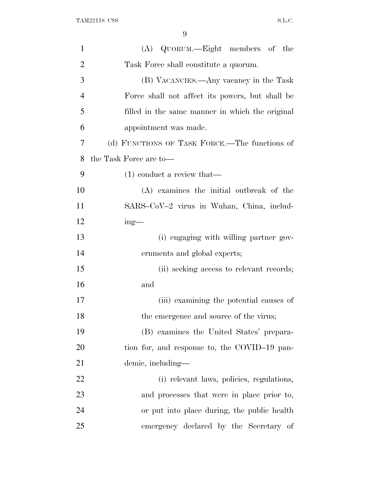| 1              | (A) QUORUM.—Eight members of the                |
|----------------|-------------------------------------------------|
| $\overline{2}$ | Task Force shall constitute a quorum.           |
| 3              | (B) VACANCIES.—Any vacancy in the Task          |
| $\overline{4}$ | Force shall not affect its powers, but shall be |
| 5              | filled in the same manner in which the original |
| 6              | appointment was made.                           |
| $\overline{7}$ | (d) FUNCTIONS OF TASK FORCE.—The functions of   |
| 8              | the Task Force are to-                          |
| 9              | $(1)$ conduct a review that—                    |
| 10             | (A) examines the initial outbreak of the        |
| 11             | SARS-CoV-2 virus in Wuhan, China, includ-       |
| 12             | $ing$ —                                         |
| 13             | (i) engaging with willing partner gov-          |
| 14             | ernments and global experts;                    |
| 15             | (ii) seeking access to relevant records;        |
| 16             | and                                             |
| 17             | (iii) examining the potential causes of         |
| 18             | the emergence and source of the virus;          |
| 19             | (B) examines the United States' prepara-        |
| <b>20</b>      | tion for, and response to, the COVID-19 pan-    |
| 21             | demic, including—                               |
| 22             | (i) relevant laws, policies, regulations,       |
| 23             | and processes that were in place prior to,      |
| 24             | or put into place during, the public health     |
| 25             | emergency declared by the Secretary of          |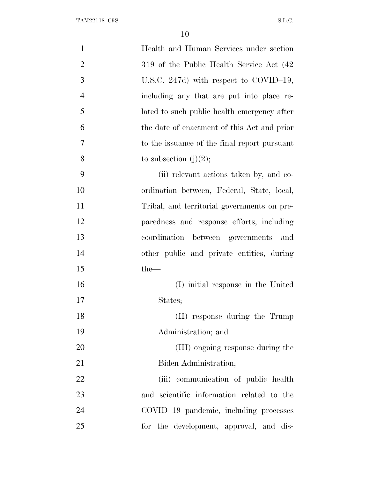| $\mathbf{1}$   | Health and Human Services under section      |
|----------------|----------------------------------------------|
| $\overline{2}$ | 319 of the Public Health Service Act (42)    |
| 3              | U.S.C. 247d) with respect to COVID-19,       |
| $\overline{4}$ | including any that are put into place re-    |
| 5              | lated to such public health emergency after  |
| 6              | the date of enactment of this Act and prior  |
| 7              | to the issuance of the final report pursuant |
| 8              | to subsection $(j)(2)$ ;                     |
| 9              | (ii) relevant actions taken by, and co-      |
| 10             | ordination between, Federal, State, local,   |
| 11             | Tribal, and territorial governments on pre-  |
| 12             | paredness and response efforts, including    |
| 13             | coordination between governments and         |
| 14             | other public and private entities, during    |
| 15             | $the-$                                       |
| 16             | (I) initial response in the United           |
| 17             | States;                                      |
| 18             | (II) response during the Trump               |
| 19             | Administration; and                          |
| 20             | (III) ongoing response during the            |
| 21             | Biden Administration;                        |
| 22             | (iii) communication of public health         |
| 23             | and scientific information related to the    |
| 24             | COVID-19 pandemic, including processes       |
| 25             | for the development, approval, and dis-      |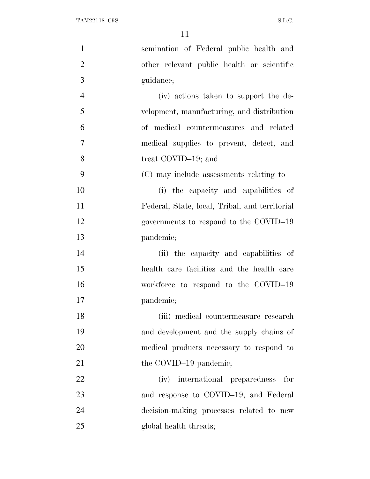| $\mathbf{1}$   | semination of Federal public health and        |
|----------------|------------------------------------------------|
| $\overline{2}$ | other relevant public health or scientific     |
| 3              | guidance;                                      |
| $\overline{4}$ | (iv) actions taken to support the de-          |
| 5              | velopment, manufacturing, and distribution     |
| 6              | of medical countermeasures and related         |
| $\tau$         | medical supplies to prevent, detect, and       |
| 8              | treat COVID-19; and                            |
| 9              | (C) may include assessments relating to-       |
| 10             | (i) the capacity and capabilities of           |
| 11             | Federal, State, local, Tribal, and territorial |
| 12             | governments to respond to the COVID-19         |
| 13             | pandemic;                                      |
| 14             | (ii) the capacity and capabilities of          |
| 15             | health care facilities and the health care     |
| 16             | workforce to respond to the COVID-19           |
| 17             | pandemic;                                      |
| 18             | (iii) medical countermeasure research          |
| 19             | and development and the supply chains of       |
| 20             | medical products necessary to respond to       |
| 21             | the COVID-19 pandemic;                         |
| 22             | (iv) international preparedness for            |
| 23             | and response to COVID-19, and Federal          |
| 24             | decision-making processes related to new       |
| 25             | global health threats;                         |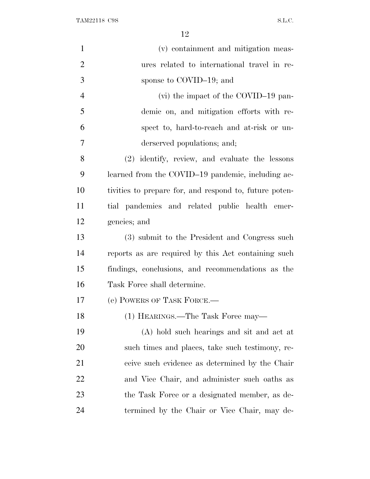| $\mathbf{1}$   | (v) containment and mitigation meas-                   |
|----------------|--------------------------------------------------------|
| $\overline{2}$ | ures related to international travel in re-            |
| 3              | sponse to COVID-19; and                                |
| $\overline{4}$ | (vi) the impact of the COVID-19 pan-                   |
| 5              | demic on, and mitigation efforts with re-              |
| 6              | spect to, hard-to-reach and at-risk or un-             |
| 7              | derserved populations; and;                            |
| 8              | (2) identify, review, and evaluate the lessons         |
| 9              | learned from the COVID-19 pandemic, including ac-      |
| 10             | tivities to prepare for, and respond to, future poten- |
| 11             | tial pandemics and related public health emer-         |
| 12             | gencies; and                                           |
| 13             | (3) submit to the President and Congress such          |
| 14             | reports as are required by this Act containing such    |
| 15             | findings, conclusions, and recommendations as the      |
| 16             | Task Force shall determine.                            |
| 17             | (e) POWERS OF TASK FORCE.—                             |
| 18             | (1) HEARINGS.—The Task Force may—                      |
| 19             | (A) hold such hearings and sit and act at              |
| 20             | such times and places, take such testimony, re-        |
| 21             | ceive such evidence as determined by the Chair         |
| 22             | and Vice Chair, and administer such oaths as           |
| 23             | the Task Force or a designated member, as de-          |
| 24             | termined by the Chair or Vice Chair, may de-           |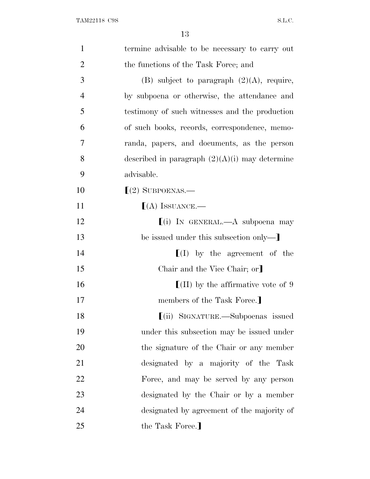| $\mathbf{1}$   | termine advisable to be necessary to carry out            |
|----------------|-----------------------------------------------------------|
| $\overline{2}$ | the functions of the Task Force; and                      |
| 3              | (B) subject to paragraph $(2)(A)$ , require,              |
| $\overline{4}$ | by subpoena or otherwise, the attendance and              |
| 5              | testimony of such witnesses and the production            |
| 6              | of such books, records, correspondence, memo-             |
| 7              | randa, papers, and documents, as the person               |
| 8              | described in paragraph $(2)(A)(i)$ may determine          |
| 9              | advisable.                                                |
| 10             | $(2)$ SUBPOENAS.—                                         |
| 11             | $(A)$ ISSUANCE.—                                          |
| 12             | $(i)$ In GENERAL.—A subpoena may                          |
| 13             | be issued under this subsection only—                     |
| 14             | $\llbracket$ (I) by the agreement of the                  |
| 15             | Chair and the Vice Chair; or                              |
| 16             | $\left[ \text{(II)} \right]$ by the affirmative vote of 9 |
| 17             | members of the Task Force.                                |
| 18             | $\lfloor$ (ii) SIGNATURE.—Subpoenas issued                |
| 19             | under this subsection may be issued under                 |
| 20             | the signature of the Chair or any member                  |
| 21             | designated by a majority of the Task                      |
| 22             | Force, and may be served by any person                    |
| 23             | designated by the Chair or by a member                    |
| 24             | designated by agreement of the majority of                |
| 25             | the Task Force.]                                          |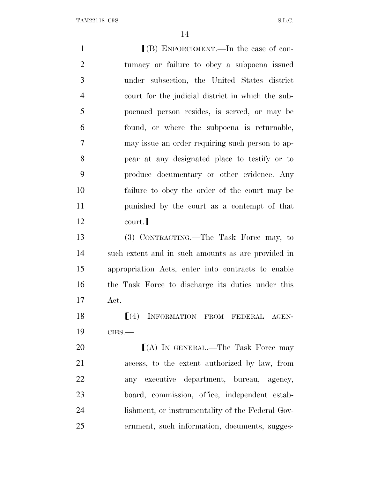**I**(B) ENFORCEMENT.—In the case of con- tumacy or failure to obey a subpoena issued under subsection, the United States district court for the judicial district in which the sub- poenaed person resides, is served, or may be found, or where the subpoena is returnable, may issue an order requiring such person to ap- pear at any designated place to testify or to produce documentary or other evidence. Any failure to obey the order of the court may be punished by the court as a contempt of that 12 court. (3) CONTRACTING.—The Task Force may, to such extent and in such amounts as are provided in appropriation Acts, enter into contracts to enable the Task Force to discharge its duties under this Act.  $\left[ (4) \right]$  INFORMATION FROM FEDERAL AGEN-**CIES.— IN GENERAL.—The Task Force may**  access, to the extent authorized by law, from any executive department, bureau, agency, board, commission, office, independent estab- lishment, or instrumentality of the Federal Gov-ernment, such information, documents, sugges-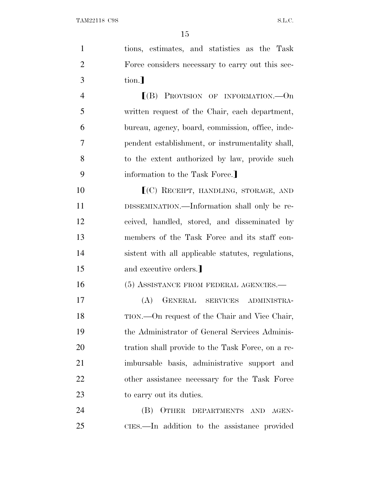| $\mathbf{1}$   | tions, estimates, and statistics as the Task       |
|----------------|----------------------------------------------------|
| $\overline{2}$ | Force considers necessary to carry out this sec-   |
| 3              | tion.]                                             |
| $\overline{4}$ | $[(B)$ PROVISION OF INFORMATION. - On              |
| 5              | written request of the Chair, each department,     |
| 6              | bureau, agency, board, commission, office, inde-   |
| 7              | pendent establishment, or instrumentality shall,   |
| 8              | to the extent authorized by law, provide such      |
| 9              | information to the Task Force.]                    |
| 10             | [(C) RECEIPT, HANDLING, STORAGE, AND               |
| 11             | DISSEMINATION.—Information shall only be re-       |
| 12             | ceived, handled, stored, and disseminated by       |
| 13             | members of the Task Force and its staff con-       |
| 14             | sistent with all applicable statutes, regulations, |
| 15             | and executive orders.]                             |
| 16             | (5) ASSISTANCE FROM FEDERAL AGENCIES.-             |
| 17             | GENERAL SERVICES ADMINISTRA-<br>(A)                |
| 18             | TION.—On request of the Chair and Vice Chair,      |
| 19             | the Administrator of General Services Adminis-     |
| 20             | tration shall provide to the Task Force, on a re-  |
| 21             | imbursable basis, administrative support and       |
| 22             | other assistance necessary for the Task Force      |
| 23             | to carry out its duties.                           |
| 24             | OTHER DEPARTMENTS AND AGEN-<br>(B)                 |
| 25             | CIES.—In addition to the assistance provided       |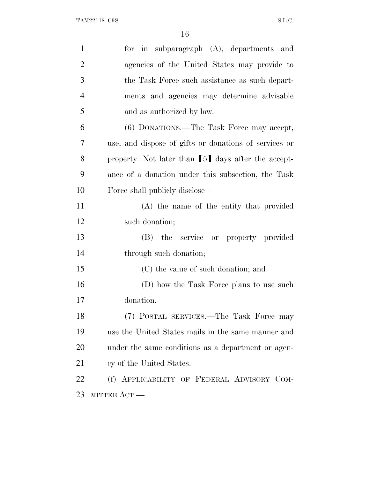| $\mathbf{1}$   | for in subparagraph $(A)$ , departments and           |
|----------------|-------------------------------------------------------|
| $\overline{2}$ | agencies of the United States may provide to          |
| 3              | the Task Force such assistance as such depart-        |
| $\overline{4}$ | ments and agencies may determine advisable            |
| 5              | and as authorized by law.                             |
| 6              | (6) DONATIONS.—The Task Force may accept,             |
| 7              | use, and dispose of gifts or donations of services or |
| 8              | property. Not later than [5] days after the accept-   |
| 9              | ance of a donation under this subsection, the Task    |
| 10             | Force shall publicly disclose—                        |
| 11             | (A) the name of the entity that provided              |
| 12             | such donation;                                        |
| 13             | (B) the service or property provided                  |
| 14             | through such donation;                                |
| 15             | (C) the value of such donation; and                   |
| 16             | (D) how the Task Force plans to use such              |
| 17             | donation.                                             |
| 18             | (7) POSTAL SERVICES.—The Task Force may               |
| 19             | use the United States mails in the same manner and    |
| 20             | under the same conditions as a department or agen-    |
| 21             | cy of the United States.                              |
| 22             | (f) APPLICABILITY OF FEDERAL ADVISORY COM-            |
| 23             | MITTEE ACT.                                           |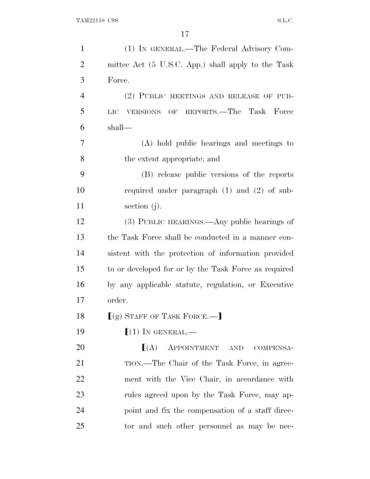| $\mathbf{1}$   | (1) IN GENERAL.—The Federal Advisory Com-            |
|----------------|------------------------------------------------------|
| $\overline{2}$ | mittee Act (5 U.S.C. App.) shall apply to the Task   |
| 3              | Force.                                               |
| $\overline{4}$ | (2) PUBLIC MEETINGS AND RELEASE OF PUB-              |
| 5              | VERSIONS OF REPORTS.—The Task Force<br>LIC           |
| 6              | shall—                                               |
| 7              | (A) hold public hearings and meetings to             |
| 8              | the extent appropriate; and                          |
| 9              | (B) release public versions of the reports           |
| 10             | required under paragraph $(1)$ and $(2)$ of sub-     |
| 11             | section $(j)$ .                                      |
| 12             | (3) PUBLIC HEARINGS.—Any public hearings of          |
| 13             | the Task Force shall be conducted in a manner con-   |
| 14             | sistent with the protection of information provided  |
| 15             | to or developed for or by the Task Force as required |
| 16             | by any applicable statute, regulation, or Executive  |
| 17             | order.                                               |
| 18             | $(q)$ STAFF OF TASK FORCE.—]                         |
| 19             | $(1)$ IN GENERAL.—                                   |
| 20             | (A)<br>APPOINTMENT AND<br>COMPENSA-                  |
| 21             | TION.—The Chair of the Task Force, in agree-         |
| 22             | ment with the Vice Chair, in accordance with         |
| 23             | rules agreed upon by the Task Force, may ap-         |
| 24             | point and fix the compensation of a staff direc-     |
| 25             | tor and such other personnel as may be nec-          |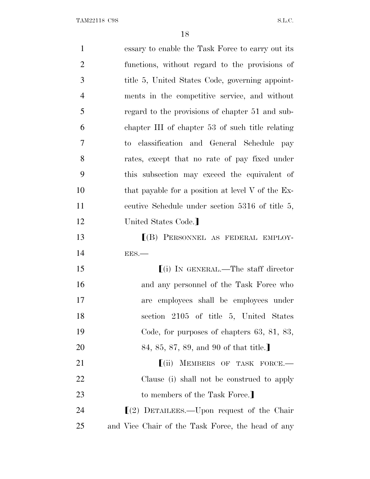| $\mathbf{1}$   | essary to enable the Task Force to carry out its  |
|----------------|---------------------------------------------------|
| $\overline{2}$ | functions, without regard to the provisions of    |
| 3              | title 5, United States Code, governing appoint-   |
| $\overline{4}$ | ments in the competitive service, and without     |
| 5              | regard to the provisions of chapter 51 and sub-   |
| 6              | chapter III of chapter 53 of such title relating  |
| $\overline{7}$ | to classification and General Schedule pay        |
| 8              | rates, except that no rate of pay fixed under     |
| 9              | this subsection may exceed the equivalent of      |
| 10             | that payable for a position at level V of the Ex- |
| 11             | ecutive Schedule under section 5316 of title 5,   |
| 12             | United States Code.                               |
| 13             | $(B)$ PERSONNEL AS FEDERAL EMPLOY-                |
| 14             | EES.                                              |
| 15             | $(i)$ In GENERAL.—The staff director              |
| 16             | and any personnel of the Task Force who           |
| 17             | employees shall be employees under<br>are         |
| 18             | section 2105 of title 5, United States            |
| 19             | Code, for purposes of chapters $63, 81, 83,$      |
| 20             | 84, 85, 87, 89, and 90 of that title.             |
| 21             | $(iii)$ MEMBERS OF TASK FORCE.                    |
| 22             | Clause (i) shall not be construed to apply        |
| 23             | to members of the Task Force.                     |
| 24             | $\lfloor(2)$ DETAILEES.—Upon request of the Chair |
| 25             | and Vice Chair of the Task Force, the head of any |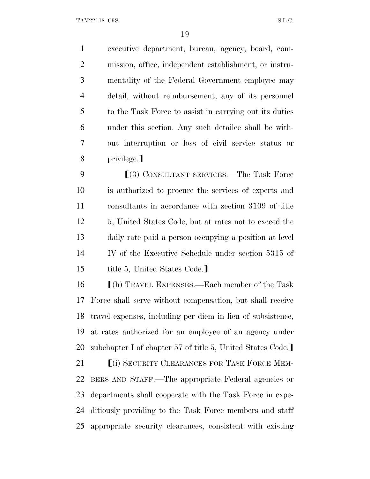executive department, bureau, agency, board, com- mission, office, independent establishment, or instru- mentality of the Federal Government employee may detail, without reimbursement, any of its personnel to the Task Force to assist in carrying out its duties under this section. Any such detailee shall be with- out interruption or loss of civil service status or 8 privilege.

**Secondary SERVICES.**—The Task Force is authorized to procure the services of experts and consultants in accordance with section 3109 of title 5, United States Code, but at rates not to exceed the daily rate paid a person occupying a position at level IV of the Executive Schedule under section 5315 of 15 title 5, United States Code.]

 $\Gamma$ (h) TRAVEL EXPENSES.—Each member of the Task Force shall serve without compensation, but shall receive travel expenses, including per diem in lieu of subsistence, at rates authorized for an employee of an agency under 20 subchapter I of chapter 57 of title 5, United States Code.

**Fig. 1** (i) SECURITY CLEARANCES FOR TASK FORCE MEM- BERS AND STAFF.—The appropriate Federal agencies or departments shall cooperate with the Task Force in expe- ditiously providing to the Task Force members and staff appropriate security clearances, consistent with existing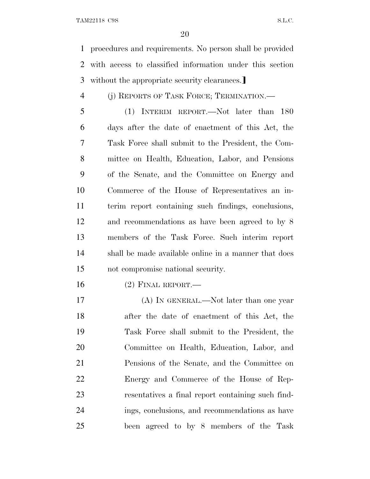procedures and requirements. No person shall be provided with access to classified information under this section 3 without the appropriate security clearances.

(j) REPORTS OF TASK FORCE; TERMINATION.—

 (1) INTERIM REPORT.—Not later than 180 days after the date of enactment of this Act, the Task Force shall submit to the President, the Com- mittee on Health, Education, Labor, and Pensions of the Senate, and the Committee on Energy and Commerce of the House of Representatives an in- terim report containing such findings, conclusions, and recommendations as have been agreed to by 8 members of the Task Force. Such interim report shall be made available online in a manner that does not compromise national security.

(2) FINAL REPORT.—

17 (A) IN GENERAL.—Not later than one year after the date of enactment of this Act, the Task Force shall submit to the President, the Committee on Health, Education, Labor, and Pensions of the Senate, and the Committee on Energy and Commerce of the House of Rep- resentatives a final report containing such find- ings, conclusions, and recommendations as have been agreed to by 8 members of the Task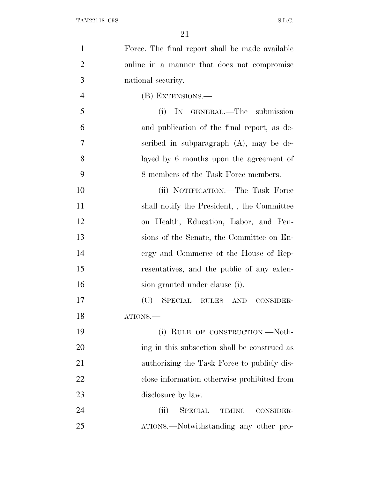| $\mathbf{1}$   | Force. The final report shall be made available |
|----------------|-------------------------------------------------|
| $\overline{2}$ | online in a manner that does not compromise     |
| 3              | national security.                              |
| $\overline{4}$ | (B) EXTENSIONS.—                                |
| 5              | IN GENERAL.—The submission<br>(i)               |
| 6              | and publication of the final report, as de-     |
| 7              | scribed in subparagraph $(A)$ , may be de-      |
| 8              | layed by 6 months upon the agreement of         |
| 9              | 8 members of the Task Force members.            |
| 10             | (ii) NOTIFICATION.—The Task Force               |
| 11             | shall notify the President, , the Committee     |
| 12             | on Health, Education, Labor, and Pen-           |
| 13             | sions of the Senate, the Committee on En-       |
| 14             | ergy and Commerce of the House of Rep-          |
| 15             | resentatives, and the public of any exten-      |
| 16             | sion granted under clause (i).                  |
| 17             | SPECIAL RULES AND<br>(C)<br>CONSIDER-           |
| 18             | ATIONS.                                         |
| 19             | (i) RULE OF CONSTRUCTION.—Noth-                 |
| 20             | ing in this subsection shall be construed as    |
| 21             | authorizing the Task Force to publicly dis-     |
| 22             | close information otherwise prohibited from     |
| 23             | disclosure by law.                              |
| 24             | SPECIAL TIMING<br>(ii)<br>CONSIDER-             |
| 25             | ATIONS.—Notwithstanding any other pro-          |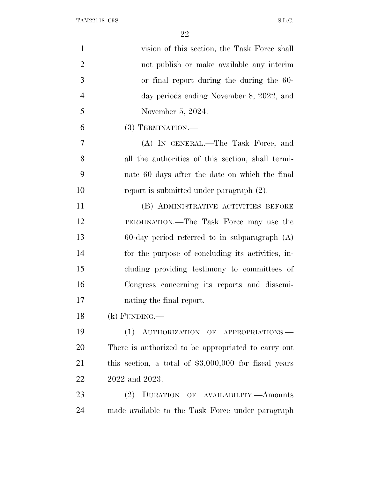| $\mathbf{1}$   | vision of this section, the Task Force shall           |
|----------------|--------------------------------------------------------|
| $\overline{2}$ | not publish or make available any interim              |
| 3              | or final report during the during the 60-              |
| $\overline{4}$ | day periods ending November 8, 2022, and               |
| 5              | November 5, 2024.                                      |
| 6              | $(3)$ TERMINATION.—                                    |
| 7              | (A) IN GENERAL.—The Task Force, and                    |
| 8              | all the authorities of this section, shall termi-      |
| 9              | nate 60 days after the date on which the final         |
| 10             | report is submitted under paragraph $(2)$ .            |
| 11             | (B) ADMINISTRATIVE ACTIVITIES BEFORE                   |
| 12             | TERMINATION.—The Task Force may use the                |
| 13             | $60$ -day period referred to in subparagraph $(A)$     |
| 14             | for the purpose of concluding its activities, in-      |
| 15             | cluding providing testimony to committees of           |
| 16             | Congress concerning its reports and dissemi-           |
| 17             | nating the final report.                               |
| 18             | $(k)$ FUNDING.—                                        |
| 19             | (1)<br>AUTHORIZATION OF APPROPRIATIONS.                |
| 20             | There is authorized to be appropriated to carry out    |
| 21             | this section, a total of $$3,000,000$ for fiscal years |
| 22             | 2022 and 2023.                                         |
| 23             | (2)<br>DURATION OF AVAILABILITY.—Amounts               |
| 24             | made available to the Task Force under paragraph       |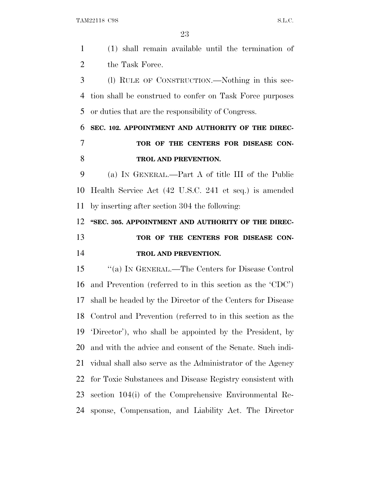(1) shall remain available until the termination of 2 the Task Force. (l) RULE OF CONSTRUCTION.—Nothing in this sec- tion shall be construed to confer on Task Force purposes or duties that are the responsibility of Congress. **SEC. 102. APPOINTMENT AND AUTHORITY OF THE DIREC- TOR OF THE CENTERS FOR DISEASE CON- TROL AND PREVENTION.** (a) I<sup>N</sup> GENERAL.—Part A of title III of the Public Health Service Act (42 U.S.C. 241 et seq.) is amended by inserting after section 304 the following: **''SEC. 305. APPOINTMENT AND AUTHORITY OF THE DIREC-TOR OF THE CENTERS FOR DISEASE CON- TROL AND PREVENTION.** ''(a) I<sup>N</sup> GENERAL.—The Centers for Disease Control and Prevention (referred to in this section as the 'CDC') shall be headed by the Director of the Centers for Disease

 and with the advice and consent of the Senate. Such indi- vidual shall also serve as the Administrator of the Agency for Toxic Substances and Disease Registry consistent with section 104(i) of the Comprehensive Environmental Re-

sponse, Compensation, and Liability Act. The Director

Control and Prevention (referred to in this section as the

'Director'), who shall be appointed by the President, by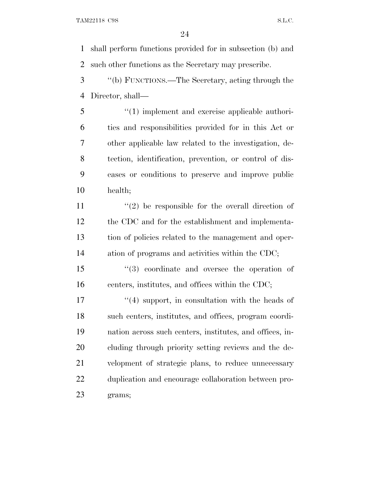shall perform functions provided for in subsection (b) and such other functions as the Secretary may prescribe.

 ''(b) FUNCTIONS.—The Secretary, acting through the Director, shall—

 ''(1) implement and exercise applicable authori- ties and responsibilities provided for in this Act or other applicable law related to the investigation, de- tection, identification, prevention, or control of dis- eases or conditions to preserve and improve public health;

 $\langle \cdot (2) \rangle$  be responsible for the overall direction of the CDC and for the establishment and implementa- tion of policies related to the management and oper-ation of programs and activities within the CDC;

 ''(3) coordinate and oversee the operation of centers, institutes, and offices within the CDC;

17 ''(4) support, in consultation with the heads of such centers, institutes, and offices, program coordi- nation across such centers, institutes, and offices, in- cluding through priority setting reviews and the de- velopment of strategic plans, to reduce unnecessary duplication and encourage collaboration between pro-grams;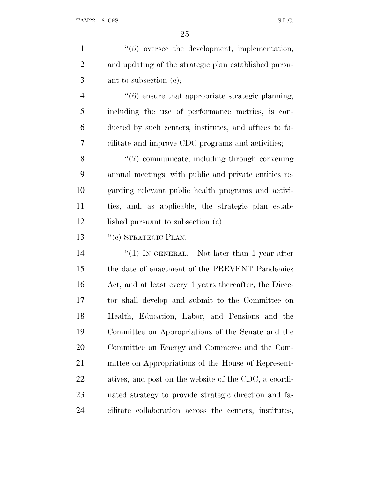| $\mathbf{1}$   | $\lq(5)$ oversee the development, implementation,                |
|----------------|------------------------------------------------------------------|
| $\overline{2}$ | and updating of the strategic plan established pursu-            |
| 3              | ant to subsection $(e)$ ;                                        |
| $\overline{4}$ | $\cdot\cdot\cdot(6)$ ensure that appropriate strategic planning, |
| 5              | including the use of performance metrics, is con-                |
| 6              | ducted by such centers, institutes, and offices to fa-           |
| 7              | cilitate and improve CDC programs and activities;                |
| 8              | "(7) communicate, including through convening                    |
| 9              | annual meetings, with public and private entities re-            |
| 10             | garding relevant public health programs and activi-              |
| 11             | ties, and, as applicable, the strategic plan estab-              |
| 12             | lished pursuant to subsection (c).                               |
| 13             | $``(e)$ STRATEGIC PLAN.—                                         |
| 14             | "(1) IN GENERAL.—Not later than 1 year after                     |
| 15             | the date of enactment of the PREVENT Pandemics                   |
| 16             | Act, and at least every 4 years thereafter, the Direc-           |
| 17             | tor shall develop and submit to the Committee on                 |
| 18             | Health, Education, Labor, and Pensions and the                   |
| 19             | Committee on Appropriations of the Senate and the                |
| 20             | Committee on Energy and Commerce and the Com-                    |
| 21             | mittee on Appropriations of the House of Represent-              |
| 22             | atives, and post on the website of the CDC, a coordi-            |
| 23             | nated strategy to provide strategic direction and fa-            |
| 24             | cilitate collaboration across the centers, institutes,           |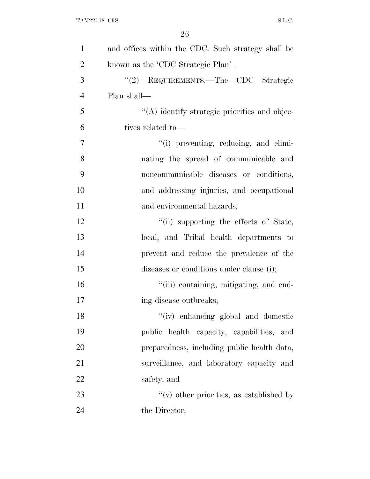| $\mathbf{1}$   | and offices within the CDC. Such strategy shall be |
|----------------|----------------------------------------------------|
| $\overline{2}$ | known as the 'CDC Strategic Plan'.                 |
| 3              | "(2) REQUIREMENTS.—The CDC Strategic               |
| $\overline{4}$ | Plan shall—                                        |
| 5              | "(A) identify strategic priorities and objec-      |
| 6              | tives related to-                                  |
| 7              | "(i) preventing, reducing, and elimi-              |
| 8              | nating the spread of communicable and              |
| 9              | noncommunicable diseases or conditions,            |
| 10             | and addressing injuries, and occupational          |
| 11             | and environmental hazards;                         |
| 12             | "(ii) supporting the efforts of State,             |
| 13             | local, and Tribal health departments to            |
| 14             | prevent and reduce the prevalence of the           |
| 15             | diseases or conditions under clause (i);           |
| 16             | "(iii) containing, mitigating, and end-            |
| 17             | ing disease outbreaks;                             |
| 18             | "(iv) enhancing global and domestic                |
| 19             | public health capacity, capabilities, and          |
| 20             | preparedness, including public health data,        |
| 21             | surveillance, and laboratory capacity and          |
| 22             | safety; and                                        |
| 23             | $f'(v)$ other priorities, as established by        |
| 24             | the Director;                                      |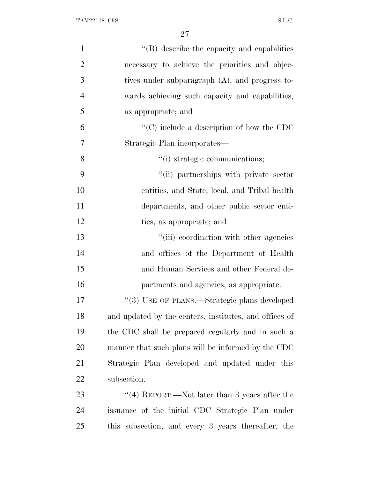| $\mathbf{1}$   | "(B) describe the capacity and capabilities            |
|----------------|--------------------------------------------------------|
| $\overline{2}$ | necessary to achieve the priorities and objec-         |
| 3              | tives under subparagraph (A), and progress to-         |
| $\overline{4}$ | wards achieving such capacity and capabilities,        |
| 5              | as appropriate; and                                    |
| 6              | $\lq\lq$ (C) include a description of how the CDC      |
| 7              | Strategic Plan incorporates—                           |
| 8              | "(i) strategic communications;                         |
| 9              | "(ii) partnerships with private sector                 |
| 10             | entities, and State, local, and Tribal health          |
| 11             | departments, and other public sector enti-             |
| 12             | ties, as appropriate; and                              |
| 13             | "(iii) coordination with other agencies                |
| 14             | and offices of the Department of Health                |
| 15             | and Human Services and other Federal de-               |
| 16             | partments and agencies, as appropriate.                |
| 17             | "(3) USE OF PLANS.—Strategic plans developed           |
| 18             | and updated by the centers, institutes, and offices of |
| 19             | the CDC shall be prepared regularly and in such a      |
| 20             | manner that such plans will be informed by the CDC     |
| 21             | Strategic Plan developed and updated under this        |
| 22             | subsection.                                            |
| 23             | "(4) REPORT.—Not later than 3 years after the          |
| 24             | issuance of the initial CDC Strategic Plan under       |
| 25             | this subsection, and every 3 years thereafter, the     |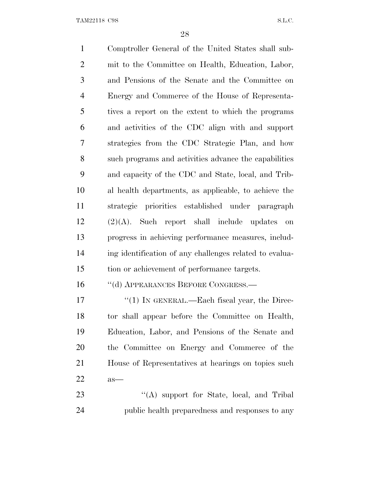Comptroller General of the United States shall sub- mit to the Committee on Health, Education, Labor, and Pensions of the Senate and the Committee on Energy and Commerce of the House of Representa- tives a report on the extent to which the programs and activities of the CDC align with and support strategies from the CDC Strategic Plan, and how such programs and activities advance the capabilities and capacity of the CDC and State, local, and Trib- al health departments, as applicable, to achieve the strategic priorities established under paragraph (2)(A). Such report shall include updates on progress in achieving performance measures, includ- ing identification of any challenges related to evalua- tion or achievement of performance targets. 16 "(d) APPEARANCES BEFORE CONGRESS.— 17 "(1) IN GENERAL.—Each fiscal year, the Direc- tor shall appear before the Committee on Health, Education, Labor, and Pensions of the Senate and the Committee on Energy and Commerce of the House of Representatives at hearings on topics such as—

23 "'(A) support for State, local, and Tribal public health preparedness and responses to any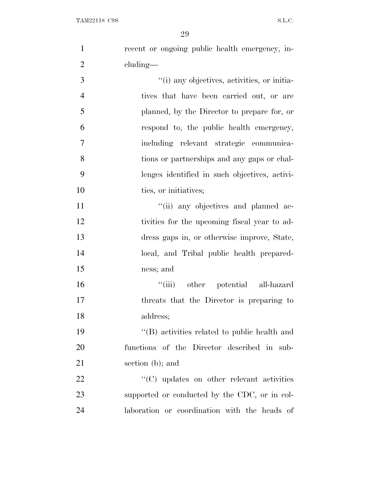| $\mathbf{1}$   | recent or ongoing public health emergency, in- |
|----------------|------------------------------------------------|
| $\overline{2}$ | cluding—                                       |
| 3              | "(i) any objectives, activities, or initia-    |
| $\overline{4}$ | tives that have been carried out, or are       |
| 5              | planned, by the Director to prepare for, or    |
| 6              | respond to, the public health emergency,       |
| $\tau$         | including relevant strategic communica-        |
| 8              | tions or partnerships and any gaps or chal-    |
| 9              | lenges identified in such objectives, activi-  |
| 10             | ties, or initiatives;                          |
| 11             | "(ii) any objectives and planned ac-           |
| 12             | tivities for the upcoming fiscal year to ad-   |
| 13             | dress gaps in, or otherwise improve, State,    |
| 14             | local, and Tribal public health prepared-      |
| 15             | ness; and                                      |
| 16             | "(iii) other potential all-hazard              |
| 17             | threats that the Director is preparing to      |
| 18             | address;                                       |
| 19             | "(B) activities related to public health and   |
| 20             | functions of the Director described in sub-    |
| 21             | section $(b)$ ; and                            |
| 22             | "(C) updates on other relevant activities      |
| 23             | supported or conducted by the CDC, or in col-  |
| 24             | laboration or coordination with the heads of   |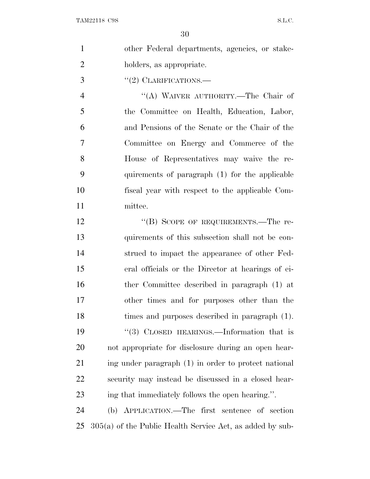|                | 30                                              |
|----------------|-------------------------------------------------|
| $\mathbf{1}$   | other Federal departments, agencies, or stake-  |
| $\overline{2}$ | holders, as appropriate.                        |
| 3              | $"(2)$ CLARIFICATIONS.—                         |
| $\overline{4}$ | "(A) WAIVER AUTHORITY.—The Chair of             |
| 5              | the Committee on Health, Education, Labor,      |
| 6              | and Pensions of the Senate or the Chair of the  |
| 7              | Committee on Energy and Commerce of the         |
| 8              | House of Representatives may waive the re-      |
| 9              | quirements of paragraph (1) for the applicable  |
| 10             | fiscal year with respect to the applicable Com- |
| <sup>11</sup>  | mittee.                                         |
| 12             | "(B) SCOPE OF REQUIREMENTS.—The re-             |
| 13             | quirements of this subsection shall not be con- |
| 14             | strued to impact the appearance of other Fed-   |

pact the appearance of other Fed- eral officials or the Director at hearings of ei- ther Committee described in paragraph (1) at other times and for purposes other than the times and purposes described in paragraph (1). 19 "(3) CLOSED HEARINGS.—Information that is not appropriate for disclosure during an open hear- ing under paragraph (1) in order to protect national security may instead be discussed in a closed hear-ing that immediately follows the open hearing.''.

 (b) APPLICATION.—The first sentence of section 305(a) of the Public Health Service Act, as added by sub-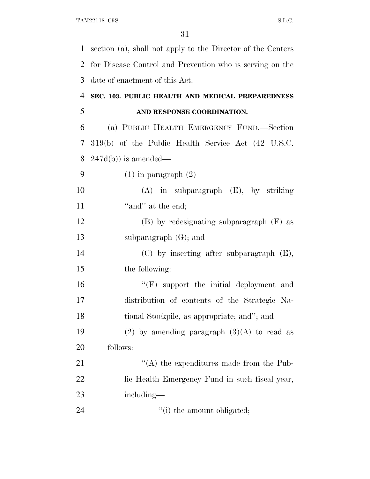| $\mathbf{1}$             | section (a), shall not apply to the Director of the Centers |
|--------------------------|-------------------------------------------------------------|
| $\overline{2}$           | for Disease Control and Prevention who is serving on the    |
| 3                        | date of enactment of this Act.                              |
| $\overline{4}$           | SEC. 103. PUBLIC HEALTH AND MEDICAL PREPAREDNESS            |
| 5                        | AND RESPONSE COORDINATION.                                  |
| 6                        | (a) PUBLIC HEALTH EMERGENCY FUND.—Section                   |
| $\overline{\mathcal{L}}$ | 319(b) of the Public Health Service Act (42 U.S.C.          |
| 8                        | $247d(b)$ ) is amended—                                     |
| 9                        | $(1)$ in paragraph $(2)$ —                                  |
| 10                       | $(A)$ in subparagraph $(E)$ , by striking                   |
| 11                       | "and" at the end;                                           |
| 12                       | $(B)$ by redesignating subparagraph $(F)$ as                |
| 13                       | subparagraph $(G)$ ; and                                    |
| 14                       | $(C)$ by inserting after subparagraph $(E)$ ,               |
| 15                       | the following:                                              |
| 16                       | $\lq\lq(F)$ support the initial deployment and              |
| 17                       | distribution of contents of the Strategic Na-               |
| 18                       | tional Stockpile, as appropriate; and"; and                 |
| 19                       | (2) by amending paragraph $(3)(A)$ to read as               |
| 20                       | follows:                                                    |
| 21                       | $\lq\lq$ the expenditures made from the Pub-                |
| 22                       | lic Health Emergency Fund in such fiscal year,              |
| 23                       | including—                                                  |
| 24                       | "(i) the amount obligated;                                  |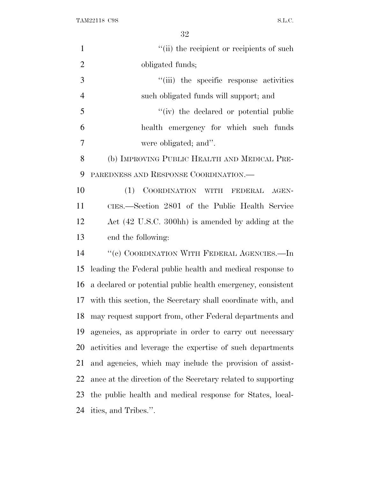| $\mathbf{1}$   | "(ii) the recipient or recipients of such                    |
|----------------|--------------------------------------------------------------|
| $\overline{2}$ | obligated funds;                                             |
| 3              | "(iii) the specific response activities                      |
| $\overline{4}$ | such obligated funds will support; and                       |
| 5              | "(iv) the declared or potential public                       |
| 6              | health emergency for which such funds                        |
| 7              | were obligated; and".                                        |
| 8              | (b) IMPROVING PUBLIC HEALTH AND MEDICAL PRE-                 |
| 9              | PAREDNESS AND RESPONSE COORDINATION.—                        |
| 10             | COORDINATION WITH FEDERAL AGEN-<br>(1)                       |
| 11             | CIES.—Section 2801 of the Public Health Service              |
| 12             | Act (42 U.S.C. 300hh) is amended by adding at the            |
| 13             | end the following:                                           |
| 14             | "(c) COORDINATION WITH FEDERAL AGENCIES.—In                  |
| 15             | leading the Federal public health and medical response to    |
| 16             | a declared or potential public health emergency, consistent  |
| 17             | with this section, the Secretary shall coordinate with, and  |
| 18             | may request support from, other Federal departments and      |
| 19             | agencies, as appropriate in order to carry out necessary     |
| 20             | activities and leverage the expertise of such departments    |
| 21             | and agencies, which may include the provision of assist-     |
| 22             | ance at the direction of the Secretary related to supporting |
| 23             | the public health and medical response for States, local-    |
| 24             | ities, and Tribes.".                                         |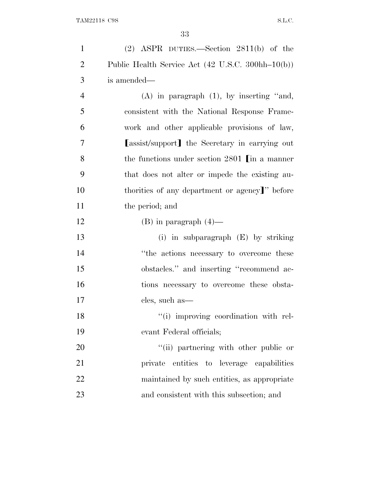| $\mathbf{1}$   | $(2)$ ASPR DUTIES.—Section 2811(b) of the         |
|----------------|---------------------------------------------------|
| $\overline{2}$ | Public Health Service Act (42 U.S.C. 300hh-10(b)) |
| 3              | is amended—                                       |
| $\overline{4}$ | $(A)$ in paragraph $(1)$ , by inserting "and,     |
| 5              | consistent with the National Response Frame-      |
| 6              | work and other applicable provisions of law,      |
| 7              | [assist/support] the Secretary in carrying out    |
| 8              | the functions under section $2801$ [in a manner   |
| 9              | that does not alter or impede the existing au-    |
| 10             | thorities of any department or agency]" before    |
| 11             | the period; and                                   |
| 12             | $(B)$ in paragraph $(4)$ —                        |
| 13             | (i) in subparagraph $(E)$ by striking             |
| 14             | "the actions necessary to overcome these          |
| 15             | obstacles." and inserting "recommend ac-          |
| 16             | tions necessary to overcome these obsta-          |
| 17             | cles, such as—                                    |
| 18             | "(i) improving coordination with rel-             |
| 19             | evant Federal officials;                          |
| 20             | "(ii) partnering with other public or             |
| 21             | private entities to leverage capabilities         |
| 22             | maintained by such entities, as appropriate       |
| 23             | and consistent with this subsection; and          |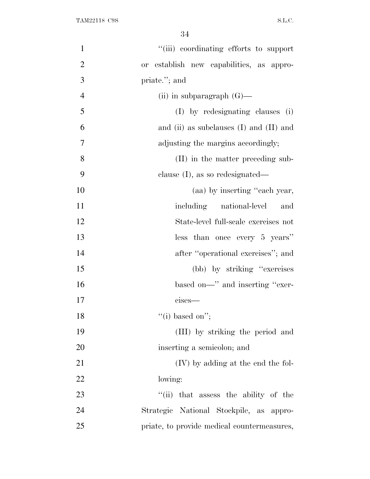| $\mathbf{1}$   | "(iii) coordinating efforts to support      |
|----------------|---------------------------------------------|
| $\overline{2}$ | or establish new capabilities, as appro-    |
| 3              | priate."; and                               |
| $\overline{4}$ | (ii) in subparagraph $(G)$ —                |
| 5              | (I) by redesignating clauses (i)            |
| 6              | and (ii) as subclauses $(I)$ and $(II)$ and |
| 7              | adjusting the margins accordingly;          |
| 8              | (II) in the matter preceding sub-           |
| 9              | clause $(I)$ , as so redesignated—          |
| 10             | (aa) by inserting "each year,               |
| 11             | including<br>national-level<br>and          |
| 12             | State-level full-scale exercises not        |
| 13             | less than once every 5 years"               |
| 14             | after "operational exercises"; and          |
| 15             | (bb) by striking "exercises"                |
| 16             | based on—" and inserting "exer-             |
| 17             | $cises-$                                    |
| 18             | "(i) based on";                             |
| 19             | (III) by striking the period and            |
| 20             | inserting a semicolon; and                  |
| 21             | (IV) by adding at the end the fol-          |
| 22             | lowing:                                     |
| 23             | "(ii) that assess the ability of the        |
| 24             | Strategic National Stockpile, as appro-     |
| 25             | priate, to provide medical countermeasures, |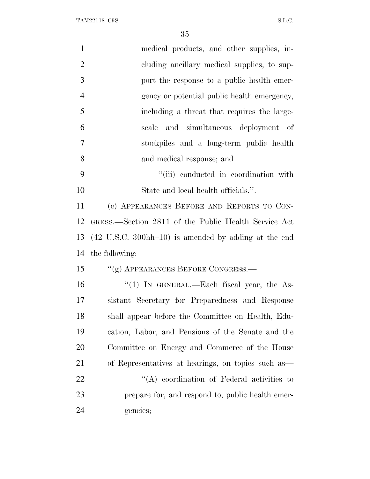| $\mathbf{1}$   | medical products, and other supplies, in-                                 |
|----------------|---------------------------------------------------------------------------|
| $\overline{2}$ | cluding ancillary medical supplies, to sup-                               |
| 3              | port the response to a public health emer-                                |
| $\overline{4}$ | gency or potential public health emergency,                               |
| 5              | including a threat that requires the large-                               |
| 6              | and simultaneous deployment of<br>scale                                   |
| 7              | stockpiles and a long-term public health                                  |
| 8              | and medical response; and                                                 |
| 9              | "(iii) conducted in coordination with                                     |
| 10             | State and local health officials.".                                       |
| 11             | (c) APPEARANCES BEFORE AND REPORTS TO CON-                                |
| 12             | GRESS.—Section 2811 of the Public Health Service Act                      |
| 13             | $(42 \text{ U.S.C. } 300 \text{hh} - 10)$ is amended by adding at the end |
| 14             | the following:                                                            |
| 15             | "(g) APPEARANCES BEFORE CONGRESS.—                                        |
| 16             | "(1) IN GENERAL.—Each fiscal year, the As-                                |
| 17             | sistant Secretary for Preparedness and Response                           |
| 18             | shall appear before the Committee on Health, Edu-                         |
| 19             | cation, Labor, and Pensions of the Senate and the                         |
| 20             | Committee on Energy and Commerce of the House                             |
| 21             | of Representatives at hearings, on topics such as                         |
| 22             | $\lq\lq$ coordination of Federal activities to                            |
| 23             | prepare for, and respond to, public health emer-                          |
| 24             | gencies;                                                                  |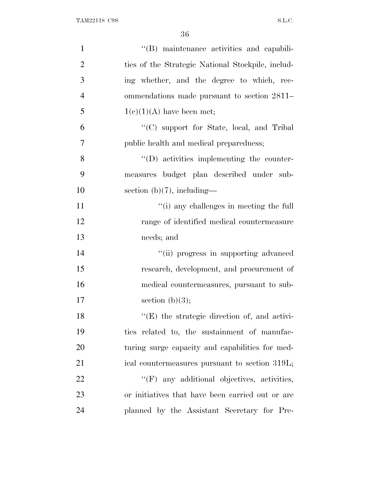| $\mathbf{1}$   | "(B) maintenance activities and capabili-            |
|----------------|------------------------------------------------------|
| $\overline{2}$ | ties of the Strategic National Stockpile, includ-    |
| 3              | ing whether, and the degree to which, rec-           |
| $\overline{4}$ | ommendations made pursuant to section 2811–          |
| 5              | $1(c)(1)(A)$ have been met;                          |
| 6              | "(C) support for State, local, and Tribal            |
| $\overline{7}$ | public health and medical preparedness;              |
| 8              | $\lq\lq$ (D) activities implementing the counter-    |
| 9              | measures budget plan described under sub-            |
| 10             | section $(b)(7)$ , including—                        |
| 11             | "(i) any challenges in meeting the full              |
| 12             | range of identified medical countermeasure           |
| 13             | needs; and                                           |
| 14             | "(ii) progress in supporting advanced                |
| 15             | research, development, and procurement of            |
| 16             | medical countermeasures, pursuant to sub-            |
| 17             | section $(b)(3);$                                    |
| 18             | $\lq\lq$ (E) the strategic direction of, and activi- |
| 19             | ties related to, the sustainment of manufac-         |
| 20             | turing surge capacity and capabilities for med-      |
| 21             | ical countermeasures pursuant to section 319L;       |
| 22             | $\lq\lq(F)$ any additional objectives, activities,   |
| 23             | or initiatives that have been carried out or are     |
| 24             | planned by the Assistant Secretary for Pre-          |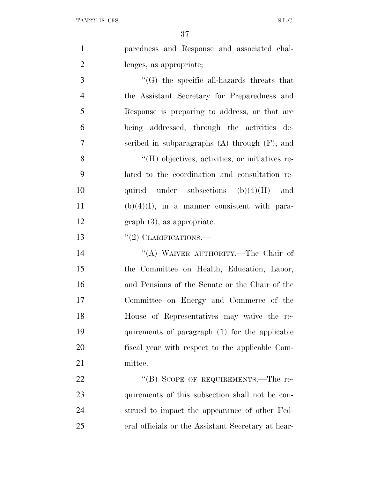|                | 37                                                      |
|----------------|---------------------------------------------------------|
| $\mathbf{1}$   | paredness and Response and associated chal-             |
| $\overline{2}$ | lenges, as appropriate;                                 |
| 3              | $\lq\lq(G)$ the specific all-hazards threats that       |
| 4              | the Assistant Secretary for Preparedness and            |
| 5              | Response is preparing to address, or that are           |
| 6              | being addressed, through the activities de-             |
| 7              | scribed in subparagraphs $(A)$ through $(F)$ ; and      |
| 8              | $\rm{``(H)}$ objectives, activities, or initiatives re- |
| 9              | lated to the coordination and consultation re-          |
| 10             | quired under subsections $(b)(4)(H)$ and                |
| 11             | $(b)(4)(I)$ , in a manner consistent with para-         |
| 12             | $graph(3)$ , as appropriate.                            |
| 13             | $\lq(2)$ CLARIFICATIONS.—                               |

 ''(A) WAIVER AUTHORITY.—The Chair of the Committee on Health, Education, Labor, and Pensions of the Senate or the Chair of the Committee on Energy and Commerce of the House of Representatives may waive the re- quirements of paragraph (1) for the applicable fiscal year with respect to the applicable Com-mittee.

22 "(B) SCOPE OF REQUIREMENTS.—The re- quirements of this subsection shall not be con- strued to impact the appearance of other Fed-eral officials or the Assistant Secretary at hear-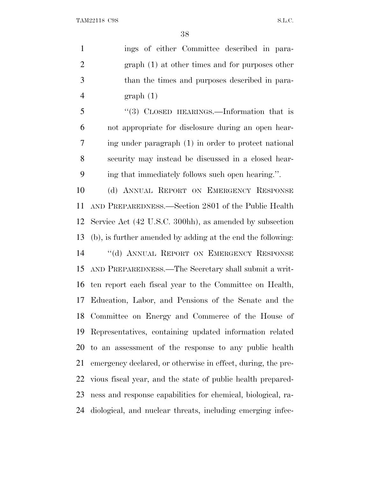ings of either Committee described in para- graph (1) at other times and for purposes other than the times and purposes described in para- graph (1) ''(3) CLOSED HEARINGS.—Information that is not appropriate for disclosure during an open hear- ing under paragraph (1) in order to protect national security may instead be discussed in a closed hear- ing that immediately follows such open hearing.''. (d) ANNUAL REPORT ON EMERGENCY RESPONSE AND PREPAREDNESS.—Section 2801 of the Public Health Service Act (42 U.S.C. 300hh), as amended by subsection (b), is further amended by adding at the end the following: ''(d) ANNUAL REPORT ON EMERGENCY RESPONSE AND PREPAREDNESS.—The Secretary shall submit a writ- ten report each fiscal year to the Committee on Health, Education, Labor, and Pensions of the Senate and the Committee on Energy and Commerce of the House of Representatives, containing updated information related to an assessment of the response to any public health emergency declared, or otherwise in effect, during, the pre- vious fiscal year, and the state of public health prepared- ness and response capabilities for chemical, biological, ra-diological, and nuclear threats, including emerging infec-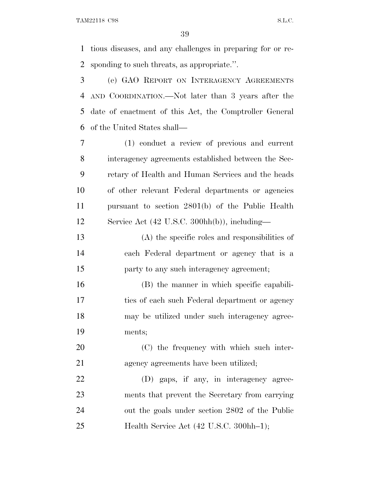tious diseases, and any challenges in preparing for or re-sponding to such threats, as appropriate.''.

 (e) GAO REPORT ON INTERAGENCY AGREEMENTS AND COORDINATION.—Not later than 3 years after the date of enactment of this Act, the Comptroller General of the United States shall—

 (1) conduct a review of previous and current interagency agreements established between the Sec- retary of Health and Human Services and the heads of other relevant Federal departments or agencies pursuant to section 2801(b) of the Public Health Service Act (42 U.S.C. 300hh(b)), including—

 (A) the specific roles and responsibilities of each Federal department or agency that is a party to any such interagency agreement;

 (B) the manner in which specific capabili- ties of each such Federal department or agency may be utilized under such interagency agree-ments;

 (C) the frequency with which such inter-agency agreements have been utilized;

 (D) gaps, if any, in interagency agree- ments that prevent the Secretary from carrying out the goals under section 2802 of the Public 25 Health Service Act (42 U.S.C. 300hh–1);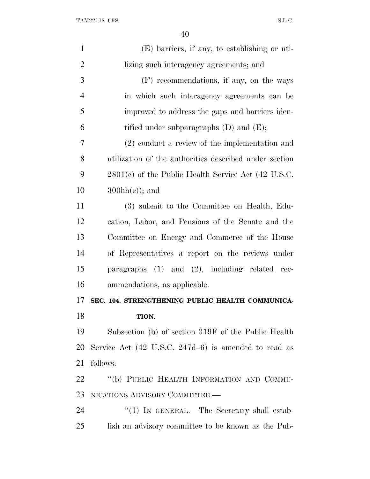| $\mathbf{1}$   | (E) barriers, if any, to establishing or uti-                   |
|----------------|-----------------------------------------------------------------|
| $\overline{2}$ | lizing such interagency agreements; and                         |
| 3              | (F) recommendations, if any, on the ways                        |
| 4              | in which such interagency agreements can be                     |
| 5              | improved to address the gaps and barriers iden-                 |
| 6              | tified under subparagraphs $(D)$ and $(E)$ ;                    |
| 7              | $(2)$ conduct a review of the implementation and                |
| 8              | utilization of the authorities described under section          |
| 9              | $2801(c)$ of the Public Health Service Act (42 U.S.C.           |
| 10             | $300hh(e)$ ; and                                                |
| 11             | (3) submit to the Committee on Health, Edu-                     |
| 12             | cation, Labor, and Pensions of the Senate and the               |
| 13             | Committee on Energy and Commerce of the House                   |
| 14             | of Representatives a report on the reviews under                |
| 15             | paragraphs $(1)$ and $(2)$ , including related rec-             |
| 16             | ommendations, as applicable.                                    |
| 17             | SEC. 104. STRENGTHENING PUBLIC HEALTH COMMUNICA-                |
| 18             | TION.                                                           |
| 19             | Subsection (b) of section 319F of the Public Health             |
| 20             | Service Act $(42 \text{ U.S.C. } 247d-6)$ is amended to read as |
| 21             | follows:                                                        |
| 22             | "(b) PUBLIC HEALTH INFORMATION AND COMMU-                       |
| 23             | NICATIONS ADVISORY COMMITTEE.-                                  |
| 24             | "(1) IN GENERAL.—The Secretary shall estab-                     |
| 25             | lish an advisory committee to be known as the Pub-              |
|                |                                                                 |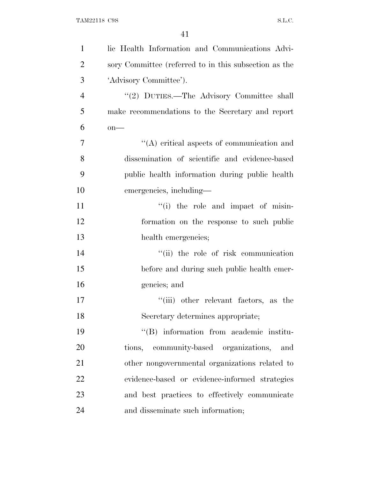| $\mathbf{1}$   | lic Health Information and Communications Advi-       |
|----------------|-------------------------------------------------------|
| $\overline{2}$ | sory Committee (referred to in this subsection as the |
| 3              | 'Advisory Committee').                                |
| $\overline{4}$ | "(2) DUTIES.—The Advisory Committee shall             |
| 5              | make recommendations to the Secretary and report      |
| 6              | $on$ —                                                |
| $\overline{7}$ | $\lq\lq$ critical aspects of communication and        |
| 8              | dissemination of scientific and evidence-based        |
| 9              | public health information during public health        |
| 10             | emergencies, including—                               |
| 11             | $f(i)$ the role and impact of misin-                  |
| 12             | formation on the response to such public              |
| 13             | health emergencies;                                   |
| 14             | "(ii) the role of risk communication                  |
| 15             | before and during such public health emer-            |
| 16             | gencies; and                                          |
| 17             | "(iii) other relevant factors, as the                 |
| 18             | Secretary determines appropriate;                     |
| 19             | "(B) information from academic institu-               |
| 20             | tions, community-based organizations,<br>and          |
| 21             | other nongovernmental organizations related to        |
| 22             | evidence-based or evidence-informed strategies        |
| 23             | and best practices to effectively communicate         |
| 24             | and disseminate such information;                     |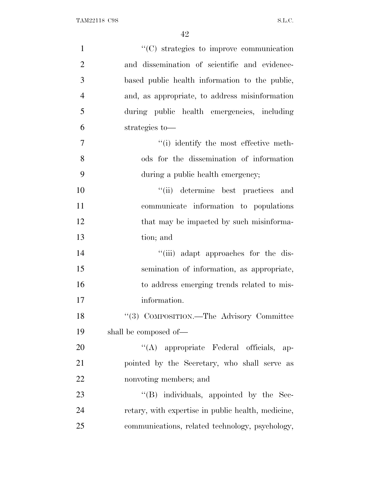| $\mathbf{1}$   | "(C) strategies to improve communication           |
|----------------|----------------------------------------------------|
| $\overline{2}$ | and dissemination of scientific and evidence-      |
| 3              | based public health information to the public,     |
| $\overline{4}$ | and, as appropriate, to address misinformation     |
| 5              | during public health emergencies, including        |
| 6              | strategies to-                                     |
| 7              | "(i) identify the most effective meth-             |
| 8              | ods for the dissemination of information           |
| 9              | during a public health emergency;                  |
| 10             | "(ii) determine best practices and                 |
| 11             | communicate information to populations             |
| 12             | that may be impacted by such misinforma-           |
| 13             | tion; and                                          |
| 14             | "(iii) adapt approaches for the dis-               |
| 15             | semination of information, as appropriate,         |
| 16             | to address emerging trends related to mis-         |
| 17             | information.                                       |
| 18             | "(3) COMPOSITION.—The Advisory Committee           |
| 19             | shall be composed of—                              |
| 20             | "(A) appropriate Federal officials, ap-            |
| 21             | pointed by the Secretary, who shall serve as       |
| 22             | nonvoting members; and                             |
| 23             | "(B) individuals, appointed by the Sec-            |
| 24             | retary, with expertise in public health, medicine, |
| 25             | communications, related technology, psychology,    |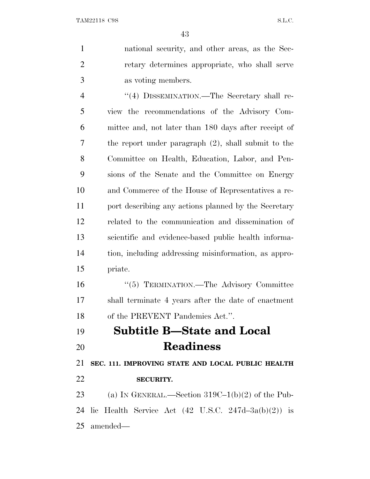| $\mathbf{1}$   | national security, and other areas, as the Sec-                |
|----------------|----------------------------------------------------------------|
| $\overline{2}$ | retary determines appropriate, who shall serve                 |
| 3              | as voting members.                                             |
| $\overline{4}$ | "(4) DISSEMINATION.—The Secretary shall re-                    |
| 5              | view the recommendations of the Advisory Com-                  |
| 6              | mittee and, not later than 180 days after receipt of           |
| 7              | the report under paragraph $(2)$ , shall submit to the         |
| 8              | Committee on Health, Education, Labor, and Pen-                |
| 9              | sions of the Senate and the Committee on Energy                |
| 10             | and Commerce of the House of Representatives a re-             |
| 11             | port describing any actions planned by the Secretary           |
| 12             | related to the communication and dissemination of              |
| 13             | scientific and evidence-based public health informa-           |
| 14             | tion, including addressing misinformation, as appro-           |
| 15             | priate.                                                        |
| 16             | "(5) TERMINATION.—The Advisory Committee                       |
| 17             | shall terminate 4 years after the date of enactment            |
| 18             | of the PREVENT Pandemics Act.".                                |
| 19             | <b>Subtitle B-State and Local</b>                              |
| 20             | <b>Readiness</b>                                               |
| 21             | SEC. 111. IMPROVING STATE AND LOCAL PUBLIC HEALTH              |
| 22             | <b>SECURITY.</b>                                               |
| 23             | (a) IN GENERAL.—Section $319C-1(b)(2)$ of the Pub-             |
| 24             | lic Health Service Act $(42 \text{ U.S.C. } 247d-3a(b)(2))$ is |
| 25             | amended—                                                       |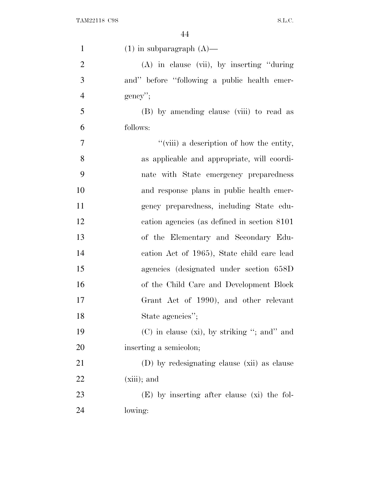| $\mathbf{1}$   | $(1)$ in subparagraph $(A)$ —                    |
|----------------|--------------------------------------------------|
| $\overline{2}$ | $(A)$ in clause (vii), by inserting "during"     |
| 3              | and" before "following a public health emer-     |
| $\overline{4}$ | $gency$ ";                                       |
| 5              | (B) by amending clause (viii) to read as         |
| 6              | follows:                                         |
| 7              | "(viii) a description of how the entity,         |
| 8              | as applicable and appropriate, will coordi-      |
| 9              | nate with State emergency preparedness           |
| 10             | and response plans in public health emer-        |
| 11             | gency preparedness, including State edu-         |
| 12             | cation agencies (as defined in section 8101)     |
| 13             | of the Elementary and Secondary Edu-             |
| 14             | cation Act of 1965), State child care lead       |
| 15             | agencies (designated under section 658D)         |
| 16             | of the Child Care and Development Block          |
| 17             | Grant Act of 1990), and other relevant           |
| 18             | State agencies";                                 |
| 19             | $(C)$ in clause $(xi)$ , by striking "; and" and |
| 20             | inserting a semicolon;                           |
| 21             | (D) by redesignating clause (xii) as clause      |
| 22             | $(xiii)$ ; and                                   |
| 23             | $(E)$ by inserting after clause (xi) the fol-    |
| 24             | lowing:                                          |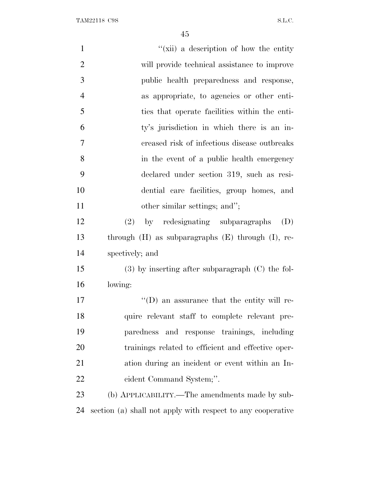| $\mathbf{1}$   | "(xii) a description of how the entity                      |
|----------------|-------------------------------------------------------------|
| $\overline{2}$ | will provide technical assistance to improve                |
| 3              | public health preparedness and response,                    |
| $\overline{4}$ | as appropriate, to agencies or other enti-                  |
| 5              | ties that operate facilities within the enti-               |
| 6              | ty's jurisdiction in which there is an in-                  |
| 7              | creased risk of infectious disease outbreaks                |
| 8              | in the event of a public health emergency                   |
| 9              | declared under section 319, such as resi-                   |
| 10             | dential care facilities, group homes, and                   |
| 11             | other similar settings; and";                               |
| 12             | by redesignating subparagraphs<br>(D)<br>(2)                |
| 13             | through $(H)$ as subparagraphs $(E)$ through $(I)$ , re-    |
| 14             | spectively; and                                             |
| 15             | $(3)$ by inserting after subparagraph $(C)$ the fol-        |
| 16             | lowing:                                                     |
| 17             | $\lq\lq$ (D) an assurance that the entity will re-          |
| 18             | quire relevant staff to complete relevant pre-              |
| 19             | paredness and response trainings, including                 |
| 20             | trainings related to efficient and effective oper-          |
| 21             | ation during an incident or event within an In-             |
| 22             | cident Command System;".                                    |
| 23             | (b) APPLICABILITY.—The amendments made by sub-              |
| 24             | section (a) shall not apply with respect to any cooperative |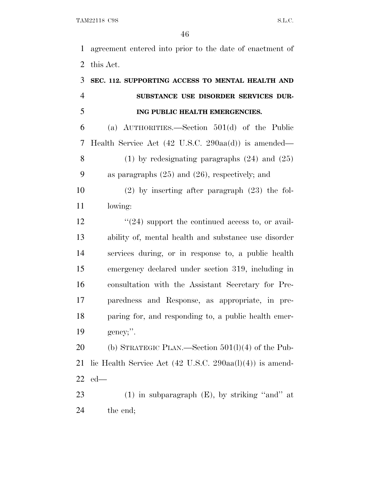agreement entered into prior to the date of enactment of this Act.

| 3              | SEC. 112. SUPPORTING ACCESS TO MENTAL HEALTH AND                            |
|----------------|-----------------------------------------------------------------------------|
| $\overline{4}$ | SUBSTANCE USE DISORDER SERVICES DUR-                                        |
| 5              | ING PUBLIC HEALTH EMERGENCIES.                                              |
| 6              | (a) $\text{AUTHORITIES.}$ Section 501(d) of the Public                      |
| 7              | Health Service Act $(42 \text{ U.S.C. } 290 \text{aa(d)})$ is amended—      |
| 8              | $(1)$ by redesignating paragraphs $(24)$ and $(25)$                         |
| 9              | as paragraphs $(25)$ and $(26)$ , respectively; and                         |
| 10             | $(2)$ by inserting after paragraph $(23)$ the fol-                          |
| 11             | lowing:                                                                     |
| 12             | $\cdot\cdot(24)$ support the continued access to, or avail-                 |
| 13             | ability of, mental health and substance use disorder                        |
| 14             | services during, or in response to, a public health                         |
| 15             | emergency declared under section 319, including in                          |
| 16             | consultation with the Assistant Secretary for Pre-                          |
| 17             | paredness and Response, as appropriate, in pre-                             |
| 18             | paring for, and responding to, a public health emer-                        |
| 19             | gency;".                                                                    |
| 20             | (b) STRATEGIC PLAN.—Section $501(1)(4)$ of the Pub-                         |
| 21             | lic Health Service Act $(42 \text{ U.S.C. } 290 \text{aa}(l)(4))$ is amend- |
|                | $22$ ed—                                                                    |

 (1) in subparagraph (E), by striking ''and'' at the end;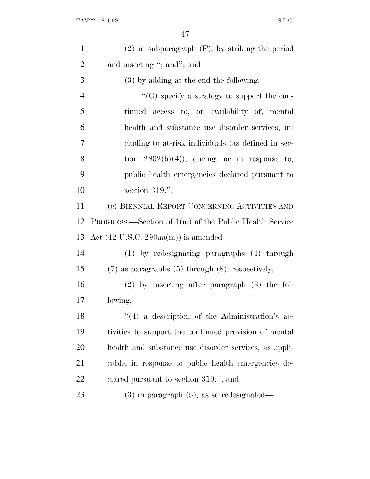| $\mathbf{1}$   | $(2)$ in subparagraph $(F)$ , by striking the period      |
|----------------|-----------------------------------------------------------|
| $\overline{2}$ | and inserting "; and"; and                                |
| 3              | (3) by adding at the end the following:                   |
| $\overline{4}$ | "(G) specify a strategy to support the con-               |
| 5              | tinued access to, or availability of, mental              |
| 6              | health and substance use disorder services, in-           |
| 7              | cluding to at-risk individuals (as defined in sec-        |
| 8              | tion $2802(b)(4)$ , during, or in response to,            |
| 9              | public health emergencies declared pursuant to            |
| 10             | section 319.".                                            |
| 11             | (c) BIENNIAL REPORT CONCERNING ACTIVITIES AND             |
| 12             | $PROGRESS.$ Section $501(m)$ of the Public Health Service |
| 13             | Act $(42 \text{ U.S.C. } 290 \text{aa(m)})$ is amended—   |
| 14             | (1) by redesignating paragraphs (4) through               |
| 15             | $(7)$ as paragraphs $(5)$ through $(8)$ , respectively;   |
| 16             | $(2)$ by inserting after paragraph $(3)$ the fol-         |
| 17             | lowing:                                                   |
| 18             | $\lq(4)$ a description of the Administration's ac-        |
| 19             | tivities to support the continued provision of mental     |
| 20             | health and substance use disorder services, as appli-     |
| 21             | cable, in response to public health emergencies de-       |
| 22             | clared pursuant to section $319;$ "; and                  |
| 23             | $(3)$ in paragraph $(5)$ , as so redesignated—            |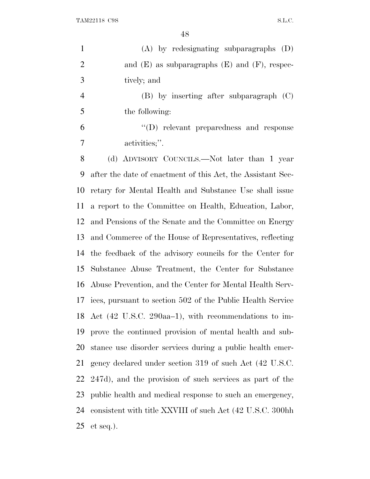(A) by redesignating subparagraphs (D) 2 and  $(E)$  as subparagraphs  $(E)$  and  $(F)$ , respec- tively; and (B) by inserting after subparagraph (C) the following: ''(D) relevant preparedness and response activities;''. (d) ADVISORY COUNCILS.—Not later than 1 year after the date of enactment of this Act, the Assistant Sec- retary for Mental Health and Substance Use shall issue a report to the Committee on Health, Education, Labor, and Pensions of the Senate and the Committee on Energy and Commerce of the House of Representatives, reflecting the feedback of the advisory councils for the Center for Substance Abuse Treatment, the Center for Substance

 Abuse Prevention, and the Center for Mental Health Serv- ices, pursuant to section 502 of the Public Health Service Act (42 U.S.C. 290aa–1), with recommendations to im- prove the continued provision of mental health and sub- stance use disorder services during a public health emer- gency declared under section 319 of such Act (42 U.S.C. 247d), and the provision of such services as part of the public health and medical response to such an emergency, consistent with title XXVIII of such Act (42 U.S.C. 300hh et seq.).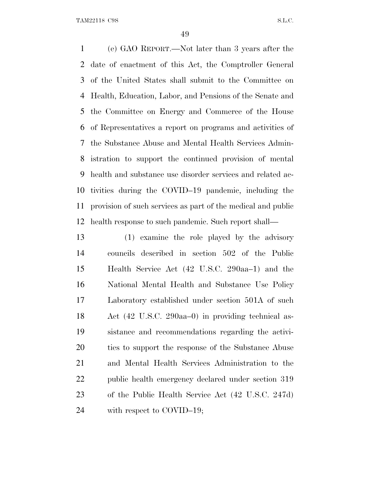(e) GAO REPORT.—Not later than 3 years after the date of enactment of this Act, the Comptroller General of the United States shall submit to the Committee on Health, Education, Labor, and Pensions of the Senate and the Committee on Energy and Commerce of the House of Representatives a report on programs and activities of the Substance Abuse and Mental Health Services Admin- istration to support the continued provision of mental health and substance use disorder services and related ac- tivities during the COVID–19 pandemic, including the provision of such services as part of the medical and public health response to such pandemic. Such report shall—

 (1) examine the role played by the advisory councils described in section 502 of the Public Health Service Act (42 U.S.C. 290aa–1) and the National Mental Health and Substance Use Policy Laboratory established under section 501A of such Act (42 U.S.C. 290aa–0) in providing technical as- sistance and recommendations regarding the activi-20 ties to support the response of the Substance Abuse and Mental Health Services Administration to the public health emergency declared under section 319 of the Public Health Service Act (42 U.S.C. 247d) 24 with respect to COVID–19;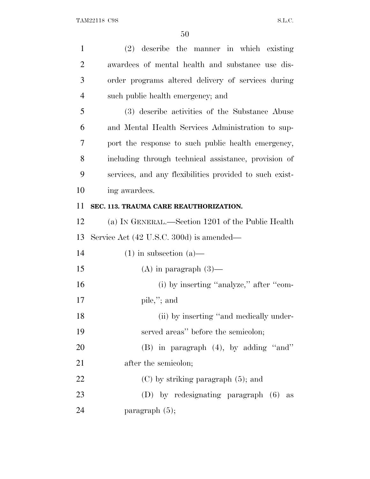| $\mathbf{1}$   | (2) describe the manner in which existing               |
|----------------|---------------------------------------------------------|
| $\overline{2}$ | awardees of mental health and substance use dis-        |
| 3              | order programs altered delivery of services during      |
| $\overline{4}$ | such public health emergency; and                       |
| 5              | (3) describe activities of the Substance Abuse          |
| 6              | and Mental Health Services Administration to sup-       |
| 7              | port the response to such public health emergency,      |
| 8              | including through technical assistance, provision of    |
| 9              | services, and any flexibilities provided to such exist- |
| 10             | ing awardees.                                           |
| 11             | SEC. 113. TRAUMA CARE REAUTHORIZATION.                  |
| 12             | (a) IN GENERAL.—Section 1201 of the Public Health       |
| 13             | Service Act (42 U.S.C. 300d) is amended—                |
| 14             | $(1)$ in subsection $(a)$ —                             |
| 15             | $(A)$ in paragraph $(3)$ —                              |
| 16             | (i) by inserting "analyze," after "com-                 |
| 17             | pile,"; and                                             |
| 18             | (ii) by inserting "and medically under-                 |
| 19             | served areas" before the semicolon;                     |
| 20             | $(B)$ in paragraph $(4)$ , by adding "and"              |
| 21             | after the semicolon;                                    |
| 22             | $(C)$ by striking paragraph $(5)$ ; and                 |
| 23             | (D) by redesignating paragraph (6)<br>as                |
| 24             | paragraph $(5)$ ;                                       |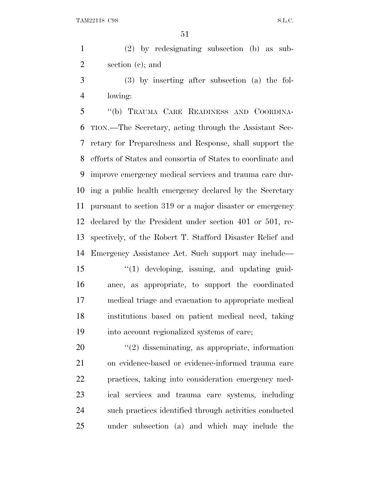(2) by redesignating subsection (b) as sub-section (c); and

 (3) by inserting after subsection (a) the fol-lowing:

 ''(b) TRAUMA CARE READINESS AND COORDINA- TION.—The Secretary, acting through the Assistant Sec- retary for Preparedness and Response, shall support the efforts of States and consortia of States to coordinate and improve emergency medical services and trauma care dur- ing a public health emergency declared by the Secretary pursuant to section 319 or a major disaster or emergency declared by the President under section 401 or 501, re- spectively, of the Robert T. Stafford Disaster Relief and Emergency Assistance Act. Such support may include— 15 "(1) developing, issuing, and updating guid- ance, as appropriate, to support the coordinated medical triage and evacuation to appropriate medical institutions based on patient medical need, taking into account regionalized systems of care;

 $\frac{1}{2}$  disseminating, as appropriate, information on evidence-based or evidence-informed trauma care practices, taking into consideration emergency med- ical services and trauma care systems, including such practices identified through activities conducted under subsection (a) and which may include the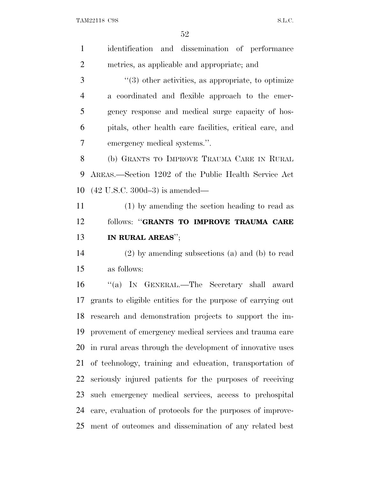| $\mathbf{1}$   | identification and dissemination of performance             |
|----------------|-------------------------------------------------------------|
| $\overline{2}$ | metrics, as applicable and appropriate; and                 |
| 3              | $\lq(3)$ other activities, as appropriate, to optimize      |
| $\overline{4}$ | a coordinated and flexible approach to the emer-            |
| 5              | gency response and medical surge capacity of hos-           |
| 6              | pitals, other health care facilities, critical care, and    |
| 7              | emergency medical systems.".                                |
| 8              | (b) GRANTS TO IMPROVE TRAUMA CARE IN RURAL                  |
| 9              | AREAS.—Section 1202 of the Public Health Service Act        |
| 10             | $(42 \text{ U.S.C. } 300d - 3)$ is amended—                 |
| 11             | (1) by amending the section heading to read as              |
| 12             | follows: "GRANTS TO IMPROVE TRAUMA CARE                     |
|                |                                                             |
| 13             | IN RURAL AREAS";                                            |
| 14             | $(2)$ by amending subsections $(a)$ and $(b)$ to read       |
| 15             | as follows:                                                 |
| 16             | "(a) IN GENERAL.—The Secretary shall award                  |
| 17             | grants to eligible entities for the purpose of carrying out |
|                | 18 research and demonstration projects to support the im-   |
| 19             | provement of emergency medical services and trauma care     |
| 20             | in rural areas through the development of innovative uses   |
|                | 21 of technology, training and education, transportation of |
| 22             | seriously injured patients for the purposes of receiving    |
| 23             | such emergency medical services, access to prehospital      |
| 24             | care, evaluation of protocols for the purposes of improve-  |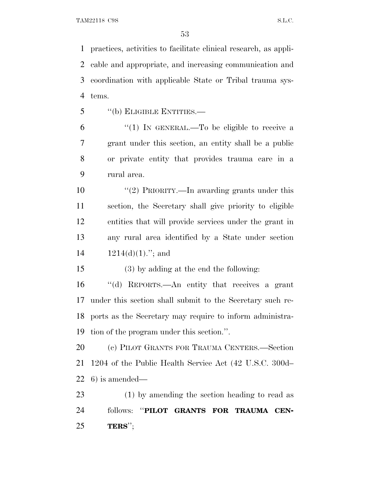practices, activities to facilitate clinical research, as appli- cable and appropriate, and increasing communication and coordination with applicable State or Tribal trauma sys-tems.

''(b) ELIGIBLE ENTITIES.—

 $(1)$  In GENERAL.—To be eligible to receive a grant under this section, an entity shall be a public or private entity that provides trauma care in a rural area.

10 ''(2) PRIORITY.—In awarding grants under this section, the Secretary shall give priority to eligible entities that will provide services under the grant in any rural area identified by a State under section  $1214(d)(1)$ ."; and

(3) by adding at the end the following:

 ''(d) REPORTS.—An entity that receives a grant under this section shall submit to the Secretary such re- ports as the Secretary may require to inform administra-tion of the program under this section.''.

 (c) PILOT GRANTS FOR TRAUMA CENTERS.—Section 1204 of the Public Health Service Act (42 U.S.C. 300d– 6) is amended—

 (1) by amending the section heading to read as follows: ''**PILOT GRANTS FOR TRAUMA CEN-TERS**'';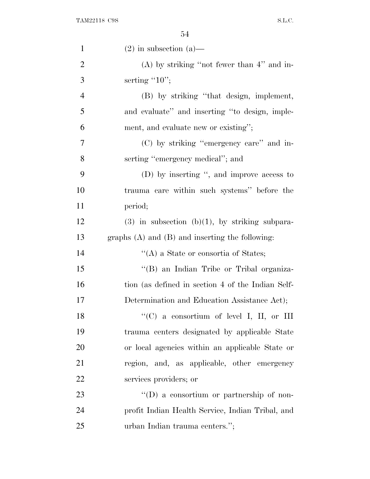| $\mathbf{1}$   | $(2)$ in subsection $(a)$ —                         |
|----------------|-----------------------------------------------------|
| $\overline{2}$ | $(A)$ by striking "not fewer than 4" and in-        |
| 3              | serting " $10$ ";                                   |
| $\overline{4}$ | (B) by striking "that design, implement,            |
| 5              | and evaluate" and inserting "to design, imple-      |
| 6              | ment, and evaluate new or existing";                |
| 7              | (C) by striking "emergency care" and in-            |
| 8              | serting "emergency medical"; and                    |
| 9              | (D) by inserting ", and improve access to           |
| 10             | trauma care within such systems" before the         |
| 11             | period;                                             |
| 12             | $(3)$ in subsection $(b)(1)$ , by striking subpara- |
| 13             | graphs $(A)$ and $(B)$ and inserting the following: |
| 14             | $\lq\lq$ (A) a State or consortia of States;        |
| 15             | "(B) an Indian Tribe or Tribal organiza-            |
| 16             | tion (as defined in section 4 of the Indian Self-   |
| 17             | Determination and Education Assistance Act);        |
| 18             | "(C) a consortium of level I, II, or III            |
| 19             | trauma centers designated by applicable State       |
| 20             | or local agencies within an applicable State or     |
| 21             | region, and, as applicable, other emergency         |
| 22             | services providers; or                              |
| 23             | $\lq\lq$ a consortium or partnership of non-        |
| 24             | profit Indian Health Service, Indian Tribal, and    |
| 25             | urban Indian trauma centers.";                      |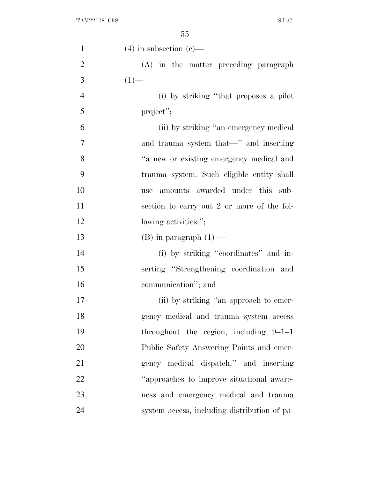| $\mathbf{1}$   | $(4)$ in subsection $(e)$ —                  |
|----------------|----------------------------------------------|
| $\overline{2}$ | (A) in the matter preceding paragraph        |
| 3              | $(1)$ —                                      |
| $\overline{4}$ | (i) by striking "that proposes a pilot       |
| 5              | project";                                    |
| 6              | (ii) by striking "an emergency medical       |
| 7              | and trauma system that—" and inserting       |
| 8              | "a new or existing emergency medical and     |
| 9              | trauma system. Such eligible entity shall    |
| 10             | amounts awarded under this sub-<br>use       |
| 11             | section to carry out 2 or more of the fol-   |
| 12             | lowing activities:";                         |
| 13             | (B) in paragraph $(1)$ —                     |
| 14             | (i) by striking "coordinates" and in-        |
| 15             | serting "Strengthening coordination and      |
| 16             | communication"; and                          |
| 17             | (ii) by striking "an approach to emer-       |
| 18             | gency medical and trauma system access       |
| 19             | throughout the region, including $9-1-1$     |
| 20             | Public Safety Answering Points and emer-     |
| 21             | gency medical dispatch;" and inserting       |
| 22             | "approaches to improve situational aware-    |
| 23             | ness and emergency medical and trauma        |
| 24             | system access, including distribution of pa- |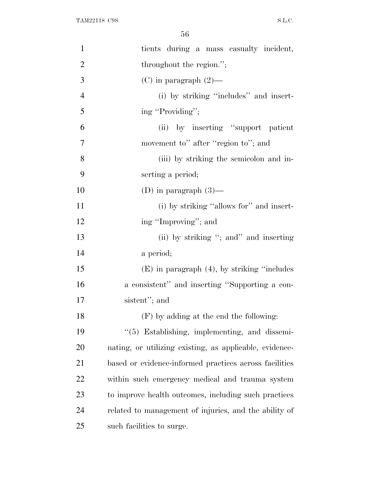| $\mathbf{1}$   | tients during a mass casualty incident,                 |
|----------------|---------------------------------------------------------|
| $\overline{2}$ | throughout the region.";                                |
| 3              | (C) in paragraph $(2)$ —                                |
| $\overline{4}$ | (i) by striking "includes" and insert-                  |
| 5              | ing "Providing";                                        |
| 6              | (ii) by inserting "support patient"                     |
| 7              | movement to" after "region to"; and                     |
| 8              | (iii) by striking the semicolon and in-                 |
| 9              | serting a period;                                       |
| 10             | (D) in paragraph $(3)$ —                                |
| 11             | (i) by striking "allows for" and insert-                |
| 12             | ing "Improving"; and                                    |
| 13             | (ii) by striking "; and " and inserting                 |
| 14             | a period;                                               |
| 15             | $(E)$ in paragraph $(4)$ , by striking "includes"       |
| 16             | a consistent" and inserting "Supporting a con-          |
| 17             | sistent"; and                                           |
| 18             | $(F)$ by adding at the end the following:               |
| 19             | "(5) Establishing, implementing, and dissemi-           |
| 20             | nating, or utilizing existing, as applicable, evidence- |
| 21             | based or evidence-informed practices across facilities  |
| 22             | within such emergency medical and trauma system         |
| 23             | to improve health outcomes, including such practices    |
| 24             | related to management of injuries, and the ability of   |
| 25             | such facilities to surge.                               |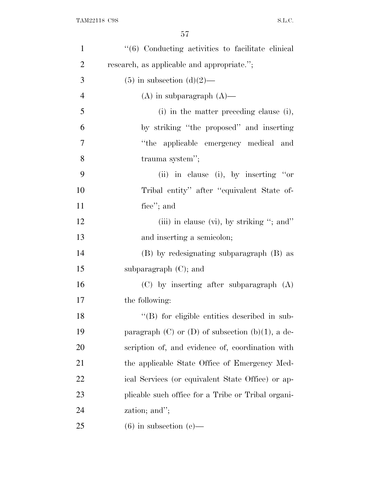| $\mathbf{1}$   | $\cdot\cdot\cdot$ (6) Conducting activities to facilitate clinical |
|----------------|--------------------------------------------------------------------|
| $\overline{2}$ | research, as applicable and appropriate.";                         |
| 3              | $(5)$ in subsection $(d)(2)$ —                                     |
| $\overline{4}$ | $(A)$ in subparagraph $(A)$ —                                      |
| 5              | (i) in the matter preceding clause (i),                            |
| 6              | by striking "the proposed" and inserting                           |
| $\tau$         | "the applicable emergency medical and                              |
| 8              | trauma system";                                                    |
| 9              | (ii) in clause (i), by inserting "or                               |
| 10             | Tribal entity" after "equivalent State of-                         |
| 11             | fice"; and                                                         |
| 12             | (iii) in clause (vi), by striking "; and"                          |
| 13             | and inserting a semicolon;                                         |
| 14             | (B) by redesignating subparagraph (B) as                           |
| 15             | subparagraph $(C)$ ; and                                           |
| 16             | $(C)$ by inserting after subparagraph $(A)$                        |
| 17             | the following:                                                     |
| 18             | "(B) for eligible entities described in sub-                       |
| 19             | paragraph $(C)$ or $(D)$ of subsection $(b)(1)$ , a de-            |
| 20             | scription of, and evidence of, coordination with                   |
| 21             | the applicable State Office of Emergency Med-                      |
| 22             | ical Services (or equivalent State Office) or ap-                  |
| 23             | plicable such office for a Tribe or Tribal organi-                 |
| 24             | zation; and";                                                      |
| 25             | $(6)$ in subsection $(e)$ —                                        |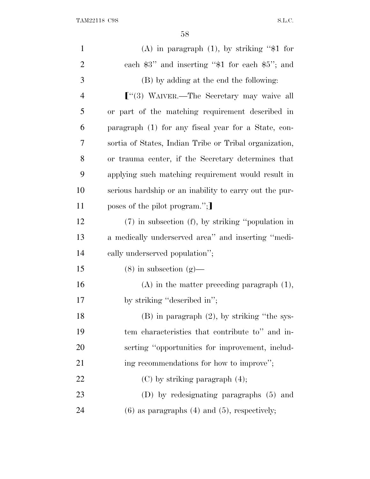| $\mathbf{1}$   | (A) in paragraph $(1)$ , by striking "\$1 for          |
|----------------|--------------------------------------------------------|
| $\overline{2}$ | each $$3"$ and inserting " $$1$ for each $$5"$ ; and   |
| 3              | (B) by adding at the end the following:                |
| 4              | $\lbrack$ (3) WAIVER.—The Secretary may waive all      |
| 5              | or part of the matching requirement described in       |
| 6              | paragraph (1) for any fiscal year for a State, con-    |
| 7              | sortia of States, Indian Tribe or Tribal organization, |
| 8              | or trauma center, if the Secretary determines that     |
| 9              | applying such matching requirement would result in     |
| 10             | serious hardship or an inability to carry out the pur- |
| 11             | poses of the pilot program.";                          |
| 12             | $(7)$ in subsection $(f)$ , by striking "population in |
| 13             | a medically underserved area" and inserting "medi-     |
| 14             | cally underserved population";                         |
| 15             | $(8)$ in subsection $(g)$ —                            |
| 16             | $(A)$ in the matter preceding paragraph $(1)$ ,        |
| 17             | by striking "described in";                            |
| 18             | $(B)$ in paragraph $(2)$ , by striking "the sys-       |
| 19             | tem characteristics that contribute to" and in-        |
| 20             | serting "opportunities for improvement, includ-        |
| 21             | ing recommendations for how to improve";               |
| 22             | $(C)$ by striking paragraph $(4)$ ;                    |
| 23             | (D) by redesignating paragraphs (5) and                |
| 24             | $(6)$ as paragraphs $(4)$ and $(5)$ , respectively;    |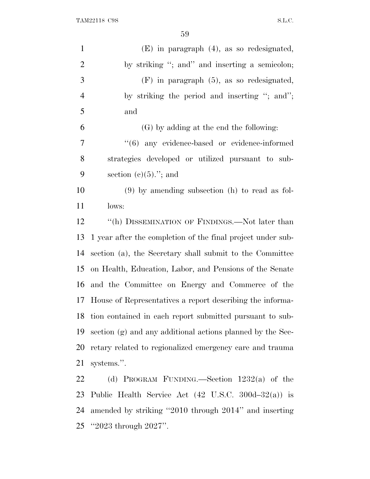| $\mathbf{1}$             | $(E)$ in paragraph $(4)$ , as so redesignated,                 |
|--------------------------|----------------------------------------------------------------|
| $\mathbf{2}$             | by striking "; and" and inserting a semicolon;                 |
| $\mathfrak{Z}$           | $(F)$ in paragraph $(5)$ , as so redesignated,                 |
| $\overline{\mathcal{A}}$ | by striking the period and inserting "; and";                  |
| 5                        | and                                                            |
| 6                        | (G) by adding at the end the following:                        |
| 7                        | "(6) any evidence-based or evidence-informed                   |
| 8                        | strategies developed or utilized pursuant to sub-              |
| 9                        | section $(c)(5)$ ."; and                                       |
| 10                       | $(9)$ by amending subsection (h) to read as fol-               |
| 11                       | lows:                                                          |
| 12                       | "(h) DISSEMINATION OF FINDINGS.—Not later than                 |
| 13                       | 1 year after the completion of the final project under sub-    |
| 14                       | section (a), the Secretary shall submit to the Committee       |
| 15                       | on Health, Education, Labor, and Pensions of the Senate        |
| 16                       | and the Committee on Energy and Commerce of the                |
| 17                       | House of Representatives a report describing the informa-      |
| 18                       | tion contained in each report submitted pursuant to sub-       |
| 19                       | section (g) and any additional actions planned by the Sec-     |
| 20                       | retary related to regionalized emergency care and trauma       |
| 21                       | systems.".                                                     |
| 22                       | (d) PROGRAM FUNDING.—Section $1232(a)$ of the                  |
| 23                       | Public Health Service Act $(42 \text{ U.S.C. } 300d-32(a))$ is |
| 24                       | amended by striking "2010 through 2014" and inserting          |

''2023 through 2027''.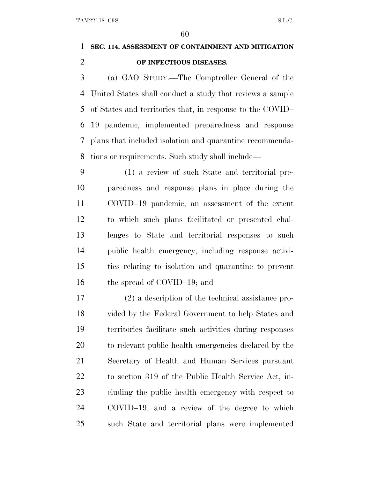## **SEC. 114. ASSESSMENT OF CONTAINMENT AND MITIGATION OF INFECTIOUS DISEASES.**

 (a) GAO STUDY.—The Comptroller General of the United States shall conduct a study that reviews a sample of States and territories that, in response to the COVID– 19 pandemic, implemented preparedness and response plans that included isolation and quarantine recommenda-tions or requirements. Such study shall include—

 (1) a review of such State and territorial pre- paredness and response plans in place during the COVID–19 pandemic, an assessment of the extent to which such plans facilitated or presented chal- lenges to State and territorial responses to such public health emergency, including response activi- ties relating to isolation and quarantine to prevent 16 the spread of COVID–19; and

 (2) a description of the technical assistance pro- vided by the Federal Government to help States and territories facilitate such activities during responses to relevant public health emergencies declared by the Secretary of Health and Human Services pursuant to section 319 of the Public Health Service Act, in- cluding the public health emergency with respect to COVID–19, and a review of the degree to which such State and territorial plans were implemented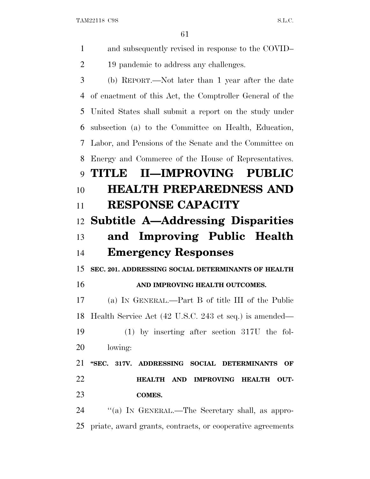| $\mathbf{1}$ | and subsequently revised in response to the COVID-       |
|--------------|----------------------------------------------------------|
| 2            | 19 pandemic to address any challenges.                   |
| 3            | (b) REPORT.—Not later than 1 year after the date         |
| 4            | of enactment of this Act, the Comptroller General of the |
| 5            | United States shall submit a report on the study under   |
| 6            | subsection (a) to the Committee on Health, Education,    |
| 7            | Labor, and Pensions of the Senate and the Committee on   |
| 8            | Energy and Commerce of the House of Representatives.     |
| 9            | II-IMPROVING PUBLIC<br>THITLE                            |
| 10           | <b>HEALTH PREPAREDNESS AND</b>                           |
| 11           | <b>RESPONSE CAPACITY</b>                                 |
| 12           | <b>Subtitle A—Addressing Disparities</b>                 |
|              |                                                          |
| 13           | and Improving Public Health                              |
| 14           | <b>Emergency Responses</b>                               |
| 15           | SEC. 201. ADDRESSING SOCIAL DETERMINANTS OF HEALTH       |
| 16           | AND IMPROVING HEALTH OUTCOMES.                           |
| 17           | (a) IN GENERAL.—Part B of title III of the Public        |
| 18           | Health Service Act (42 U.S.C. 243 et seq.) is amended—   |
| 19           | $(1)$ by inserting after section 317U the fol-           |
| 20           | lowing:                                                  |
| 21           | "SEC. 317V. ADDRESSING SOCIAL DETERMINANTS OF            |
| 22           | <b>HEALTH AND</b><br><b>IMPROVING HEALTH</b><br>OUT-     |
| 23           | <b>COMES.</b>                                            |
| 24           | "(a) IN GENERAL.—The Secretary shall, as appro-          |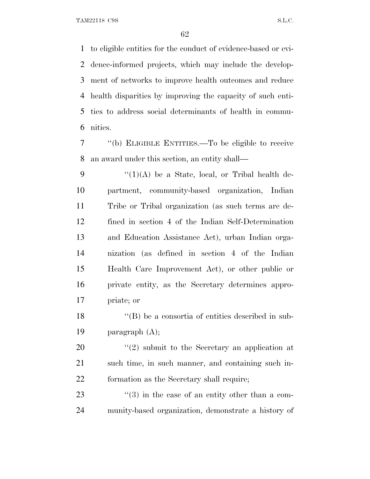to eligible entities for the conduct of evidence-based or evi- dence-informed projects, which may include the develop- ment of networks to improve health outcomes and reduce health disparities by improving the capacity of such enti- ties to address social determinants of health in commu-nities.

 ''(b) ELIGIBLE ENTITIES.—To be eligible to receive an award under this section, an entity shall—

 $\frac{1}{(1)(A)}$  be a State, local, or Tribal health de- partment, community-based organization, Indian Tribe or Tribal organization (as such terms are de- fined in section 4 of the Indian Self-Determination and Education Assistance Act), urban Indian orga- nization (as defined in section 4 of the Indian Health Care Improvement Act), or other public or private entity, as the Secretary determines appro-priate; or

18 ''(B) be a consortia of entities described in sub-paragraph (A);

20  $\frac{1}{2}$   $\frac{1}{2}$  submit to the Secretary an application at such time, in such manner, and containing such in-formation as the Secretary shall require;

23  $\frac{1}{2}$  (3) in the case of an entity other than a com-munity-based organization, demonstrate a history of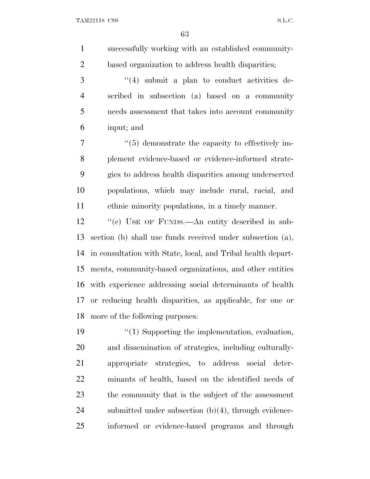| $\mathbf{1}$   | successfully working with an established community-          |
|----------------|--------------------------------------------------------------|
| $\overline{2}$ | based organization to address health disparities;            |
| 3              | $((4)$ submit a plan to conduct activities de-               |
| $\overline{4}$ | scribed in subsection (a) based on a community               |
| 5              | needs assessment that takes into account community           |
| 6              | input; and                                                   |
| 7              | $\cdot\cdot$ (5) demonstrate the capacity to effectively im- |
| 8              | plement evidence-based or evidence-informed strate-          |
| 9              | gies to address health disparities among underserved         |
| 10             | populations, which may include rural, racial, and            |
| 11             | ethnic minority populations, in a timely manner.             |
| 12             | "(c) USE OF FUNDS.—An entity described in sub-               |
| 13             | section (b) shall use funds received under subsection (a),   |
| 14             | in consultation with State, local, and Tribal health depart- |
| 15             | ments, community-based organizations, and other entities     |
| 16             | with experience addressing social determinants of health     |
| 17             | or reducing health disparities, as applicable, for one or    |
| 18             | more of the following purposes:                              |
| 19             | "(1) Supporting the implementation, evaluation,              |
| 20             | and dissemination of strategies, including culturally-       |
| 21             | strategies, to address social deter-<br>appropriate          |
| 22             | minants of health, based on the identified needs of          |
| 23             | the community that is the subject of the assessment          |
| 24             | submitted under subsection $(b)(4)$ , through evidence-      |
| 25             | informed or evidence-based programs and through              |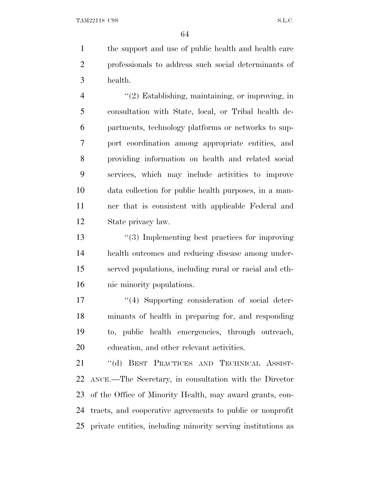the support and use of public health and health care professionals to address such social determinants of health.

4 "(2) Establishing, maintaining, or improving, in consultation with State, local, or Tribal health de- partments, technology platforms or networks to sup- port coordination among appropriate entities, and providing information on health and related social services, which may include activities to improve data collection for public health purposes, in a man- ner that is consistent with applicable Federal and State privacy law.

 ''(3) Implementing best practices for improving health outcomes and reducing disease among under- served populations, including rural or racial and eth-nic minority populations.

 $\frac{17}{2}$  ''(4) Supporting consideration of social deter- minants of health in preparing for, and responding to, public health emergencies, through outreach, education, and other relevant activities.

 ''(d) BEST PRACTICES AND TECHNICAL ASSIST- ANCE.—The Secretary, in consultation with the Director of the Office of Minority Health, may award grants, con- tracts, and cooperative agreements to public or nonprofit private entities, including minority serving institutions as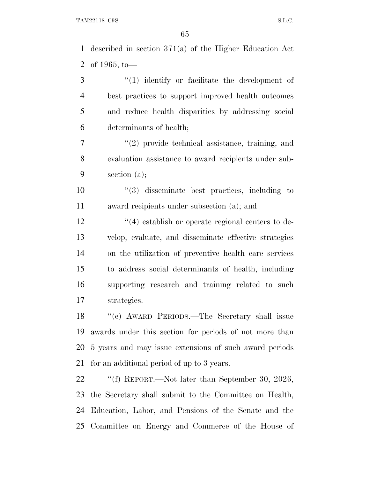described in section 371(a) of the Higher Education Act of 1965, to—

3 (1) identify or facilitate the development of best practices to support improved health outcomes and reduce health disparities by addressing social determinants of health;

 ''(2) provide technical assistance, training, and evaluation assistance to award recipients under sub-section (a);

 ''(3) disseminate best practices, including to award recipients under subsection (a); and

12 ''(4) establish or operate regional centers to de- velop, evaluate, and disseminate effective strategies on the utilization of preventive health care services to address social determinants of health, including supporting research and training related to such strategies.

 ''(e) AWARD PERIODS.—The Secretary shall issue awards under this section for periods of not more than 5 years and may issue extensions of such award periods for an additional period of up to 3 years.

 ''(f) REPORT.—Not later than September 30, 2026, the Secretary shall submit to the Committee on Health, Education, Labor, and Pensions of the Senate and the Committee on Energy and Commerce of the House of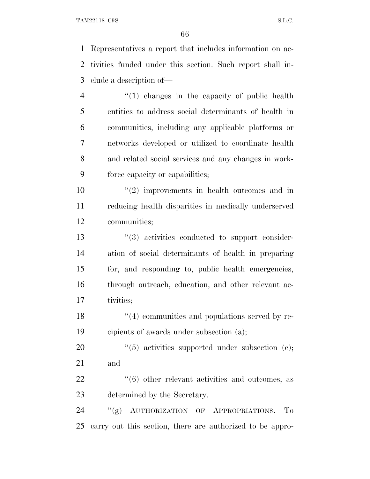Representatives a report that includes information on ac- tivities funded under this section. Such report shall in-clude a description of—

4 "(1) changes in the capacity of public health entities to address social determinants of health in communities, including any applicable platforms or networks developed or utilized to coordinate health and related social services and any changes in work-force capacity or capabilities;

 $(2)$  improvements in health outcomes and in reducing health disparities in medically underserved communities;

 $\frac{13}{2}$   $\frac{13}{2}$  activities conducted to support consider- ation of social determinants of health in preparing for, and responding to, public health emergencies, through outreach, education, and other relevant ac-tivities;

18 ''(4) communities and populations served by re-cipients of awards under subsection (a);

20  $(5)$  activities supported under subsection (e); and

22  $\frac{4}{6}$  other relevant activities and outcomes, as determined by the Secretary.

24 "(g) AUTHORIZATION OF APPROPRIATIONS.-To carry out this section, there are authorized to be appro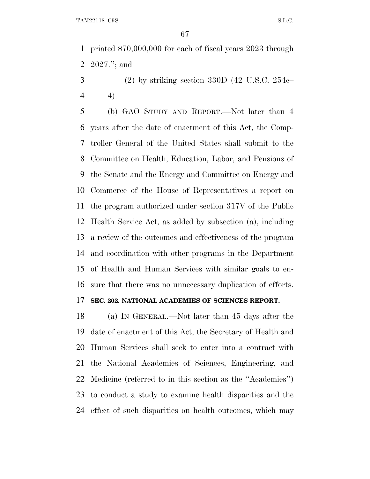priated \$70,000,000 for each of fiscal years 2023 through 2027.''; and

 $3 \qquad (2)$  by striking section 330D (42 U.S.C. 254c–  $4 \t 4$ .

 (b) GAO STUDY AND REPORT.—Not later than 4 years after the date of enactment of this Act, the Comp- troller General of the United States shall submit to the Committee on Health, Education, Labor, and Pensions of the Senate and the Energy and Committee on Energy and Commerce of the House of Representatives a report on the program authorized under section 317V of the Public Health Service Act, as added by subsection (a), including a review of the outcomes and effectiveness of the program and coordination with other programs in the Department of Health and Human Services with similar goals to en-sure that there was no unnecessary duplication of efforts.

## **SEC. 202. NATIONAL ACADEMIES OF SCIENCES REPORT.**

 (a) I<sup>N</sup> GENERAL.—Not later than 45 days after the date of enactment of this Act, the Secretary of Health and Human Services shall seek to enter into a contract with the National Academies of Sciences, Engineering, and Medicine (referred to in this section as the ''Academies'') to conduct a study to examine health disparities and the effect of such disparities on health outcomes, which may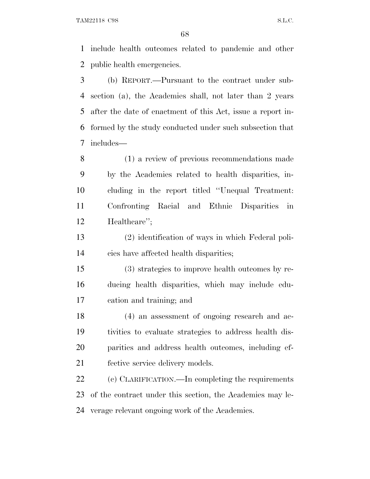include health outcomes related to pandemic and other public health emergencies.

 (b) REPORT.—Pursuant to the contract under sub- section (a), the Academies shall, not later than 2 years after the date of enactment of this Act, issue a report in- formed by the study conducted under such subsection that includes—

 (1) a review of previous recommendations made by the Academies related to health disparities, in- cluding in the report titled ''Unequal Treatment: Confronting Racial and Ethnic Disparities in Healthcare'';

 (2) identification of ways in which Federal poli-cies have affected health disparities;

 (3) strategies to improve health outcomes by re- ducing health disparities, which may include edu-cation and training; and

 (4) an assessment of ongoing research and ac- tivities to evaluate strategies to address health dis- parities and address health outcomes, including ef-fective service delivery models.

 (c) CLARIFICATION.—In completing the requirements of the contract under this section, the Academies may le-verage relevant ongoing work of the Academies.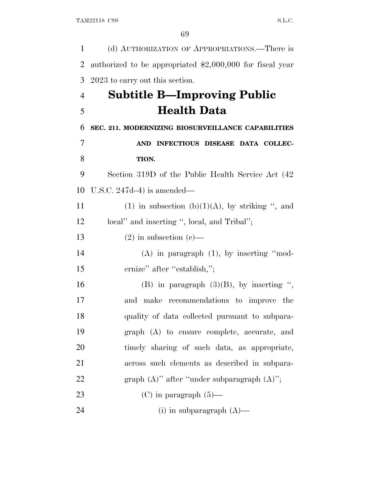| $\mathbf{1}$   | (d) AUTHORIZATION OF APPROPRIATIONS.—There is             |
|----------------|-----------------------------------------------------------|
| $\overline{2}$ | authorized to be appropriated \$2,000,000 for fiscal year |
| 3              | 2023 to carry out this section.                           |
| $\overline{4}$ | <b>Subtitle B—Improving Public</b>                        |
| 5              | <b>Health Data</b>                                        |
| 6              | SEC. 211. MODERNIZING BIOSURVEILLANCE CAPABILITIES        |
| $\overline{7}$ | AND INFECTIOUS DISEASE DATA COLLEC-                       |
| 8              | TION.                                                     |
| 9              | Section 319D of the Public Health Service Act (42)        |
| 10             | U.S.C. $247d-4$ ) is amended—                             |
| 11             | (1) in subsection (b) $(1)(A)$ , by striking ", and       |
| 12             | local" and inserting ", local, and Tribal";               |
| 13             | $(2)$ in subsection $(e)$ —                               |
| 14             | $(A)$ in paragraph $(1)$ , by inserting "mod-             |
| 15             | ernize" after "establish,";                               |
| 16             | (B) in paragraph $(3)(B)$ , by inserting ",               |
| 17             | and make recommendations to improve the                   |
| 18             | quality of data collected pursuant to subpara-            |
| 19             | graph (A) to ensure complete, accurate, and               |
| 20             | timely sharing of such data, as appropriate,              |
| 21             | across such elements as described in subpara-             |
| 22             | graph $(A)$ " after "under subparagraph $(A)$ ";          |
| 23             | $(C)$ in paragraph $(5)$ —                                |
| 24             | (i) in subparagraph $(A)$ —                               |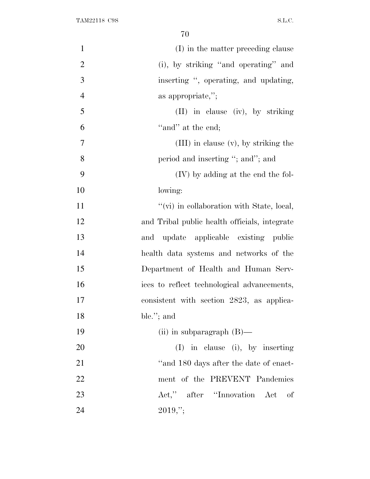| $\mathbf{1}$   | (I) in the matter preceding clause            |
|----------------|-----------------------------------------------|
| $\overline{2}$ | (i), by striking "and operating" and          |
| 3              | inserting ", operating, and updating,         |
| $\overline{4}$ | as appropriate,";                             |
| 5              | (II) in clause (iv), by striking              |
| 6              | "and" at the end;                             |
| $\overline{7}$ | $(III)$ in clause $(v)$ , by striking the     |
| 8              | period and inserting "; and"; and             |
| 9              | (IV) by adding at the end the fol-            |
| 10             | lowing:                                       |
| 11             | "(vi) in collaboration with State, local,     |
| 12             | and Tribal public health officials, integrate |
| 13             | and update applicable existing public         |
| 14             | health data systems and networks of the       |
| 15             | Department of Health and Human Serv-          |
| 16             | ices to reflect technological advancements,   |
| 17             | consistent with section 2823, as applica-     |
| 18             | ble."; and                                    |
| 19             | (ii) in subparagraph $(B)$ —                  |
| 20             | $(I)$ in clause (i), by inserting             |
| 21             | "and 180 days after the date of enact-        |
| 22             | ment of the PREVENT Pandemics                 |
| 23             | Act," after "Innovation Act<br>of             |
| 24             | $2019,$ ";                                    |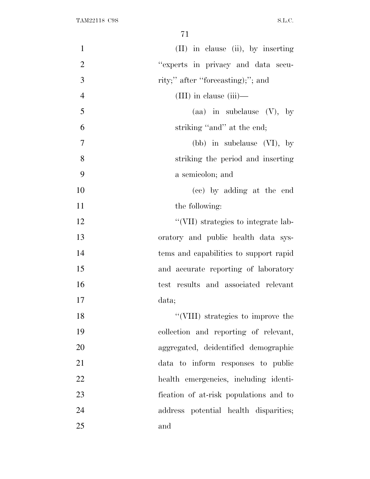| $\mathbf{1}$   | (II) in clause (ii), by inserting      |
|----------------|----------------------------------------|
| $\overline{2}$ | "experts in privacy and data secu-     |
| 3              | rity;" after "forecasting);"; and      |
| $\overline{4}$ | $(III)$ in clause $(iii)$ —            |
| 5              | (aa) in subclause $(V)$ , by           |
| 6              | striking "and" at the end;             |
| 7              | (bb) in subclause $(VI)$ , by          |
| 8              | striking the period and inserting      |
| 9              | a semicolon; and                       |
| 10             | (cc) by adding at the end              |
| 11             | the following:                         |
| 12             | "(VII) strategies to integrate lab-    |
| 13             | oratory and public health data sys-    |
| 14             | tems and capabilities to support rapid |
| 15             | and accurate reporting of laboratory   |
| 16             | test results and associated relevant   |
| 17             | data;                                  |
| 18             | "(VIII) strategies to improve the      |
| 19             | collection and reporting of relevant,  |
| 20             | aggregated, deidentified demographic   |
| 21             | data to inform responses to public     |
| 22             | health emergencies, including identi-  |
| 23             | fication of at-risk populations and to |
| 24             | address potential health disparities;  |
| 25             | and                                    |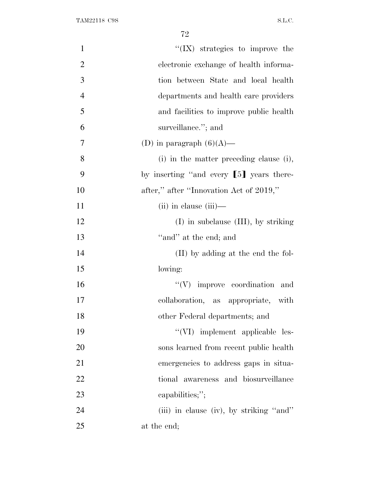| $\mathbf{1}$   | $\lq\lq$ (IX) strategies to improve the  |
|----------------|------------------------------------------|
| $\overline{2}$ | electronic exchange of health informa-   |
| 3              | tion between State and local health      |
| $\overline{4}$ | departments and health care providers    |
| 5              | and facilities to improve public health  |
| 6              | surveillance."; and                      |
| $\overline{7}$ | (D) in paragraph $(6)(A)$ —              |
| 8              | (i) in the matter preceding clause (i),  |
| 9              | by inserting "and every [5] years there- |
| 10             | after," after "Innovation Act of 2019,"  |
| 11             | $(ii)$ in clause $(iii)$ —               |
| 12             | $(I)$ in subclause $(III)$ , by striking |
| 13             | "and" at the end; and                    |
| 14             | (II) by adding at the end the fol-       |
| 15             | lowing:                                  |
| 16             | $``(V)$ improve coordination and         |
| 17             | collaboration, as appropriate, with      |
| 18             | other Federal departments; and           |
| 19             | "(VI) implement applicable les-          |
| 20             | sons learned from recent public health   |
| 21             | emergencies to address gaps in situa-    |
| 22             | tional awareness and biosurveillance     |
| 23             | capabilities;";                          |
| 24             | (iii) in clause (iv), by striking "and"  |
| 25             | at the end;                              |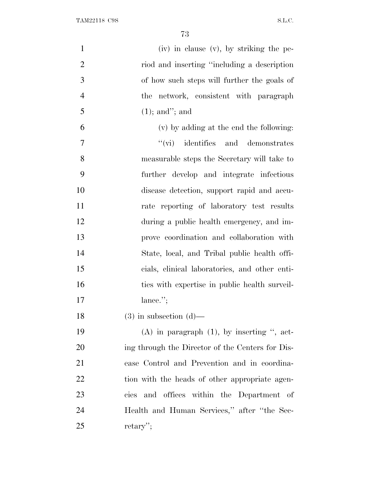| $\mathbf{1}$   | (iv) in clause (v), by striking the pe-          |
|----------------|--------------------------------------------------|
| $\overline{2}$ | riod and inserting "including a description"     |
| 3              | of how such steps will further the goals of      |
| $\overline{4}$ | the network, consistent with paragraph           |
| 5              | $(1)$ ; and"; and                                |
| 6              | (v) by adding at the end the following:          |
| $\overline{7}$ | $``(\text{vi})$ identifies and demonstrates      |
| 8              | measurable steps the Secretary will take to      |
| 9              | further develop and integrate infectious         |
| 10             | disease detection, support rapid and accu-       |
| 11             | rate reporting of laboratory test results        |
| 12             | during a public health emergency, and im-        |
| 13             | prove coordination and collaboration with        |
| 14             | State, local, and Tribal public health offi-     |
| 15             | cials, clinical laboratories, and other enti-    |
| 16             | ties with expertise in public health surveil-    |
| 17             | lance."                                          |
| 18             | $(3)$ in subsection $(d)$ —                      |
| 19             | $(A)$ in paragraph $(1)$ , by inserting ", act-  |
| 20             | ing through the Director of the Centers for Dis- |
| 21             | ease Control and Prevention and in coordina-     |
| 22             | tion with the heads of other appropriate agen-   |
| 23             | cies and offices within the Department of        |
| 24             | Health and Human Services," after "the Sec-      |
| 25             | $return$ .                                       |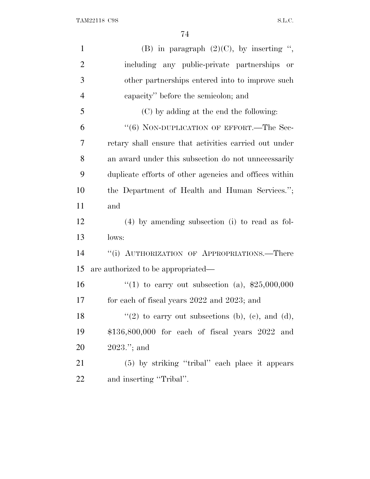TAM22118 C9S S.L.C.

| $\mathbf{1}$   | (B) in paragraph $(2)(C)$ , by inserting ",            |
|----------------|--------------------------------------------------------|
| $\overline{2}$ | including any public-private partnerships<br>or        |
| 3              | other partnerships entered into to improve such        |
| 4              | capacity" before the semicolon; and                    |
| 5              | (C) by adding at the end the following:                |
| 6              | "(6) NON-DUPLICATION OF EFFORT.—The Sec-               |
| 7              | retary shall ensure that activities carried out under  |
| 8              | an award under this subsection do not unnecessarily    |
| 9              | duplicate efforts of other agencies and offices within |
| 10             | the Department of Health and Human Services.";         |
| 11             | and                                                    |
| 12             | $(4)$ by amending subsection (i) to read as fol-       |
| 13             | lows:                                                  |
| 14             | "(i) AUTHORIZATION OF APPROPRIATIONS.—There            |
| 15             | are authorized to be appropriated—                     |
| 16             | "(1) to carry out subsection (a), $$25,000,000$        |
| 17             | for each of fiscal years 2022 and 2023; and            |
| 18             | $\lq(2)$ to carry out subsections (b), (c), and (d),   |
| 19             | \$136,800,000 for each of fiscal years 2022 and        |
| 20             |                                                        |
|                | $2023$ ."; and                                         |
| 21             | (5) by striking "tribal" each place it appears         |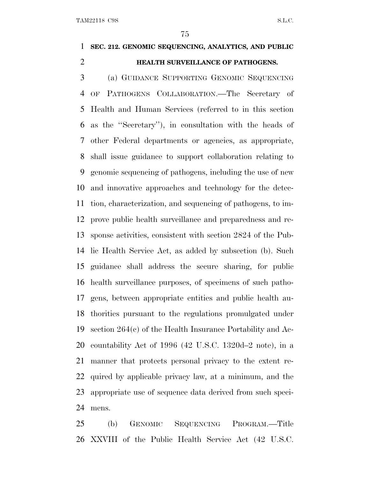## **SEC. 212. GENOMIC SEQUENCING, ANALYTICS, AND PUBLIC HEALTH SURVEILLANCE OF PATHOGENS.**

 (a) GUIDANCE SUPPORTING GENOMIC SEQUENCING OF PATHOGENS COLLABORATION.—The Secretary of Health and Human Services (referred to in this section as the ''Secretary''), in consultation with the heads of other Federal departments or agencies, as appropriate, shall issue guidance to support collaboration relating to genomic sequencing of pathogens, including the use of new and innovative approaches and technology for the detec- tion, characterization, and sequencing of pathogens, to im- prove public health surveillance and preparedness and re- sponse activities, consistent with section 2824 of the Pub- lic Health Service Act, as added by subsection (b). Such guidance shall address the secure sharing, for public health surveillance purposes, of specimens of such patho- gens, between appropriate entities and public health au- thorities pursuant to the regulations promulgated under section 264(c) of the Health Insurance Portability and Ac- countability Act of 1996 (42 U.S.C. 1320d–2 note), in a manner that protects personal privacy to the extent re- quired by applicable privacy law, at a minimum, and the appropriate use of sequence data derived from such speci-mens.

 (b) GENOMIC SEQUENCING PROGRAM.—Title XXVIII of the Public Health Service Act (42 U.S.C.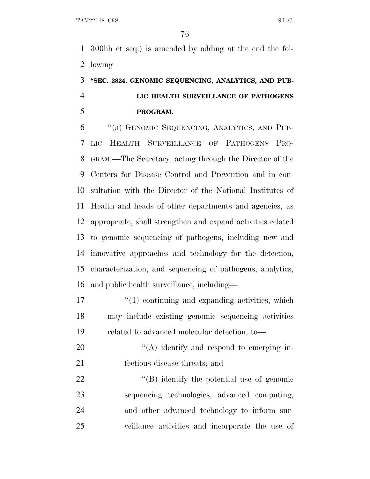300hh et seq.) is amended by adding at the end the fol-lowing

## **''SEC. 2824. GENOMIC SEQUENCING, ANALYTICS, AND PUB- LIC HEALTH SURVEILLANCE OF PATHOGENS PROGRAM.**

 ''(a) GENOMIC SEQUENCING, ANALYTICS, AND PUB- LIC HEALTH SURVEILLANCE OF PATHOGENS PRO- GRAM.—The Secretary, acting through the Director of the Centers for Disease Control and Prevention and in con- sultation with the Director of the National Institutes of Health and heads of other departments and agencies, as appropriate, shall strengthen and expand activities related to genomic sequencing of pathogens, including new and innovative approaches and technology for the detection, characterization, and sequencing of pathogens, analytics, and public health surveillance, including—

17 ''(1) continuing and expanding activities, which may include existing genomic sequencing activities related to advanced molecular detection, to—

20 "(A) identify and respond to emerging in-fectious disease threats; and

 $\langle (B) \rangle$  identify the potential use of genomic sequencing technologies, advanced computing, and other advanced technology to inform sur-veillance activities and incorporate the use of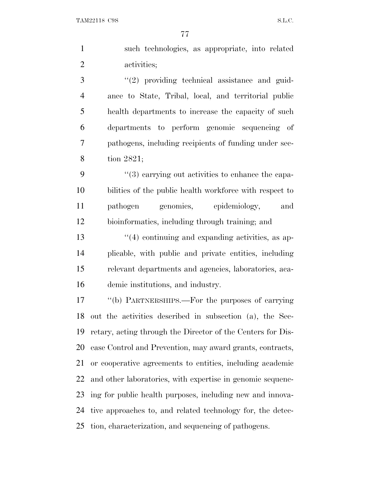TAM22118 C9S S.L.C.

 such technologies, as appropriate, into related activities;

3 "(2) providing technical assistance and guid- ance to State, Tribal, local, and territorial public health departments to increase the capacity of such departments to perform genomic sequencing of pathogens, including recipients of funding under sec-tion 2821;

 ''(3) carrying out activities to enhance the capa- bilities of the public health workforce with respect to pathogen genomics, epidemiology, and bioinformatics, including through training; and

13 ''(4) continuing and expanding activities, as ap- plicable, with public and private entities, including relevant departments and agencies, laboratories, aca-demic institutions, and industry.

 ''(b) PARTNERSHIPS.—For the purposes of carrying out the activities described in subsection (a), the Sec- retary, acting through the Director of the Centers for Dis- ease Control and Prevention, may award grants, contracts, or cooperative agreements to entities, including academic and other laboratories, with expertise in genomic sequenc- ing for public health purposes, including new and innova- tive approaches to, and related technology for, the detec-tion, characterization, and sequencing of pathogens.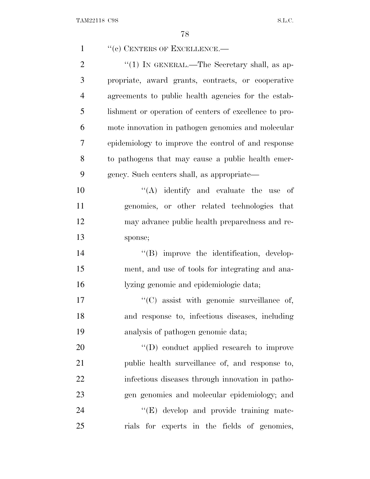| $\mathbf{1}$   | "(c) CENTERS OF EXCELLENCE.-                           |
|----------------|--------------------------------------------------------|
| $\overline{2}$ | " $(1)$ IN GENERAL.—The Secretary shall, as ap-        |
| 3              | propriate, award grants, contracts, or cooperative     |
| $\overline{4}$ | agreements to public health agencies for the estab-    |
| 5              | lishment or operation of centers of excellence to pro- |
| 6              | mote innovation in pathogen genomics and molecular     |
| 7              | epidemiology to improve the control of and response    |
| 8              | to pathogens that may cause a public health emer-      |
| 9              | gency. Such centers shall, as appropriate—             |
| 10             | $\lq\lq$ identify and evaluate the use of              |
| 11             | genomics, or other related technologies that           |
| 12             | may advance public health preparedness and re-         |
| 13             | sponse;                                                |
| 14             | "(B) improve the identification, develop-              |
| 15             | ment, and use of tools for integrating and ana-        |
| 16             | lyzing genomic and epidemiologic data;                 |
| 17             | $\lq\lq$ (C) assist with genomic surveillance of,      |
| 18             | and response to, infectious diseases, including        |
| 19             | analysis of pathogen genomic data;                     |
| 20             | $\lq\lq$ (D) conduct applied research to improve       |
| 21             | public health surveillance of, and response to,        |
| 22             | infectious diseases through innovation in patho-       |
| 23             | gen genomics and molecular epidemiology; and           |
| 24             | "(E) develop and provide training mate-                |
| 25             | rials for experts in the fields of genomics,           |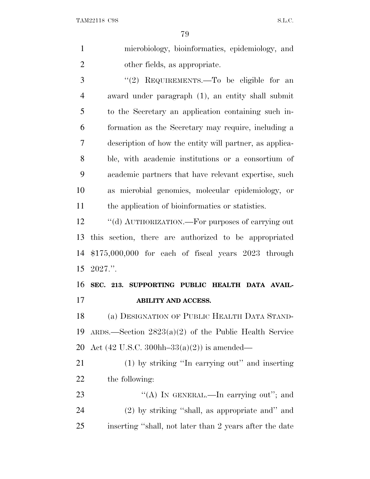| $\mathbf{1}$   | microbiology, bioinformatics, epidemiology, and                 |
|----------------|-----------------------------------------------------------------|
| $\overline{2}$ | other fields, as appropriate.                                   |
| 3              | "(2) REQUIREMENTS.—To be eligible for an                        |
| $\overline{4}$ | award under paragraph (1), an entity shall submit               |
| 5              | to the Secretary an application containing such in-             |
| 6              | formation as the Secretary may require, including a             |
| 7              | description of how the entity will partner, as applica-         |
| 8              | ble, with a cademic institutions or a consortium of             |
| 9              | academic partners that have relevant expertise, such            |
| 10             | as microbial genomics, molecular epidemiology, or               |
| 11             | the application of bioinformatics or statistics.                |
| 12             | "(d) AUTHORIZATION.—For purposes of carrying out                |
| 13             | this section, there are authorized to be appropriated           |
| 14             | $$175,000,000$ for each of fiscal years $2023$ through          |
| 15             | 2027."                                                          |
| 16             |                                                                 |
|                | SEC. 213. SUPPORTING PUBLIC HEALTH DATA AVAIL-                  |
| 17             | <b>ABILITY AND ACCESS.</b>                                      |
| 18             | (a) DESIGNATION OF PUBLIC HEALTH DATA STAND-                    |
| 19             | ARDS.—Section $2823(a)(2)$ of the Public Health Service         |
| 20             | Act $(42 \text{ U.S.C. } 300 \text{hh} - 33(a)(2))$ is amended— |
| 21             | (1) by striking "In carrying out" and inserting                 |
| 22             | the following:                                                  |
| 23             | "(A) IN GENERAL.—In carrying out"; and                          |

inserting ''shall, not later than 2 years after the date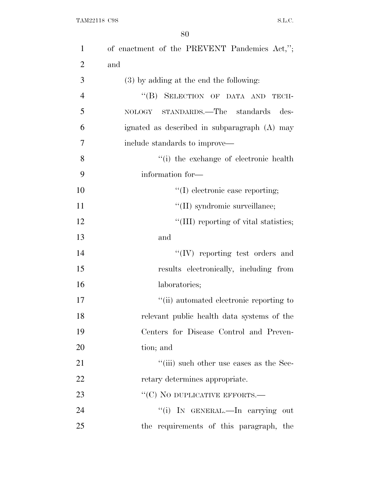| $\mathbf{1}$   | of enactment of the PREVENT Pandemics Act,"; |
|----------------|----------------------------------------------|
| $\overline{2}$ | and                                          |
| 3              | $(3)$ by adding at the end the following:    |
| $\overline{4}$ | "(B) SELECTION OF DATA AND<br>TECH-          |
| 5              | NOLOGY STANDARDS.—The standards<br>des-      |
| 6              | ignated as described in subparagraph (A) may |
| 7              | include standards to improve—                |
| 8              | "(i) the exchange of electronic health       |
| 9              | information for-                             |
| 10             | $\lq\lq$ electronic case reporting;          |
| 11             | "(II) syndromic surveillance;                |
| 12             | "(III) reporting of vital statistics;        |
| 13             | and                                          |
| 14             | $\lq\lq$ (IV) reporting test orders and      |
| 15             | results electronically, including from       |
| 16             | laboratories;                                |
| 17             | "(ii) automated electronic reporting to      |
| 18             | relevant public health data systems of the   |
| 19             | Centers for Disease Control and Preven-      |
| 20             | tion; and                                    |
| 21             | "(iii) such other use cases as the Sec-      |
| 22             | retary determines appropriate.               |
| 23             | "(C) NO DUPLICATIVE EFFORTS.—                |
| 24             | "(i) In GENERAL.—In carrying out             |
| 25             | the requirements of this paragraph, the      |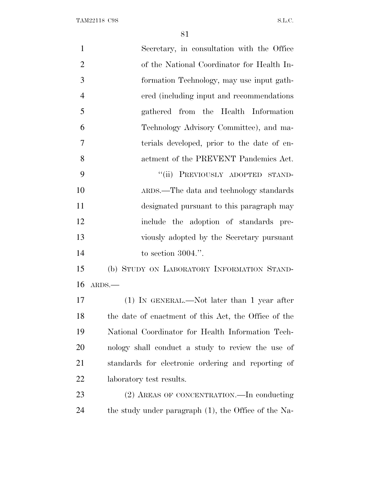| $\mathbf{1}$   | Secretary, in consultation with the Office           |
|----------------|------------------------------------------------------|
| $\overline{2}$ | of the National Coordinator for Health In-           |
| 3              | formation Technology, may use input gath-            |
| $\overline{4}$ | ered (including input and recommendations)           |
| 5              | gathered from the Health Information                 |
| 6              | Technology Advisory Committee), and ma-              |
| 7              | terials developed, prior to the date of en-          |
| 8              | actment of the PREVENT Pandemics Act.                |
| 9              | "(ii) PREVIOUSLY ADOPTED STAND-                      |
| 10             | ARDS.—The data and technology standards              |
| 11             | designated pursuant to this paragraph may            |
| 12             | include the adoption of standards pre-               |
| 13             | viously adopted by the Secretary pursuant            |
| 14             | to section $3004$ .".                                |
| 15             | (b) STUDY ON LABORATORY INFORMATION STAND-           |
| 16             | ARDS.                                                |
| 17             | $(1)$ In GENERAL.—Not later than 1 year after        |
| 18             | the date of enactment of this Act, the Office of the |
| 19             | National Coordinator for Health Information Tech-    |
| 20             | nology shall conduct a study to review the use of    |
| 21             | standards for electronic ordering and reporting of   |
| <u>22</u>      | laboratory test results.                             |
| 23             | (2) AREAS OF CONCENTRATION.—In conducting            |
| 24             | the study under paragraph (1), the Office of the Na- |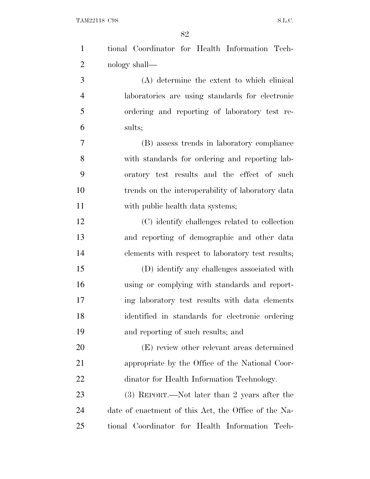| $\mathbf{1}$   | tional Coordinator for Health Information Tech-      |
|----------------|------------------------------------------------------|
| $\overline{2}$ | nology shall—                                        |
| 3              | (A) determine the extent to which clinical           |
| $\overline{4}$ | laboratories are using standards for electronic      |
| 5              | ordering and reporting of laboratory test re-        |
| 6              | sults;                                               |
| 7              | (B) assess trends in laboratory compliance           |
| 8              | with standards for ordering and reporting lab-       |
| 9              | oratory test results and the effect of such          |
| 10             | trends on the interoperability of laboratory data    |
| 11             | with public health data systems;                     |
| 12             | (C) identify challenges related to collection        |
| 13             | and reporting of demographic and other data          |
| 14             | elements with respect to laboratory test results;    |
| 15             | (D) identify any challenges associated with          |
| 16             | using or complying with standards and report-        |
| 17             | ing laboratory test results with data elements       |
| 18             | identified in standards for electronic ordering      |
| 19             | and reporting of such results; and                   |
| 20             | (E) review other relevant areas determined           |
| 21             | appropriate by the Office of the National Coor-      |
| 22             | dinator for Health Information Technology.           |
| 23             | (3) REPORT.—Not later than 2 years after the         |
| 24             | date of enactment of this Act, the Office of the Na- |
| 25             | tional Coordinator for Health Information Tech-      |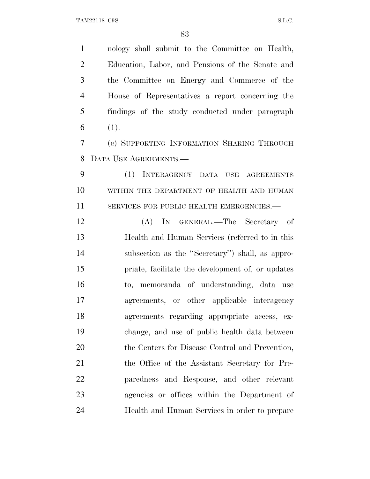nology shall submit to the Committee on Health, Education, Labor, and Pensions of the Senate and the Committee on Energy and Commerce of the House of Representatives a report concerning the findings of the study conducted under paragraph 6  $(1).$ 

 (c) SUPPORTING INFORMATION SHARING THROUGH DATA USE AGREEMENTS.—

 (1) INTERAGENCY DATA USE AGREEMENTS 10 WITHIN THE DEPARTMENT OF HEALTH AND HUMAN 11 SERVICES FOR PUBLIC HEALTH EMERGENCIES.—

 (A) IN GENERAL.—The Secretary of Health and Human Services (referred to in this subsection as the ''Secretary'') shall, as appro- priate, facilitate the development of, or updates to, memoranda of understanding, data use agreements, or other applicable interagency agreements regarding appropriate access, ex- change, and use of public health data between 20 the Centers for Disease Control and Prevention, the Office of the Assistant Secretary for Pre- paredness and Response, and other relevant agencies or offices within the Department of Health and Human Services in order to prepare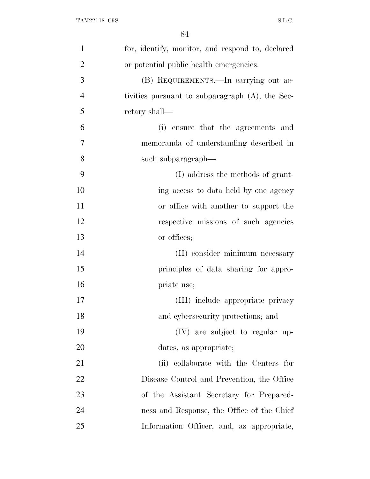| $\mathbf{1}$   | for, identify, monitor, and respond to, declared |
|----------------|--------------------------------------------------|
| $\overline{2}$ | or potential public health emergencies.          |
| 3              | (B) REQUIREMENTS.—In carrying out ac-            |
| $\overline{4}$ | tivities pursuant to subparagraph (A), the Sec-  |
| 5              | retary shall—                                    |
| 6              | (i) ensure that the agreements and               |
| 7              | memoranda of understanding described in          |
| 8              | such subparagraph—                               |
| 9              | (I) address the methods of grant-                |
| 10             | ing access to data held by one agency            |
| 11             | or office with another to support the            |
| 12             | respective missions of such agencies             |
| 13             | or offices;                                      |
| 14             | (II) consider minimum necessary                  |
| 15             | principles of data sharing for appro-            |
| 16             | priate use;                                      |
| 17             | (III) include appropriate privacy                |
| 18             | and cybersecurity protections; and               |
| 19             | (IV) are subject to regular up-                  |
| 20             | dates, as appropriate;                           |
| 21             | (ii) collaborate with the Centers for            |
| 22             | Disease Control and Prevention, the Office       |
| 23             | of the Assistant Secretary for Prepared-         |
| 24             | ness and Response, the Office of the Chief       |
| 25             | Information Officer, and, as appropriate,        |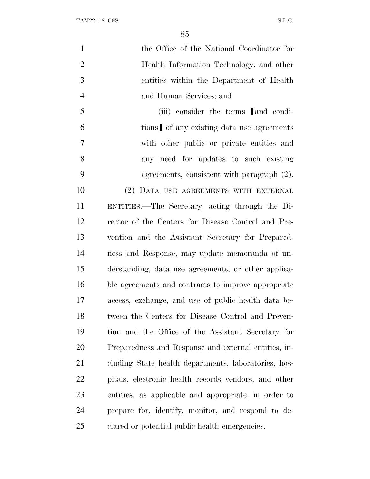| $\mathbf{1}$   | the Office of the National Coordinator for           |
|----------------|------------------------------------------------------|
| $\overline{2}$ | Health Information Technology, and other             |
| 3              | entities within the Department of Health             |
| $\overline{4}$ | and Human Services; and                              |
| 5              | (iii) consider the terms [and condi-                 |
| 6              | tions] of any existing data use agreements           |
| $\overline{7}$ | with other public or private entities and            |
| 8              | any need for updates to such existing                |
| 9              | agreements, consistent with paragraph $(2)$ .        |
| 10             | (2) DATA USE AGREEMENTS WITH EXTERNAL                |
| 11             | ENTITIES.—The Secretary, acting through the Di-      |
| 12             | rector of the Centers for Disease Control and Pre-   |
| 13             | vention and the Assistant Secretary for Prepared-    |
| 14             | ness and Response, may update memoranda of un-       |
| 15             | derstanding, data use agreements, or other applica-  |
| 16             | ble agreements and contracts to improve appropriate  |
| 17             | access, exchange, and use of public health data be-  |
| 18             | tween the Centers for Disease Control and Preven-    |
| 19             | tion and the Office of the Assistant Secretary for   |
| 20             | Preparedness and Response and external entities, in- |
| 21             | cluding State health departments, laboratories, hos- |
| 22             | pitals, electronic health records vendors, and other |
| 23             | entities, as applicable and appropriate, in order to |
| 24             | prepare for, identify, monitor, and respond to de-   |
| 25             | clared or potential public health emergencies.       |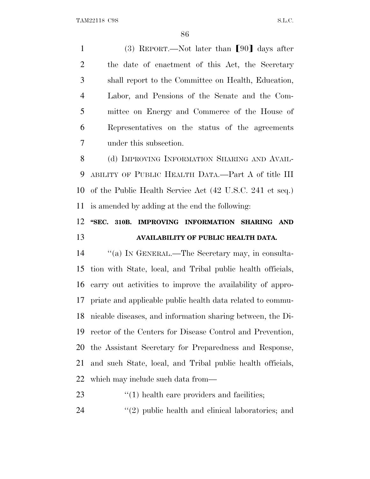1 (3) REPORT.—Not later than  $[90]$  days after the date of enactment of this Act, the Secretary shall report to the Committee on Health, Education, Labor, and Pensions of the Senate and the Com- mittee on Energy and Commerce of the House of Representatives on the status of the agreements under this subsection.

8 (d) IMPROVING INFORMATION SHARING AND AVAIL- ABILITY OF PUBLIC HEALTH DATA.—Part A of title III of the Public Health Service Act (42 U.S.C. 241 et seq.) is amended by adding at the end the following:

## **''SEC. 310B. IMPROVING INFORMATION SHARING AND AVAILABILITY OF PUBLIC HEALTH DATA.**

 ''(a) I<sup>N</sup> GENERAL.—The Secretary may, in consulta- tion with State, local, and Tribal public health officials, carry out activities to improve the availability of appro- priate and applicable public health data related to commu- nicable diseases, and information sharing between, the Di- rector of the Centers for Disease Control and Prevention, the Assistant Secretary for Preparedness and Response, and such State, local, and Tribal public health officials, which may include such data from—

- 23  $\frac{1}{2}$  (1) health care providers and facilities;
- 24 ''(2) public health and clinical laboratories; and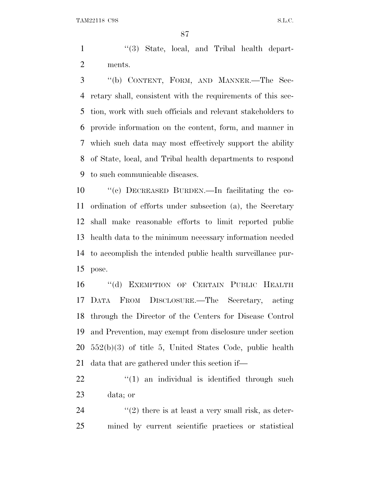1 ''(3) State, local, and Tribal health depart-ments.

 ''(b) CONTENT, FORM, AND MANNER.—The Sec- retary shall, consistent with the requirements of this sec- tion, work with such officials and relevant stakeholders to provide information on the content, form, and manner in which such data may most effectively support the ability of State, local, and Tribal health departments to respond to such communicable diseases.

 ''(c) DECREASED BURDEN.—In facilitating the co- ordination of efforts under subsection (a), the Secretary shall make reasonable efforts to limit reported public health data to the minimum necessary information needed to accomplish the intended public health surveillance pur-pose.

 ''(d) EXEMPTION OF CERTAIN PUBLIC HEALTH DATA FROM DISCLOSURE.—The Secretary, acting through the Director of the Centers for Disease Control and Prevention, may exempt from disclosure under section 552(b)(3) of title 5, United States Code, public health data that are gathered under this section if—

  $\qquad$   $\qquad$   $(1)$  an individual is identified through such data; or

24  $(2)$  there is at least a very small risk, as deter-mined by current scientific practices or statistical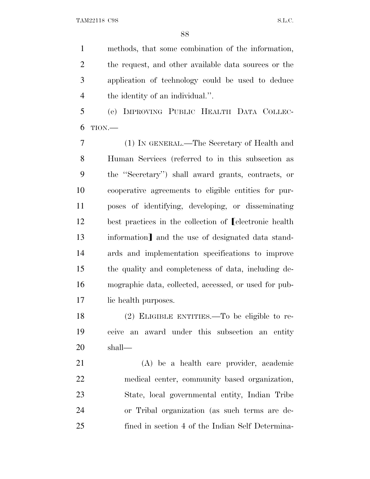methods, that some combination of the information, the request, and other available data sources or the application of technology could be used to deduce the identity of an individual.''.

 (e) IMPROVING PUBLIC HEALTH DATA COLLEC-TION.—

 (1) IN GENERAL.—The Secretary of Health and Human Services (referred to in this subsection as the ''Secretary'') shall award grants, contracts, or cooperative agreements to eligible entities for pur- poses of identifying, developing, or disseminating 12 best practices in the collection of **LeastELECT** best practices in the collection of **LeastELECT** 13 information and the use of designated data stand- ards and implementation specifications to improve the quality and completeness of data, including de- mographic data, collected, accessed, or used for pub-lic health purposes.

 (2) ELIGIBLE ENTITIES.—To be eligible to re- ceive an award under this subsection an entity shall—

 (A) be a health care provider, academic medical center, community based organization, State, local governmental entity, Indian Tribe or Tribal organization (as such terms are de-fined in section 4 of the Indian Self Determina-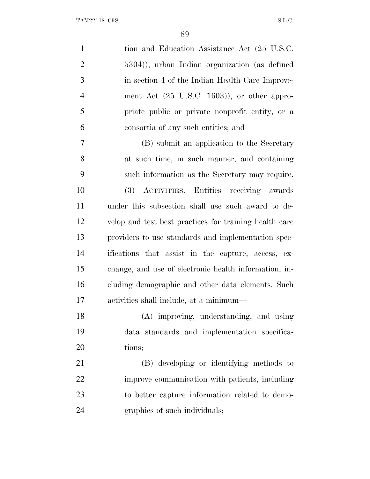| $\mathbf{1}$   | tion and Education Assistance Act (25 U.S.C.            |
|----------------|---------------------------------------------------------|
| $\overline{c}$ | 5304), urban Indian organization (as defined            |
| 3              | in section 4 of the Indian Health Care Improve-         |
| $\overline{4}$ | ment Act $(25 \text{ U.S.C. } 1603)$ ), or other appro- |
| 5              | priate public or private nonprofit entity, or a         |
| 6              | consortia of any such entities; and                     |
| $\tau$         | (B) submit an application to the Secretary              |
| 8              | at such time, in such manner, and containing            |
| 9              | such information as the Secretary may require.          |
| 10             | (3) ACTIVITIES.—Entities receiving awards               |
| 11             | under this subsection shall use such award to de-       |
| 12             | velop and test best practices for training health care  |
| 13             | providers to use standards and implementation spec-     |
| 14             | ifications that assist in the capture, access, ex-      |
| 15             | change, and use of electronic health information, in-   |
| 16             | cluding demographic and other data elements. Such       |
| 17             | activities shall include, at a minimum—                 |
| 18             | (A) improving, understanding, and using                 |
| 19             | data standards and implementation specifica-            |
| 20             | tions;                                                  |
| 21             | (B) developing or identifying methods to                |
| 22             | improve communication with patients, including          |
| 23             | to better capture information related to demo-          |
| 24             | graphics of such individuals;                           |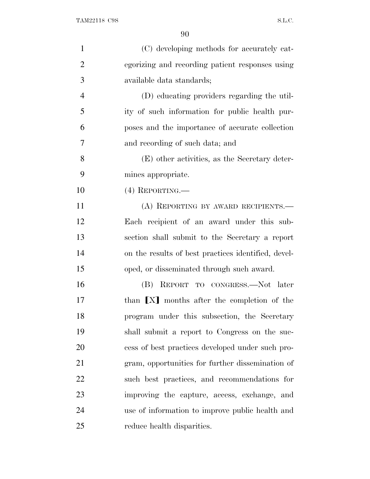| $\mathbf{1}$   | (C) developing methods for accurately cat-          |
|----------------|-----------------------------------------------------|
| $\overline{2}$ | egorizing and recording patient responses using     |
| 3              | available data standards;                           |
| $\overline{4}$ | (D) educating providers regarding the util-         |
| 5              | ity of such information for public health pur-      |
| 6              | poses and the importance of accurate collection     |
| 7              | and recording of such data; and                     |
| 8              | (E) other activities, as the Secretary deter-       |
| 9              | mines appropriate.                                  |
| 10             | $(4)$ REPORTING.—                                   |
| 11             | (A) REPORTING BY AWARD RECIPIENTS.                  |
| 12             | Each recipient of an award under this sub-          |
| 13             | section shall submit to the Secretary a report      |
| 14             | on the results of best practices identified, devel- |
| 15             | oped, or disseminated through such award.           |
| 16             | (B) REPORT TO CONGRESS.—Not later                   |
| 17             | than [X] months after the completion of the         |
| 18             | program under this subsection, the Secretary        |
| 19             | shall submit a report to Congress on the suc-       |
| 20             | cess of best practices developed under such pro-    |
| 21             | gram, opportunities for further dissemination of    |
| 22             | such best practices, and recommendations for        |
| 23             | improving the capture, access, exchange, and        |
| 24             | use of information to improve public health and     |
| 25             | reduce health disparities.                          |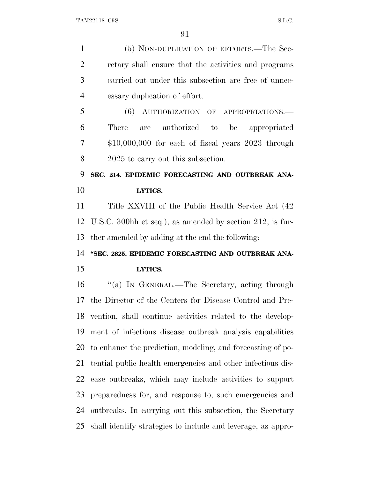(5) NON-DUPLICATION OF EFFORTS.—The Sec- retary shall ensure that the activities and programs carried out under this subsection are free of unnec- essary duplication of effort. (6) AUTHORIZATION OF APPROPRIATIONS.— There are authorized to be appropriated \$10,000,000 for each of fiscal years 2023 through 2025 to carry out this subsection. **SEC. 214. EPIDEMIC FORECASTING AND OUTBREAK ANA- LYTICS.** Title XXVIII of the Public Health Service Act (42 U.S.C. 300hh et seq.), as amended by section 212, is fur- ther amended by adding at the end the following: **''SEC. 2825. EPIDEMIC FORECASTING AND OUTBREAK ANA- LYTICS.** ''(a) I<sup>N</sup> GENERAL.—The Secretary, acting through the Director of the Centers for Disease Control and Pre- vention, shall continue activities related to the develop- ment of infectious disease outbreak analysis capabilities to enhance the prediction, modeling, and forecasting of po- tential public health emergencies and other infectious dis- ease outbreaks, which may include activities to support preparedness for, and response to, such emergencies and outbreaks. In carrying out this subsection, the Secretary shall identify strategies to include and leverage, as appro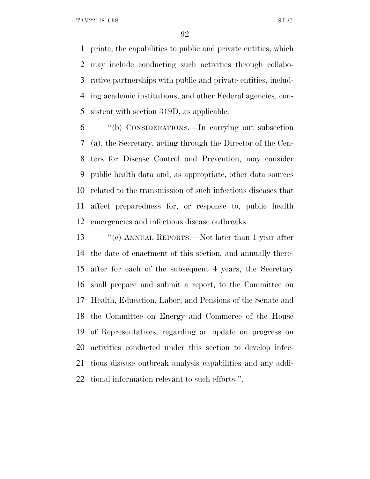TAM22118 C9S S.L.C.

 priate, the capabilities to public and private entities, which may include conducting such activities through collabo- rative partnerships with public and private entities, includ- ing academic institutions, and other Federal agencies, con-sistent with section 319D, as applicable.

 ''(b) CONSIDERATIONS.—In carrying out subsection (a), the Secretary, acting through the Director of the Cen- ters for Disease Control and Prevention, may consider public health data and, as appropriate, other data sources related to the transmission of such infectious diseases that affect preparedness for, or response to, public health emergencies and infectious disease outbreaks.

 ''(c) ANNUAL REPORTS.—Not later than 1 year after the date of enactment of this section, and annually there- after for each of the subsequent 4 years, the Secretary shall prepare and submit a report, to the Committee on Health, Education, Labor, and Pensions of the Senate and the Committee on Energy and Commerce of the House of Representatives, regarding an update on progress on activities conducted under this section to develop infec- tious disease outbreak analysis capabilities and any addi-tional information relevant to such efforts.''.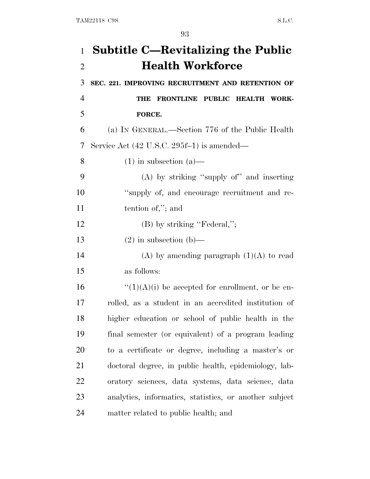| $\mathbf{1}$   | <b>Subtitle C—Revitalizing the Public</b>              |
|----------------|--------------------------------------------------------|
| $\overline{2}$ | <b>Health Workforce</b>                                |
| 3              | SEC. 221. IMPROVING RECRUITMENT AND RETENTION OF       |
| $\overline{4}$ | FRONTLINE PUBLIC HEALTH WORK-<br>THE                   |
| 5              | FORCE.                                                 |
| 6              | (a) IN GENERAL.—Section 776 of the Public Health       |
| 7              | Service Act (42 U.S.C. 295f-1) is amended—             |
| 8              | $(1)$ in subsection $(a)$ —                            |
| 9              | $(A)$ by striking "supply of" and inserting            |
| 10             | "supply of, and encourage recruitment and re-          |
| 11             | tention of,"; and                                      |
| 12             | $(B)$ by striking "Federal,";                          |
| 13             | $(2)$ in subsection (b)—                               |
| 14             | (A) by amending paragraph $(1)(A)$ to read             |
| 15             | as follows:                                            |
| 16             | $\lq(1)(A)(i)$ be accepted for enrollment, or be en-   |
| 17             | rolled, as a student in an accredited institution of   |
| 18             | higher education or school of public health in the     |
| 19             | final semester (or equivalent) of a program leading    |
| 20             | to a certificate or degree, including a master's or    |
| 21             | doctoral degree, in public health, epidemiology, lab-  |
| 22             | oratory sciences, data systems, data science, data     |
| 23             | analytics, informatics, statistics, or another subject |
| 24             | matter related to public health; and                   |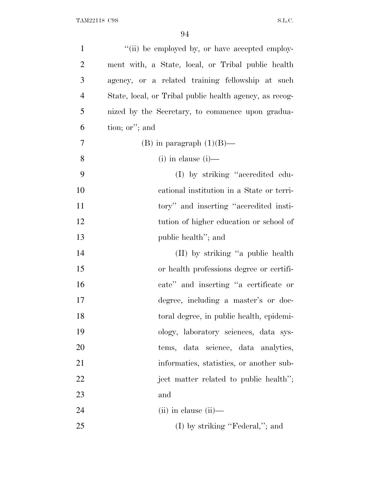| $\mathbf{1}$   | "(ii) be employed by, or have accepted employ-          |
|----------------|---------------------------------------------------------|
| $\overline{2}$ | ment with, a State, local, or Tribal public health      |
| 3              | agency, or a related training fellowship at such        |
| $\overline{4}$ | State, local, or Tribal public health agency, as recog- |
| 5              | nized by the Secretary, to commence upon gradua-        |
| 6              | tion; or"; and                                          |
| 7              | (B) in paragraph $(1)(B)$ —                             |
| 8              | $(i)$ in clause $(i)$ —                                 |
| 9              | (I) by striking "accredited edu-                        |
| 10             | cational institution in a State or terri-               |
| 11             | tory" and inserting "accredited insti-                  |
| 12             | tution of higher education or school of                 |
| 13             | public health"; and                                     |
| 14             | (II) by striking "a public health                       |
| 15             | or health professions degree or certifi-                |
| 16             | cate" and inserting "a certificate or                   |
| 17             | degree, including a master's or doc-                    |
| 18             | toral degree, in public health, epidemi-                |
| 19             | ology, laboratory sciences, data sys-                   |
| 20             | tems, data science, data analytics,                     |
| 21             | informatics, statistics, or another sub-                |
| 22             | ject matter related to public health";                  |
| 23             | and                                                     |
| 24             | $(ii)$ in clause $(ii)$ —                               |
| 25             | $(I)$ by striking "Federal,"; and                       |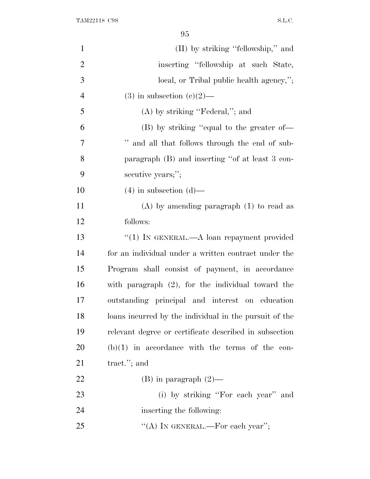| $\mathbf{1}$   | (II) by striking "fellowship," and                     |
|----------------|--------------------------------------------------------|
| $\overline{2}$ | inserting "fellowship at such State,                   |
| 3              | local, or Tribal public health agency,";               |
| $\overline{4}$ | $(3)$ in subsection $(e)(2)$ —                         |
| 5              | $(A)$ by striking "Federal,"; and                      |
| 6              | (B) by striking "equal to the greater of—              |
| 7              | " and all that follows through the end of sub-         |
| 8              | paragraph (B) and inserting "of at least 3 con-        |
| 9              | secutive years;";                                      |
| 10             | $(4)$ in subsection $(d)$ —                            |
| 11             | $(A)$ by amending paragraph $(1)$ to read as           |
| 12             | follows:                                               |
| 13             | "(1) IN GENERAL.—A loan repayment provided             |
| 14             | for an individual under a written contract under the   |
| 15             | Program shall consist of payment, in accordance        |
| 16             | with paragraph $(2)$ , for the individual toward the   |
| 17             | outstanding principal and interest on education        |
| 18             | loans incurred by the individual in the pursuit of the |
| 19             | relevant degree or certificate described in subsection |
| 20             | $(b)(1)$ in accordance with the terms of the con-      |
| 21             | tract. $\mathcal{C}$ ; and                             |
| <u>22</u>      | $(B)$ in paragraph $(2)$ —                             |
| 23             | (i) by striking "For each year" and                    |
| 24             | inserting the following:                               |
| 25             | "(A) IN GENERAL.—For each year";                       |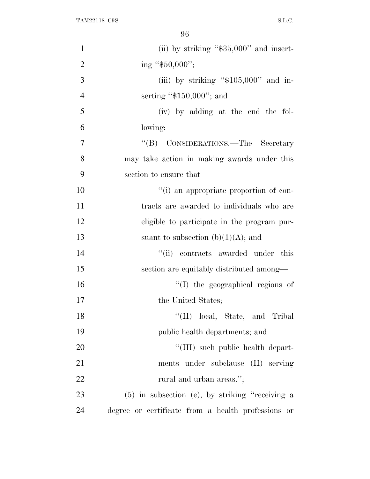| $\mathbf{1}$   | (ii) by striking " $$35,000"$ and insert-          |
|----------------|----------------------------------------------------|
| $\overline{2}$ | ing "\$50,000";                                    |
| 3              | (iii) by striking " $$105,000"$ and in-            |
| $\overline{4}$ | serting " $$150,000$ "; and                        |
| 5              | (iv) by adding at the end the fol-                 |
| 6              | lowing:                                            |
| $\overline{7}$ | "(B) CONSIDERATIONS.—The Secretary                 |
| 8              | may take action in making awards under this        |
| 9              | section to ensure that—                            |
| 10             | "(i) an appropriate proportion of con-             |
| 11             | tracts are awarded to individuals who are          |
| 12             | eligible to participate in the program pur-        |
| 13             | suant to subsection $(b)(1)(A)$ ; and              |
| 14             | "(ii) contracts awarded under this                 |
| 15             | section are equitably distributed among—           |
| 16             | "(I) the geographical regions of                   |
| 17             | the United States;                                 |
| 18             | "(II) local, State, and Tribal                     |
| 19             | public health departments; and                     |
| 20             | "(III) such public health depart-                  |
| 21             | ments under subclause (II) serving                 |
| 22             | rural and urban areas.";                           |
| 23             | $(5)$ in subsection (e), by striking "receiving a  |
| 24             | degree or certificate from a health professions or |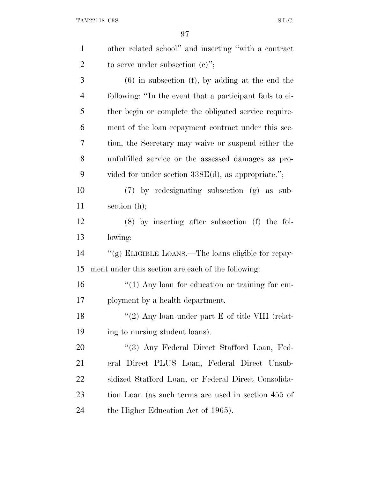| $\mathbf{1}$   | other related school" and inserting "with a contract     |
|----------------|----------------------------------------------------------|
| $\overline{2}$ | to serve under subsection $(c)$ ";                       |
| 3              | $(6)$ in subsection $(f)$ , by adding at the end the     |
| $\overline{4}$ | following: "In the event that a participant fails to ei- |
| 5              | ther begin or complete the obligated service require-    |
| 6              | ment of the loan repayment contract under this sec-      |
| 7              | tion, the Secretary may waive or suspend either the      |
| 8              | unfulfilled service or the assessed damages as pro-      |
| 9              | vided for under section $338E(d)$ , as appropriate.";    |
| 10             | $(7)$ by redesignating subsection $(g)$ as sub-          |
| 11             | section $(h)$ ;                                          |
| 12             | $(8)$ by inserting after subsection $(f)$ the fol-       |
| 13             | lowing:                                                  |
| 14             | "(g) ELIGIBLE LOANS.—The loans eligible for repay-       |
| 15             | ment under this section are each of the following:       |
| 16             | $\lq(1)$ Any loan for education or training for em-      |
| 17             | ployment by a health department.                         |
| 18             | "(2) Any loan under part $E$ of title VIII (relat-       |
| 19             | ing to nursing student loans).                           |
| 20             | "(3) Any Federal Direct Stafford Loan, Fed-              |
| 21             | eral Direct PLUS Loan, Federal Direct Unsub-             |
| 22             | sidized Stafford Loan, or Federal Direct Consolida-      |
| 23             | tion Loan (as such terms are used in section 455 of      |
| 24             | the Higher Education Act of 1965).                       |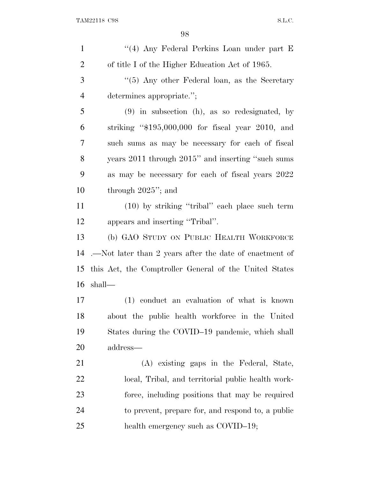| $\mathbf{1}$   | "(4) Any Federal Perkins Loan under part E              |
|----------------|---------------------------------------------------------|
| $\overline{2}$ | of title I of the Higher Education Act of 1965.         |
| 3              | " $(5)$ Any other Federal loan, as the Secretary        |
| $\overline{4}$ | determines appropriate.";                               |
| 5              | $(9)$ in subsection (h), as so redesignated, by         |
| 6              | striking " $$195,000,000$ for fiscal year 2010, and     |
| 7              | such sums as may be necessary for each of fiscal        |
| 8              | years 2011 through 2015" and inserting "such sums       |
| 9              | as may be necessary for each of fiscal years 2022       |
| 10             | through $2025$ "; and                                   |
| 11             | $(10)$ by striking "tribal" each place such term        |
| 12             | appears and inserting "Tribal".                         |
| 13             | (b) GAO STUDY ON PUBLIC HEALTH WORKFORCE                |
| 14             | .—Not later than 2 years after the date of enactment of |
| 15             | this Act, the Comptroller General of the United States  |
| 16             | shall-                                                  |
| 17             | (1) conduct an evaluation of what is known              |
| 18             | about the public health workforce in the United         |
| 19             | States during the COVID-19 pandemic, which shall        |
| 20             | address—                                                |
| 21             | (A) existing gaps in the Federal, State,                |
| 22             | local, Tribal, and territorial public health work-      |
| 23             | force, including positions that may be required         |
| 24             | to prevent, prepare for, and respond to, a public       |
| 25             | health emergency such as COVID-19;                      |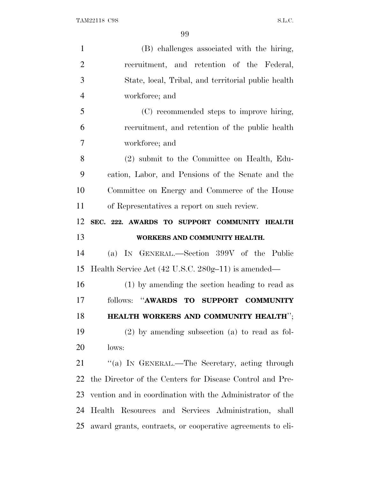| $\mathbf{1}$   |                                                           |
|----------------|-----------------------------------------------------------|
|                | (B) challenges associated with the hiring,                |
| $\overline{2}$ | recruitment, and retention of the Federal,                |
| 3              | State, local, Tribal, and territorial public health       |
| $\overline{4}$ | workforce; and                                            |
| 5              | (C) recommended steps to improve hiring,                  |
| 6              | recruitment, and retention of the public health           |
| 7              | workforce; and                                            |
| 8              | (2) submit to the Committee on Health, Edu-               |
| 9              | cation, Labor, and Pensions of the Senate and the         |
| 10             | Committee on Energy and Commerce of the House             |
| 11             | of Representatives a report on such review.               |
| 12             | SEC. 222. AWARDS TO SUPPORT COMMUNITY HEALTH              |
|                |                                                           |
| 13             | WORKERS AND COMMUNITY HEALTH.                             |
| 14             | (a) IN GENERAL.—Section 399V of the Public                |
| 15             | Health Service Act (42 U.S.C. 280g-11) is amended—        |
| 16             | (1) by amending the section heading to read as            |
| 17             | follows: "AWARDS TO<br><b>SUPPORT</b><br><b>COMMUNITY</b> |
| 18             | HEALTH WORKERS AND COMMUNITY HEALTH";                     |
| 19             | $(2)$ by amending subsection $(a)$ to read as fol-        |
| 20             | lows:                                                     |
| 21             | "(a) IN GENERAL.—The Secretary, acting through            |
| 22             | the Director of the Centers for Disease Control and Pre-  |
| 23             | vention and in coordination with the Administrator of the |
| 24             | Health Resources and Services Administration, shall       |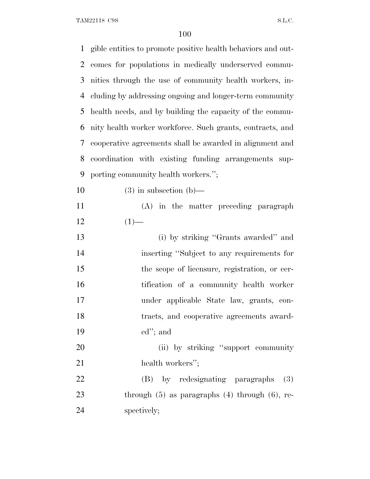TAM22118 C9S S.L.C.

| $\mathbf{1}$ | gible entities to promote positive health behaviors and out- |
|--------------|--------------------------------------------------------------|
| 2            | comes for populations in medically underserved commu-        |
| 3            | nities through the use of community health workers, in-      |
| 4            | cluding by addressing ongoing and longer-term community      |
| 5            | health needs, and by building the capacity of the commu-     |
| 6            | nity health worker workforce. Such grants, contracts, and    |
| 7            | cooperative agreements shall be awarded in alignment and     |
| 8            | coordination with existing funding arrangements sup-         |
| 9            | porting community health workers.";                          |
| 10           | $(3)$ in subsection $(b)$ —                                  |
| 11           | (A) in the matter preceding paragraph                        |
| 12           | $(1)$ —                                                      |
| 13           | (i) by striking "Grants awarded" and                         |
| 14           | inserting "Subject to any requirements for                   |
| 15           | the scope of licensure, registration, or cer-                |
| 16           | tification of a community health worker                      |
| 17           | under applicable State law, grants, con-                     |
| 18           | tracts, and cooperative agreements award-                    |
| 19           | $ed$ "; and                                                  |
| 20           | (ii) by striking "support community                          |
| 21           | health workers";                                             |
| 22           | (B) by redesignating paragraphs<br>(3)                       |
| 23           | through $(5)$ as paragraphs $(4)$ through $(6)$ , re-        |
| 24           | spectively;                                                  |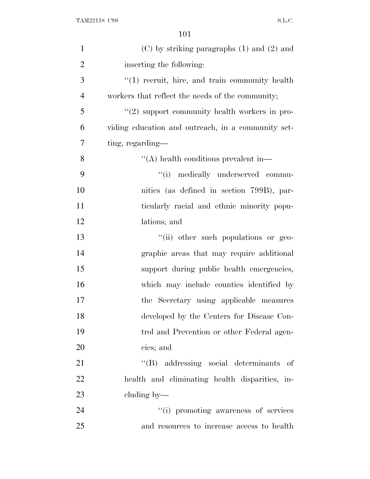| $\mathbf{1}$   | $(C)$ by striking paragraphs $(1)$ and $(2)$ and   |
|----------------|----------------------------------------------------|
| $\overline{2}$ | inserting the following:                           |
| 3              | "(1) recruit, hire, and train community health     |
| $\overline{4}$ | workers that reflect the needs of the community;   |
| 5              | "(2) support community health workers in pro-      |
| 6              | viding education and outreach, in a community set- |
| 7              | ting, regarding—                                   |
| 8              | $\lq\lq$ health conditions prevalent in-           |
| 9              | "(i) medically underserved commu-                  |
| 10             | nities (as defined in section 799B), par-          |
| 11             | ticularly racial and ethnic minority popu-         |
| 12             | lations; and                                       |
| 13             | "(ii) other such populations or geo-               |
| 14             | graphic areas that may require additional          |
| 15             | support during public health emergencies,          |
| 16             | which may include counties identified by           |
| 17             | the Secretary using applicable measures            |
| 18             | developed by the Centers for Disease Con-          |
| 19             | trol and Prevention or other Federal agen-         |
| 20             | cies; and                                          |
| 21             | "(B) addressing social determinants of             |
| 22             | health and eliminating health disparities, in-     |
| 23             | cluding by—                                        |
| 24             | "(i) promoting awareness of services               |
| 25             | and resources to increase access to health         |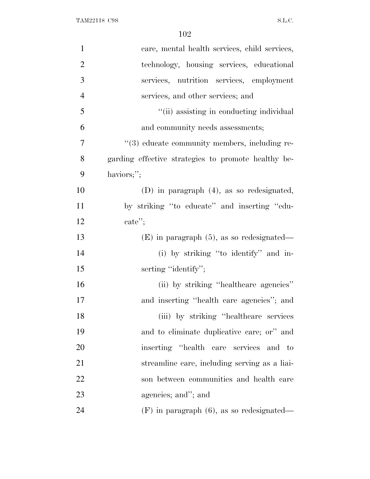| $\mathbf{1}$   | care, mental health services, child services,       |
|----------------|-----------------------------------------------------|
| $\overline{2}$ | technology, housing services, educational           |
| 3              | services, nutrition services, employment            |
| $\overline{4}$ | services, and other services; and                   |
| 5              | "(ii) assisting in conducting individual            |
| 6              | and community needs assessments;                    |
| 7              | "(3) educate community members, including re-       |
| 8              | garding effective strategies to promote healthy be- |
| 9              | haviors;";                                          |
| 10             | $(D)$ in paragraph $(4)$ , as so redesignated,      |
| 11             | by striking "to educate" and inserting "edu-        |
| 12             | $\text{cate}$ ";                                    |
| 13             | $(E)$ in paragraph $(5)$ , as so redesignated—      |
| 14             | (i) by striking "to identify" and in-               |
| 15             | serting "identify";                                 |
| 16             | (ii) by striking "healthcare agencies"              |
| 17             | and inserting "health care agencies"; and           |
| 18             | (iii) by striking "healthcare services"             |
| 19             | and to eliminate duplicative care; or" and          |
| 20             | inserting "health care services and to              |
| 21             | streamline care, including serving as a liai-       |
| 22             | son between communities and health care             |
| 23             | agencies; and"; and                                 |
| 24             | $(F)$ in paragraph $(6)$ , as so redesignated—      |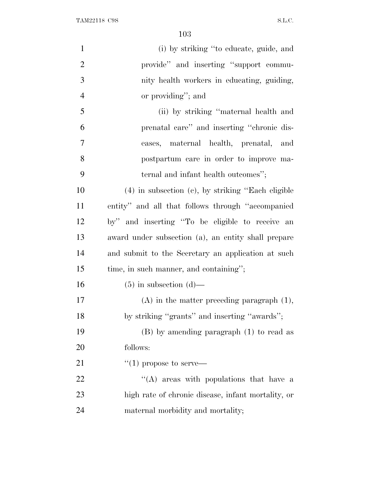| $\mathbf{1}$   | (i) by striking "to educate, guide, and                 |
|----------------|---------------------------------------------------------|
| $\overline{2}$ | provide" and inserting "support commu-                  |
| 3              | nity health workers in educating, guiding,              |
| $\overline{4}$ | or providing"; and                                      |
| 5              | (ii) by striking "maternal health and                   |
| 6              | prenatal care" and inserting "chronic dis-              |
| 7              | eases, maternal health, prenatal, and                   |
| 8              | postpartum care in order to improve ma-                 |
| 9              | ternal and infant health outcomes";                     |
| 10             | $(4)$ in subsection $(c)$ , by striking "Each eligible" |
| 11             | entity" and all that follows through "accompanied"      |
| 12             | by" and inserting "To be eligible to receive an         |
| 13             | award under subsection (a), an entity shall prepare     |
| 14             | and submit to the Secretary an application at such      |
| 15             | time, in such manner, and containing";                  |
| 16             | $(5)$ in subsection $(d)$ —                             |
| 17             | $(A)$ in the matter preceding paragraph $(1)$ ,         |
| 18             | by striking "grants" and inserting "awards";            |
| 19             | $(B)$ by amending paragraph $(1)$ to read as            |
| 20             | follows:                                                |
| 21             | $\lq(1)$ propose to serve—                              |
| 22             | $\lq\lq$ areas with populations that have a             |
| 23             | high rate of chronic disease, infant mortality, or      |
| 24             | maternal morbidity and mortality;                       |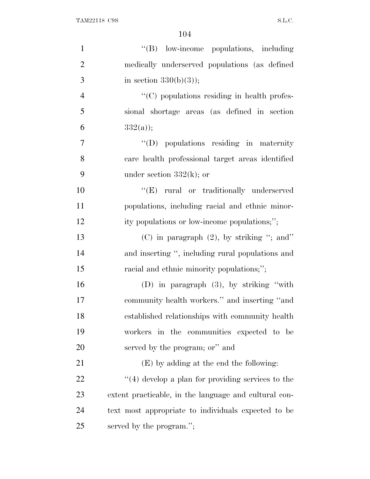| $\mathbf{1}$   | "(B) low-income populations, including                |
|----------------|-------------------------------------------------------|
| $\overline{2}$ | medically underserved populations (as defined         |
| 3              | in section $330(b)(3)$ ;                              |
| $\overline{4}$ | $\lq\lq$ (C) populations residing in health profes-   |
| 5              | sional shortage areas (as defined in section          |
| 6              | $332(a)$ ;                                            |
| $\overline{7}$ | $\lq\lq$ (D) populations residing in maternity        |
| 8              | care health professional target areas identified      |
| 9              | under section $332(k)$ ; or                           |
| 10             | "(E) rural or traditionally underserved               |
| 11             | populations, including racial and ethnic minor-       |
| 12             | ity populations or low-income populations;";          |
| 13             | (C) in paragraph $(2)$ , by striking "; and"          |
| 14             | and inserting ", including rural populations and      |
| 15             | racial and ethnic minority populations,";             |
| 16             | (D) in paragraph $(3)$ , by striking "with            |
| 17             | community health workers." and inserting "and         |
| 18             | established relationships with community health       |
| 19             | workers in the communities expected to be             |
| 20             | served by the program; or" and                        |
| 21             | (E) by adding at the end the following:               |
| 22             | $"$ (4) develop a plan for providing services to the  |
| 23             | extent practicable, in the language and cultural con- |
| 24             | text most appropriate to individuals expected to be   |
| 25             | served by the program.";                              |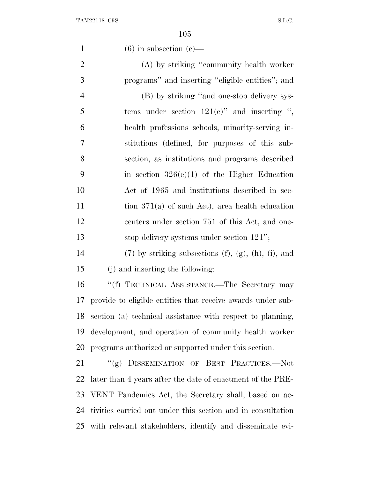| $\mathbf{1}$   | $(6)$ in subsection $(e)$ —                                       |
|----------------|-------------------------------------------------------------------|
| $\overline{2}$ | (A) by striking "community health worker                          |
| 3              | programs" and inserting "eligible entities"; and                  |
| $\overline{4}$ | (B) by striking "and one-stop delivery sys-                       |
| 5              | tems under section $121(e)$ " and inserting ",                    |
| 6              | health professions schools, minority-serving in-                  |
| 7              | stitutions (defined, for purposes of this sub-                    |
| 8              | section, as institutions and programs described                   |
| 9              | in section $326(e)(1)$ of the Higher Education                    |
| 10             | Act of 1965 and institutions described in sec-                    |
| 11             | tion $371(a)$ of such Act), area health education                 |
| 12             | centers under section 751 of this Act, and one-                   |
| 13             | stop delivery systems under section 121";                         |
| 14             | $(7)$ by striking subsections $(f)$ , $(g)$ , $(h)$ , $(i)$ , and |
| 15             | (j) and inserting the following:                                  |
| 16             | "(f) TECHNICAL ASSISTANCE.—The Secretary may                      |
| 17             | provide to eligible entities that receive awards under sub-       |
| 18             | section (a) technical assistance with respect to planning,        |
| 19             | development, and operation of community health worker             |
| 20             | programs authorized or supported under this section.              |
| 21             | "(g) DISSEMINATION OF BEST PRACTICES.--Not                        |
| 22             | later than 4 years after the date of enactment of the PRE-        |
| 23             | VENT Pandemics Act, the Secretary shall, based on ac-             |
| 24             | tivities carried out under this section and in consultation       |
|                | 25 with relevant stakeholders, identify and disseminate evi-      |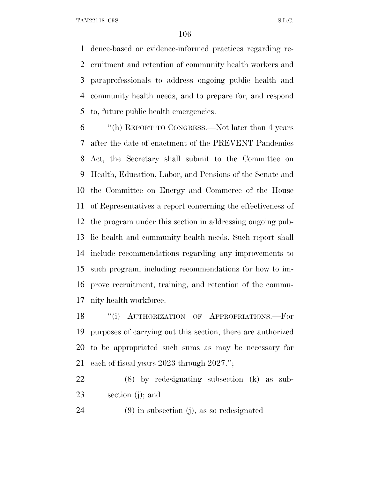TAM22118 C9S S.L.C.

 dence-based or evidence-informed practices regarding re- cruitment and retention of community health workers and paraprofessionals to address ongoing public health and community health needs, and to prepare for, and respond to, future public health emergencies.

 ''(h) REPORT TO CONGRESS.—Not later than 4 years after the date of enactment of the PREVENT Pandemics Act, the Secretary shall submit to the Committee on Health, Education, Labor, and Pensions of the Senate and the Committee on Energy and Commerce of the House of Representatives a report concerning the effectiveness of the program under this section in addressing ongoing pub- lic health and community health needs. Such report shall include recommendations regarding any improvements to such program, including recommendations for how to im- prove recruitment, training, and retention of the commu-nity health workforce.

18 "(i) AUTHORIZATION OF APPROPRIATIONS.—For purposes of carrying out this section, there are authorized to be appropriated such sums as may be necessary for each of fiscal years 2023 through 2027.'';

 (8) by redesignating subsection (k) as sub-section (j); and

(9) in subsection (j), as so redesignated—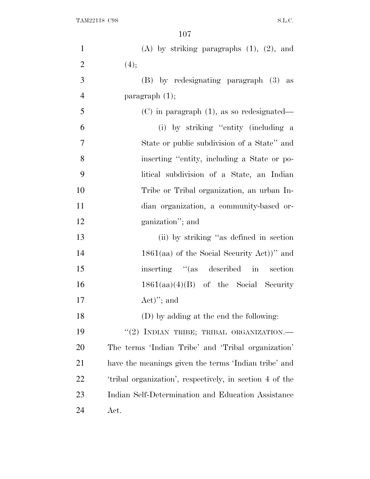| $\mathbf{1}$   | $(A)$ by striking paragraphs $(1)$ , $(2)$ , and         |
|----------------|----------------------------------------------------------|
| $\overline{2}$ | (4);                                                     |
| 3              | (B) by redesignating paragraph (3) as                    |
| $\overline{4}$ | paragraph $(1)$ ;                                        |
| 5              | $(C)$ in paragraph $(1)$ , as so redesignated—           |
| 6              | (i) by striking "entity (including a                     |
| 7              | State or public subdivision of a State" and              |
| 8              | inserting "entity, including a State or po-              |
| 9              | litical subdivision of a State, an Indian                |
| 10             | Tribe or Tribal organization, an urban In-               |
| 11             | dian organization, a community-based or-                 |
| 12             | ganization"; and                                         |
| 13             | (ii) by striking "as defined in section                  |
| 14             | $1861(aa)$ of the Social Security Act))" and             |
| 15             | inserting "(as described in section                      |
| 16             | $1861(aa)(4)(B)$ of the Social Security                  |
| 17             | $Act)$ "; and                                            |
| 18             | (D) by adding at the end the following:                  |
| 19             | "(2) INDIAN TRIBE; TRIBAL ORGANIZATION.-                 |
| 20             | The terms 'Indian Tribe' and 'Tribal organization'       |
| 21             | have the meanings given the terms 'Indian tribe' and     |
| 22             | 'tribal organization', respectively, in section 4 of the |
| 23             | Indian Self-Determination and Education Assistance       |
| 24             | Act.                                                     |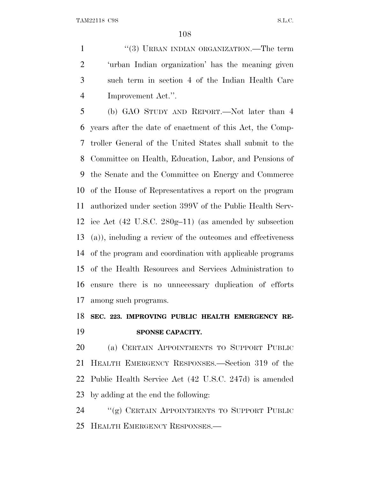1 ''(3) URBAN INDIAN ORGANIZATION.—The term 'urban Indian organization' has the meaning given such term in section 4 of the Indian Health Care Improvement Act.''.

 (b) GAO STUDY AND REPORT.—Not later than 4 years after the date of enactment of this Act, the Comp- troller General of the United States shall submit to the Committee on Health, Education, Labor, and Pensions of the Senate and the Committee on Energy and Commerce of the House of Representatives a report on the program authorized under section 399V of the Public Health Serv- ice Act (42 U.S.C. 280g–11) (as amended by subsection (a)), including a review of the outcomes and effectiveness of the program and coordination with applicable programs of the Health Resources and Services Administration to ensure there is no unnecessary duplication of efforts among such programs.

## **SEC. 223. IMPROVING PUBLIC HEALTH EMERGENCY RE-SPONSE CAPACITY.**

 (a) CERTAIN APPOINTMENTS TO SUPPORT PUBLIC HEALTH EMERGENCY RESPONSES.—Section 319 of the Public Health Service Act (42 U.S.C. 247d) is amended by adding at the end the following:

 ''(g) CERTAIN APPOINTMENTS TO SUPPORT PUBLIC HEALTH EMERGENCY RESPONSES.—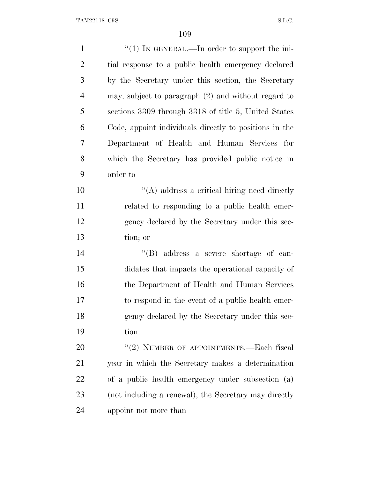| $\mathbf{1}$   | "(1) IN GENERAL.—In order to support the ini-          |
|----------------|--------------------------------------------------------|
| $\overline{2}$ | tial response to a public health emergency declared    |
| 3              | by the Secretary under this section, the Secretary     |
| $\overline{4}$ | may, subject to paragraph (2) and without regard to    |
| 5              | sections 3309 through 3318 of title 5, United States   |
| 6              | Code, appoint individuals directly to positions in the |
| 7              | Department of Health and Human Services for            |
| 8              | which the Secretary has provided public notice in      |
| 9              | order to-                                              |
| 10             | $\lq\lq$ address a critical hiring need directly       |
| 11             | related to responding to a public health emer-         |
| 12             | gency declared by the Secretary under this sec-        |
| 13             | tion; or                                               |
| 14             | "(B) address a severe shortage of can-                 |
| 15             | didates that impacts the operational capacity of       |
| 16             | the Department of Health and Human Services            |
| 17             | to respond in the event of a public health emer-       |
| 18             | gency declared by the Secretary under this sec-        |
| 19             | tion.                                                  |
| 20             | "(2) NUMBER OF APPOINTMENTS.—Each fiscal               |
| 21             | year in which the Secretary makes a determination      |
| 22             | of a public health emergency under subsection (a)      |
| 23             | (not including a renewal), the Secretary may directly  |
| 24             | appoint not more than—                                 |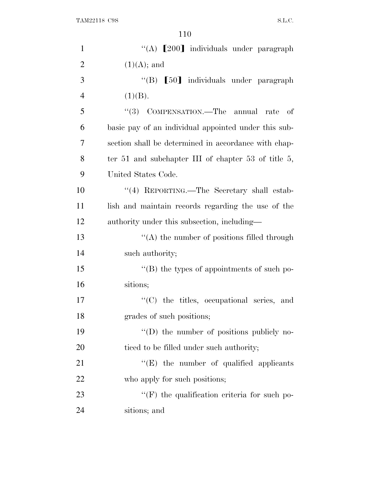| $\mathbf{1}$   | "(A) [200] individuals under paragraph               |
|----------------|------------------------------------------------------|
| $\overline{2}$ | $(1)(A);$ and                                        |
| 3              | "(B) [50] individuals under paragraph                |
| $\overline{4}$ | (1)(B).                                              |
| 5              | "(3) COMPENSATION.—The annual rate<br>- of           |
| 6              | basic pay of an individual appointed under this sub- |
| 7              | section shall be determined in accordance with chap- |
| 8              | ter 51 and subchapter III of chapter 53 of title 5,  |
| 9              | United States Code.                                  |
| 10             | "(4) REPORTING.—The Secretary shall estab-           |
| 11             | lish and maintain records regarding the use of the   |
| 12             | authority under this subsection, including—          |
| 13             | $\lq\lq$ the number of positions filled through      |
| 14             | such authority;                                      |
| 15             | $\lq\lq$ the types of appointments of such po-       |
| 16             | sitions;                                             |
| 17             | "(C) the titles, occupational series, and            |
| 18             | grades of such positions;                            |
| 19             | $\lq\lq$ the number of positions publicly no-        |
| 20             | ticed to be filled under such authority;             |
| 21             | $\lq\lq(E)$ the number of qualified applicants       |
| 22             | who apply for such positions;                        |
| 23             | "(F) the qualification criteria for such po-         |
| 24             | sitions; and                                         |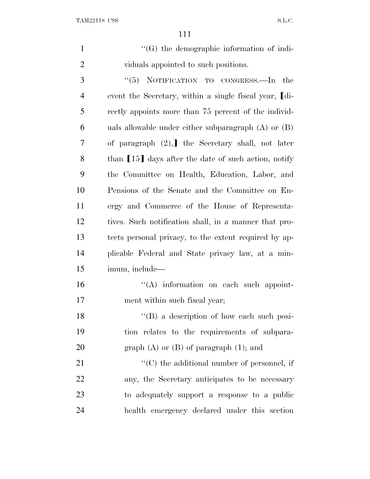1  $\langle G \rangle$  the demographic information of indi-viduals appointed to such positions.

 ''(5) NOTIFICATION TO CONGRESS.—In the 4 event the Secretary, within a single fiscal year, [di- rectly appoints more than 75 percent of the individ- uals allowable under either subparagraph (A) or (B) 7 of paragraph  $(2)$ , the Secretary shall, not later 8 than [15] days after the date of such action, notify the Committee on Health, Education, Labor, and Pensions of the Senate and the Committee on En- ergy and Commerce of the House of Representa- tives. Such notification shall, in a manner that pro- tects personal privacy, to the extent required by ap- plicable Federal and State privacy law, at a min-imum, include—

 ''(A) information on each such appoint-ment within such fiscal year;

18 ''(B) a description of how each such posi- tion relates to the requirements of subpara-20 graph (A) or (B) of paragraph  $(1)$ ; and

 $\langle ^{\prime}(C) \rangle$  the additional number of personnel, if any, the Secretary anticipates to be necessary to adequately support a response to a public health emergency declared under this section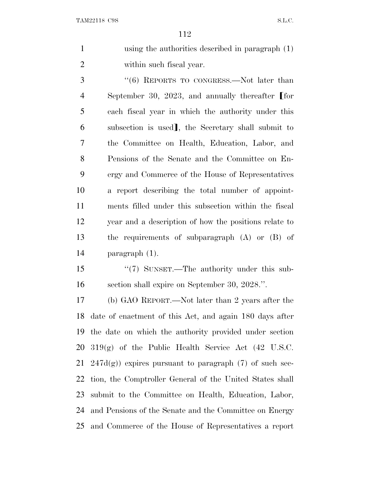using the authorities described in paragraph (1) within such fiscal year.

3 "(6) REPORTS TO CONGRESS.—Not later than 4 September 30, 2023, and annually thereafter [for each fiscal year in which the authority under this 6 subsection is used, the Secretary shall submit to the Committee on Health, Education, Labor, and Pensions of the Senate and the Committee on En- ergy and Commerce of the House of Representatives a report describing the total number of appoint- ments filled under this subsection within the fiscal year and a description of how the positions relate to the requirements of subparagraph (A) or (B) of paragraph (1).

15 "(7) SUNSET.—The authority under this sub-section shall expire on September 30, 2028.''.

 (b) GAO REPORT.—Not later than 2 years after the date of enactment of this Act, and again 180 days after the date on which the authority provided under section  $319(g)$  of the Public Health Service Act  $(42 \text{ U.S.C.})$ 21 247 $d(g)$  expires pursuant to paragraph (7) of such sec- tion, the Comptroller General of the United States shall submit to the Committee on Health, Education, Labor, and Pensions of the Senate and the Committee on Energy and Commerce of the House of Representatives a report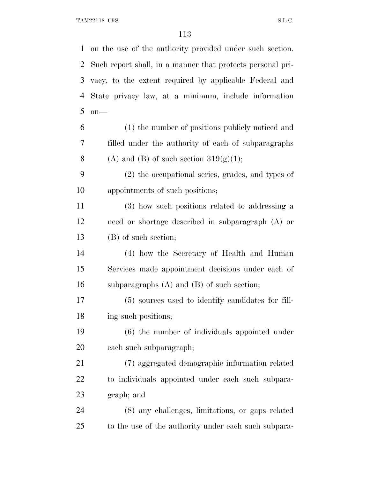TAM22118 C9S S.L.C.

 on the use of the authority provided under such section. Such report shall, in a manner that protects personal pri- vacy, to the extent required by applicable Federal and State privacy law, at a minimum, include information on— (1) the number of positions publicly noticed and filled under the authority of each of subparagraphs 8 (A) and (B) of such section  $319(g)(1)$ ; (2) the occupational series, grades, and types of appointments of such positions; (3) how such positions related to addressing a need or shortage described in subparagraph (A) or (B) of such section; (4) how the Secretary of Health and Human Services made appointment decisions under each of subparagraphs (A) and (B) of such section; (5) sources used to identify candidates for fill- ing such positions; (6) the number of individuals appointed under each such subparagraph; (7) aggregated demographic information related to individuals appointed under each such subpara- graph; and (8) any challenges, limitations, or gaps related to the use of the authority under each such subpara-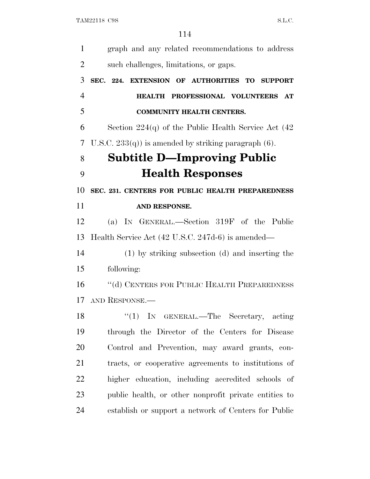| $\mathbf{1}$   | graph and any related recommendations to address         |
|----------------|----------------------------------------------------------|
| $\overline{2}$ | such challenges, limitations, or gaps.                   |
| 3              | SEC. 224. EXTENSION OF AUTHORITIES TO SUPPORT            |
| $\overline{4}$ | HEALTH PROFESSIONAL VOLUNTEERS AT                        |
| 5              | <b>COMMUNITY HEALTH CENTERS.</b>                         |
| 6              | Section $224(q)$ of the Public Health Service Act $(42)$ |
| 7              | U.S.C. $233(q)$ is amended by striking paragraph (6).    |
| 8              | <b>Subtitle D—Improving Public</b>                       |
| 9              | <b>Health Responses</b>                                  |
| 10             | SEC. 231. CENTERS FOR PUBLIC HEALTH PREPAREDNESS         |
| 11             | AND RESPONSE.                                            |
| 12             | (a) IN GENERAL.—Section 319F of the Public               |
| 13             | Health Service Act (42 U.S.C. 247d-6) is amended—        |
| 14             | (1) by striking subsection (d) and inserting the         |
| 15             | following:                                               |
| 16             | "(d) CENTERS FOR PUBLIC HEALTH PREPAREDNESS              |
| 17             | AND RESPONSE.                                            |
| 18             | "(1) IN GENERAL.—The Secretary, acting                   |
| 19             | through the Director of the Centers for Disease          |
| 20             | Control and Prevention, may award grants, con-           |
| 21             | tracts, or cooperative agreements to institutions of     |
| 22             | higher education, including accredited schools of        |
| 23             | public health, or other nonprofit private entities to    |
| 24             | establish or support a network of Centers for Public     |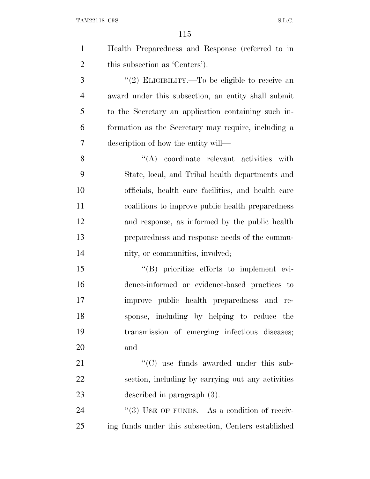TAM22118 C9S S.L.C.

| $\mathbf{1}$   | Health Preparedness and Response (referred to in     |
|----------------|------------------------------------------------------|
| $\overline{2}$ | this subsection as 'Centers').                       |
| 3              | "(2) ELIGIBILITY.—To be eligible to receive an       |
| $\overline{4}$ | award under this subsection, an entity shall submit  |
| 5              | to the Secretary an application containing such in-  |
| 6              | formation as the Secretary may require, including a  |
| 7              | description of how the entity will—                  |
| 8              | $\lq\lq$ coordinate relevant activities with         |
| 9              | State, local, and Tribal health departments and      |
| 10             | officials, health care facilities, and health care   |
| 11             | coalitions to improve public health preparedness     |
| 12             | and response, as informed by the public health       |
| 13             | preparedness and response needs of the commu-        |
| 14             | nity, or communities, involved;                      |
| 15             | "(B) prioritize efforts to implement evi-            |
| 16             | dence-informed or evidence-based practices to        |
| 17             | improve public health preparedness and re-           |
| 18             | sponse, including by helping to reduce the           |
| 19             | transmission of emerging infectious diseases;        |
| 20             | and                                                  |
| 21             | "(C) use funds awarded under this sub-               |
| 22             | section, including by carrying out any activities    |
| 23             | described in paragraph (3).                          |
| 24             | "(3) USE OF FUNDS.—As a condition of receiv-         |
| 25             | ing funds under this subsection, Centers established |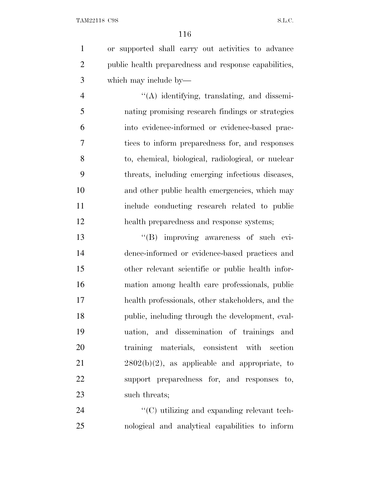or supported shall carry out activities to advance public health preparedness and response capabilities, which may include by—

 ''(A) identifying, translating, and dissemi- nating promising research findings or strategies into evidence-informed or evidence-based prac- tices to inform preparedness for, and responses to, chemical, biological, radiological, or nuclear threats, including emerging infectious diseases, and other public health emergencies, which may include conducting research related to public health preparedness and response systems;

13 ''(B) improving awareness of such evi- dence-informed or evidence-based practices and other relevant scientific or public health infor- mation among health care professionals, public health professionals, other stakeholders, and the public, including through the development, eval- uation, and dissemination of trainings and training materials, consistent with section  $2802(b)(2)$ , as applicable and appropriate, to support preparedness for, and responses to, 23 such threats;

24  $\cdot$  (C) utilizing and expanding relevant tech-nological and analytical capabilities to inform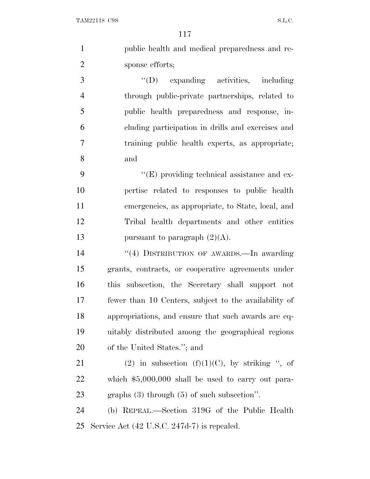| public health and medical preparedness and re- |
|------------------------------------------------|
| sponse efforts;                                |

 ''(D) expanding activities, including through public-private partnerships, related to public health preparedness and response, in- cluding participation in drills and exercises and training public health experts, as appropriate; and

 $"({\rm E})$  providing technical assistance and ex- pertise related to responses to public health emergencies, as appropriate, to State, local, and Tribal health departments and other entities 13 pursuant to paragraph  $(2)(A)$ .

 ''(4) DISTRIBUTION OF AWARDS.—In awarding grants, contracts, or cooperative agreements under this subsection, the Secretary shall support not fewer than 10 Centers, subject to the availability of appropriations, and ensure that such awards are eq- uitably distributed among the geographical regions of the United States.''; and

21 (2) in subsection  $(f)(1)(C)$ , by striking ", of which \$5,000,000 shall be used to carry out para-graphs (3) through (5) of such subsection''.

 (b) REPEAL.—Section 319G of the Public Health Service Act (42 U.S.C. 247d-7) is repealed.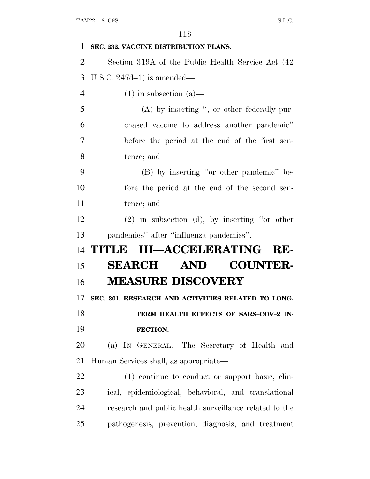| 1              | SEC. 232. VACCINE DISTRIBUTION PLANS.                  |
|----------------|--------------------------------------------------------|
| $\overline{2}$ | Section 319A of the Public Health Service Act (42)     |
| 3              | U.S.C. $247d-1$ ) is amended—                          |
| $\overline{4}$ | $(1)$ in subsection $(a)$ —                            |
| 5              | $(A)$ by inserting ", or other federally pur-          |
| 6              | chased vaccine to address another pandemic"            |
| 7              | before the period at the end of the first sen-         |
| 8              | tence; and                                             |
| 9              | (B) by inserting "or other pandemic" be-               |
| 10             | fore the period at the end of the second sen-          |
| 11             | tence; and                                             |
| 12             | $(2)$ in subsection (d), by inserting "or other        |
|                |                                                        |
| 13             | pandemics" after "influenza pandemics".                |
| 14             | TITLE III-ACCELERATING RE-                             |
| 15             | <b>COUNTER-</b><br><b>SEARCH AND</b>                   |
| 16             | <b>MEASURE DISCOVERY</b>                               |
| 17             | SEC. 301. RESEARCH AND ACTIVITIES RELATED TO LONG-     |
| 18             | TERM HEALTH EFFECTS OF SARS-COV-2 IN-                  |
| 19             | FECTION.                                               |
| 20             | (a) IN GENERAL.—The Secretary of Health and            |
| 21             | Human Services shall, as appropriate—                  |
| 22             | (1) continue to conduct or support basic, clin-        |
| 23             | ical, epidemiological, behavioral, and translational   |
| 24             | research and public health surveillance related to the |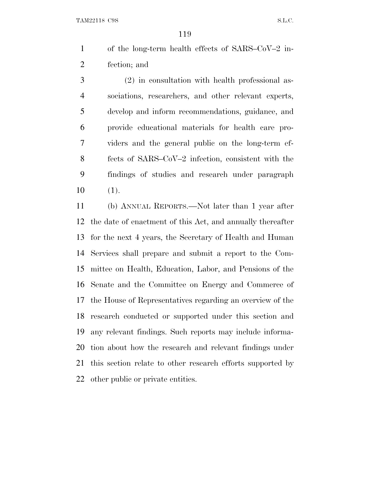TAM22118 C9S S.L.C.

 of the long-term health effects of SARS–CoV–2 in-fection; and

 (2) in consultation with health professional as- sociations, researchers, and other relevant experts, develop and inform recommendations, guidance, and provide educational materials for health care pro- viders and the general public on the long-term ef- fects of SARS–CoV–2 infection, consistent with the findings of studies and research under paragraph (1).

 (b) ANNUAL REPORTS.—Not later than 1 year after the date of enactment of this Act, and annually thereafter for the next 4 years, the Secretary of Health and Human Services shall prepare and submit a report to the Com- mittee on Health, Education, Labor, and Pensions of the Senate and the Committee on Energy and Commerce of the House of Representatives regarding an overview of the research conducted or supported under this section and any relevant findings. Such reports may include informa- tion about how the research and relevant findings under this section relate to other research efforts supported by other public or private entities.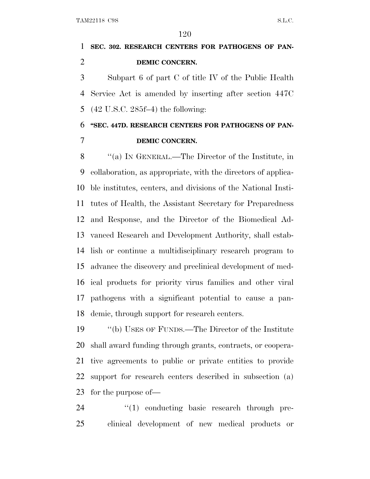## **SEC. 302. RESEARCH CENTERS FOR PATHOGENS OF PAN-DEMIC CONCERN.**

 Subpart 6 of part C of title IV of the Public Health Service Act is amended by inserting after section 447C (42 U.S.C. 285f–4) the following:

#### **''SEC. 447D. RESEARCH CENTERS FOR PATHOGENS OF PAN-DEMIC CONCERN.**

 ''(a) I<sup>N</sup> GENERAL.—The Director of the Institute, in collaboration, as appropriate, with the directors of applica- ble institutes, centers, and divisions of the National Insti- tutes of Health, the Assistant Secretary for Preparedness and Response, and the Director of the Biomedical Ad- vanced Research and Development Authority, shall estab- lish or continue a multidisciplinary research program to advance the discovery and preclinical development of med- ical products for priority virus families and other viral pathogens with a significant potential to cause a pan-demic, through support for research centers.

 ''(b) USES OF FUNDS.—The Director of the Institute shall award funding through grants, contracts, or coopera- tive agreements to public or private entities to provide support for research centers described in subsection (a) for the purpose of—

24  $\frac{1}{2}$  (1) conducting basic research through pre-clinical development of new medical products or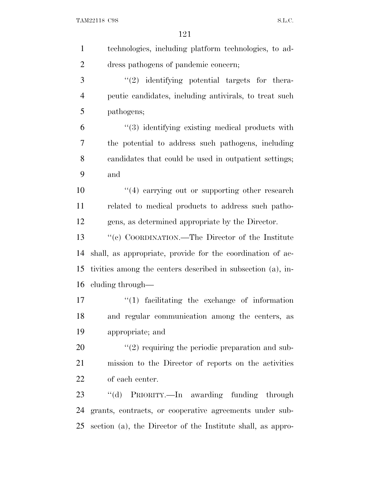TAM22118 C9S S.L.C.

| $\mathbf{1}$   | technologies, including platform technologies, to ad-       |
|----------------|-------------------------------------------------------------|
| $\overline{2}$ | dress pathogens of pandemic concern;                        |
| 3              | $"(2)$ identifying potential targets for the ra-            |
| $\overline{4}$ | peutic candidates, including antivirals, to treat such      |
| 5              | pathogens;                                                  |
| 6              | "(3) identifying existing medical products with             |
| 7              | the potential to address such pathogens, including          |
| 8              | candidates that could be used in outpatient settings;       |
| 9              | and                                                         |
| 10             | "(4) carrying out or supporting other research              |
| 11             | related to medical products to address such patho-          |
| 12             | gens, as determined appropriate by the Director.            |
| 13             | "(c) COORDINATION.—The Director of the Institute            |
| 14             | shall, as appropriate, provide for the coordination of ac-  |
| 15             | tivities among the centers described in subsection (a), in- |
| 16             | cluding through—                                            |
| 17             | $\lq(1)$ facilitating the exchange of information           |
| 18             | and regular communication among the centers, as             |
| 19             | appropriate; and                                            |
| 20             | $\lq(2)$ requiring the periodic preparation and sub-        |
| 21             | mission to the Director of reports on the activities        |
| 22             | of each center.                                             |
| 23             | "(d) PRIORITY.—In awarding funding through                  |
| 24             | grants, contracts, or cooperative agreements under sub-     |
| 25             | section (a), the Director of the Institute shall, as appro- |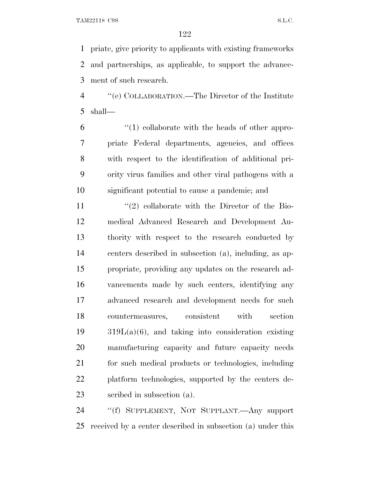priate, give priority to applicants with existing frameworks and partnerships, as applicable, to support the advance-ment of such research.

 ''(e) COLLABORATION.—The Director of the Institute shall—

 $(1)$  collaborate with the heads of other appro- priate Federal departments, agencies, and offices with respect to the identification of additional pri- ority virus families and other viral pathogens with a significant potential to cause a pandemic; and

11 ''(2) collaborate with the Director of the Bio- medical Advanced Research and Development Au- thority with respect to the research conducted by centers described in subsection (a), including, as ap- propriate, providing any updates on the research ad- vancements made by such centers, identifying any advanced research and development needs for such countermeasures, consistent with section 319L(a)(6), and taking into consideration existing manufacturing capacity and future capacity needs for such medical products or technologies, including platform technologies, supported by the centers de-scribed in subsection (a).

 ''(f) SUPPLEMENT, NOT SUPPLANT.—Any support received by a center described in subsection (a) under this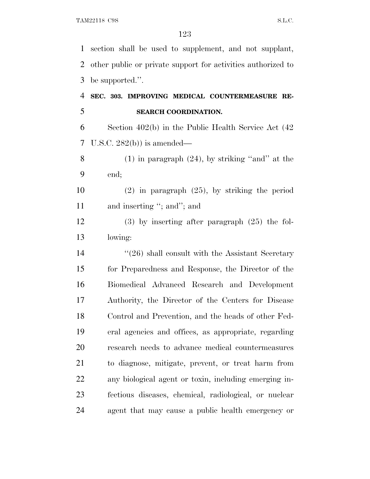section shall be used to supplement, and not supplant, other public or private support for activities authorized to be supported.''.

 **SEC. 303. IMPROVING MEDICAL COUNTERMEASURE RE-SEARCH COORDINATION.**

 Section 402(b) in the Public Health Service Act (42 U.S.C. 282(b)) is amended—

 (1) in paragraph (24), by striking ''and'' at the end;

 (2) in paragraph (25), by striking the period 11 and inserting "; and"; and

 (3) by inserting after paragraph (25) the fol-lowing:

14 ''(26) shall consult with the Assistant Secretary for Preparedness and Response, the Director of the Biomedical Advanced Research and Development Authority, the Director of the Centers for Disease Control and Prevention, and the heads of other Fed- eral agencies and offices, as appropriate, regarding research needs to advance medical countermeasures to diagnose, mitigate, prevent, or treat harm from any biological agent or toxin, including emerging in- fectious diseases, chemical, radiological, or nuclear agent that may cause a public health emergency or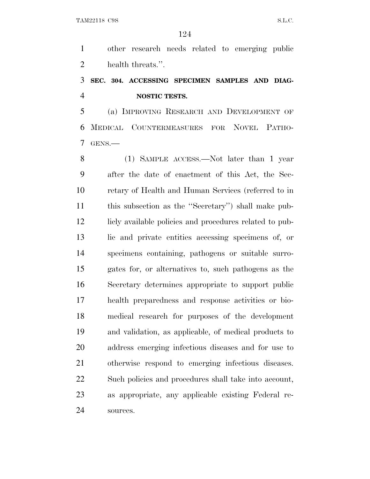other research needs related to emerging public health threats.''.

### **SEC. 304. ACCESSING SPECIMEN SAMPLES AND DIAG-NOSTIC TESTS.**

 (a) IMPROVING RESEARCH AND DEVELOPMENT OF MEDICAL COUNTERMEASURES FOR NOVEL PATHO-GENS.—

8 (1) SAMPLE ACCESS.—Not later than 1 year after the date of enactment of this Act, the Sec- retary of Health and Human Services (referred to in this subsection as the ''Secretary'') shall make pub-12 licly available policies and procedures related to pub- lic and private entities accessing specimens of, or specimens containing, pathogens or suitable surro- gates for, or alternatives to, such pathogens as the Secretary determines appropriate to support public health preparedness and response activities or bio- medical research for purposes of the development and validation, as applicable, of medical products to address emerging infectious diseases and for use to otherwise respond to emerging infectious diseases. Such policies and procedures shall take into account, as appropriate, any applicable existing Federal re-sources.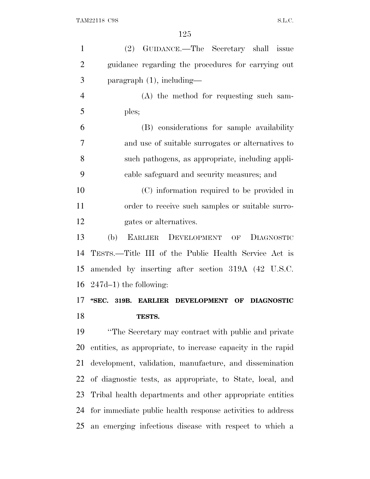| $\mathbf{1}$   | (2) GUIDANCE.—The Secretary shall issue                                           |
|----------------|-----------------------------------------------------------------------------------|
| $\overline{2}$ | guidance regarding the procedures for carrying out                                |
| 3              | $\frac{1}{2}$ paragraph $(1)$ , including—                                        |
| $\overline{4}$ | (A) the method for requesting such sam-                                           |
| 5              | ples;                                                                             |
| 6              | (B) considerations for sample availability                                        |
| $\tau$         | and use of suitable surrogates or alternatives to                                 |
| 8              | such pathogens, as appropriate, including appli-                                  |
| 9              | cable safeguard and security measures; and                                        |
| 10             | (C) information required to be provided in                                        |
| 11             | order to receive such samples or suitable surro-                                  |
| 12             | gates or alternatives.                                                            |
| 13             | (b)<br>EARLIER DEVELOPMENT OF<br>DIAGNOSTIC                                       |
| 14             | TESTS.—Title III of the Public Health Service Act is                              |
| 15             | amended by inserting after section 319A (42 U.S.C.                                |
|                | 16 $247d-1$ ) the following:                                                      |
| 17             | "SEC.<br>319B.<br><b>EARLIER</b><br><b>DEVELOPMENT</b><br>OF<br><b>DIAGNOSTIC</b> |
| 18             | TESTS.                                                                            |
| 19             | "The Secretary may contract with public and private"                              |
| 20             | entities, as appropriate, to increase capacity in the rapid                       |
| 21             | development, validation, manufacture, and dissemination                           |
| 22             | of diagnostic tests, as appropriate, to State, local, and                         |
| 23             | Tribal health departments and other appropriate entities                          |
|                | 24 for immediate public health response activities to address                     |

an emerging infectious disease with respect to which a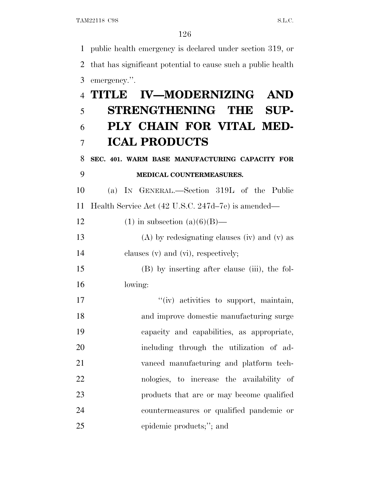public health emergency is declared under section 319, or that has significant potential to cause such a public health emergency.''.

|    | <b>IV-MODERNIZING</b><br>4 TITLE<br>AND            |
|----|----------------------------------------------------|
| 5  | STRENGTHENING THE<br>SUP-                          |
| 6  | PLY CHAIN FOR VITAL MED-                           |
| 7  | <b>ICAL PRODUCTS</b>                               |
| 8  | SEC. 401. WARM BASE MANUFACTURING CAPACITY FOR     |
| 9  | MEDICAL COUNTERMEASURES.                           |
| 10 | (a) IN GENERAL.—Section 319L of the Public         |
| 11 | Health Service Act (42 U.S.C. 247d–7e) is amended— |
| 12 | $(1)$ in subsection $(a)(6)(B)$ —                  |
| 13 | $(A)$ by redesignating clauses (iv) and (v) as     |
| 14 | clauses $(v)$ and $(vi)$ , respectively;           |
| 15 | (B) by inserting after clause (iii), the fol-      |
| 16 | lowing:                                            |
| 17 | "(iv) activities to support, maintain,             |
| 18 | and improve domestic manufacturing surge           |
| 19 | capacity and capabilities, as appropriate,         |
| 20 | including through the utilization of ad-           |
| 21 | vanced manufacturing and platform tech-            |
| 22 | nologies, to increase the availability of          |
| 23 | products that are or may become qualified          |
| 24 | countermeasures or qualified pandemic or           |
| 25 | epidemic products;"; and                           |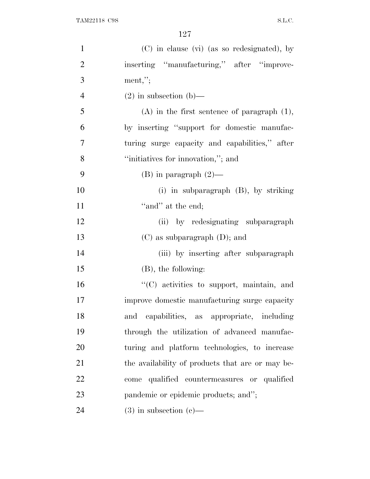| $\mathbf{1}$   | (C) in clause (vi) (as so redesignated), by      |
|----------------|--------------------------------------------------|
| $\overline{2}$ | inserting "manufacturing," after "improve-       |
| 3              | $ment,$ ";                                       |
| $\overline{4}$ | $(2)$ in subsection $(b)$ —                      |
| 5              | $(A)$ in the first sentence of paragraph $(1)$ , |
| 6              | by inserting "support for domestic manufac-      |
| 7              | turing surge capacity and capabilities," after   |
| 8              | "initiatives for innovation,"; and               |
| 9              | $(B)$ in paragraph $(2)$ —                       |
| 10             | (i) in subparagraph $(B)$ , by striking          |
| 11             | "and" at the end;                                |
| 12             | (ii) by redesignating subparagraph               |
| 13             | $(C)$ as subparagraph $(D)$ ; and                |
| 14             | (iii) by inserting after subparagraph            |
| 15             | $(B)$ , the following:                           |
| 16             | "(C) activities to support, maintain, and        |
| 17             | improve domestic manufacturing surge capacity    |
| 18             | capabilities, as appropriate, including<br>and   |
| 19             | through the utilization of advanced manufac-     |
| 20             | turing and platform technologies, to increase    |
| 21             | the availability of products that are or may be- |
| 22             | qualified countermeasures or qualified<br>come   |
| 23             | pandemic or epidemic products; and";             |
| 24             | $(3)$ in subsection $(e)$ —                      |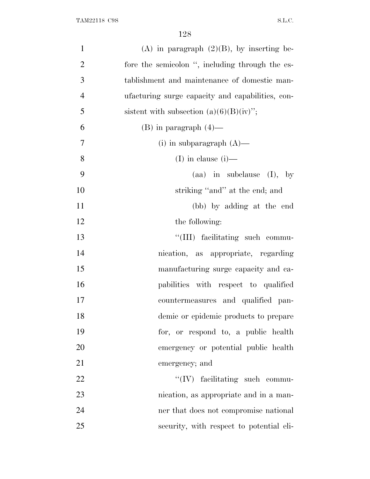| $\mathbf{1}$<br>(A) in paragraph $(2)(B)$ , by inserting be-       |  |
|--------------------------------------------------------------------|--|
| $\overline{2}$<br>fore the semicolon ", including through the es-  |  |
| 3<br>tablishment and maintenance of domestic man-                  |  |
| $\overline{4}$<br>ufacturing surge capacity and capabilities, con- |  |
| 5<br>sistent with subsection $(a)(6)(B)(iv)$ ;                     |  |
| 6<br>$(B)$ in paragraph $(4)$ —                                    |  |
| $\tau$<br>(i) in subparagraph $(A)$ —                              |  |
| 8<br>(I) in clause $(i)$ —                                         |  |
| 9<br>$(aa)$ in subclause $(I)$ , by                                |  |
| 10<br>striking "and" at the end; and                               |  |
| 11<br>(bb) by adding at the end                                    |  |
| 12<br>the following:                                               |  |
| 13<br>"(III) facilitating such commu-                              |  |
| 14<br>nication, as appropriate, regarding                          |  |
| 15<br>manufacturing surge capacity and ca-                         |  |
| 16<br>pabilities with respect to qualified                         |  |
| 17<br>countermeasures and qualified pan-                           |  |
| 18<br>demic or epidemic products to prepare                        |  |
| 19<br>for, or respond to, a public health                          |  |
| 20<br>emergency or potential public health                         |  |
| 21<br>emergency; and                                               |  |
| 22<br>$\lq\lq (IV)$ facilitating such commu-                       |  |
| 23<br>nication, as appropriate and in a man-                       |  |
| 24<br>ner that does not compromise national                        |  |
| 25<br>security, with respect to potential eli-                     |  |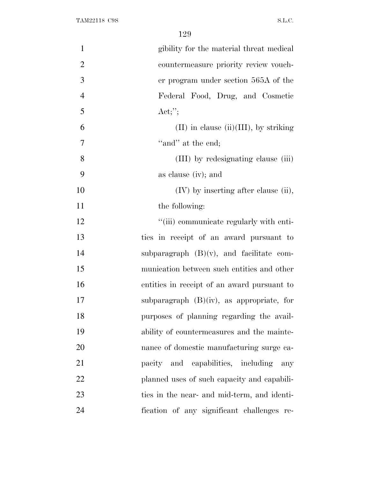| gibility for the material threat medical     |
|----------------------------------------------|
|                                              |
| countermeasure priority review vouch-        |
| er program under section 565A of the         |
| Federal Food, Drug, and Cosmetic             |
| Act;";                                       |
| $(II)$ in clause $(ii)(III)$ , by striking   |
| "and" at the end;                            |
| (III) by redesignating clause (iii)          |
| as clause (iv); and                          |
| (IV) by inserting after clause (ii),         |
| the following:                               |
| "(iii) communicate regularly with enti-      |
| ties in receipt of an award pursuant to      |
| subparagraph $(B)(v)$ , and facilitate com-  |
| munication between such entities and other   |
| entities in receipt of an award pursuant to  |
| subparagraph $(B)(iv)$ , as appropriate, for |
| purposes of planning regarding the avail-    |
| ability of countermeasures and the mainte-   |
| nance of domestic manufacturing surge ca-    |
| pacity and capabilities, including any       |
| planned uses of such capacity and capabili-  |
| ties in the near- and mid-term, and identi-  |
| fication of any significant challenges re-   |
|                                              |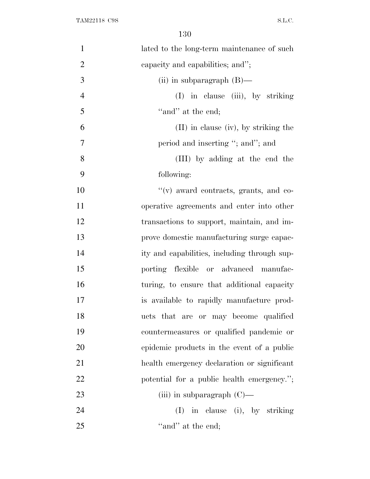| $\mathbf{1}$   | lated to the long-term maintenance of such   |
|----------------|----------------------------------------------|
| $\overline{2}$ | capacity and capabilities; and";             |
| 3              | (ii) in subparagraph $(B)$ —                 |
| $\overline{4}$ | (I) in clause (iii), by striking             |
| 5              | "and" at the end;                            |
| 6              | $(II)$ in clause (iv), by striking the       |
| 7              | period and inserting "; and"; and            |
| 8              | (III) by adding at the end the               |
| 9              | following:                                   |
| 10             | "(v) award contracts, grants, and co-        |
| 11             | operative agreements and enter into other    |
| 12             | transactions to support, maintain, and im-   |
| 13             | prove domestic manufacturing surge capac-    |
| 14             | ity and capabilities, including through sup- |
| 15             | porting flexible or advanced manufac-        |
| 16             | turing, to ensure that additional capacity   |
| 17             | is available to rapidly manufacture prod-    |
| 18             | ucts that are or may become qualified        |
| 19             | countermeasures or qualified pandemic or     |
| 20             | epidemic products in the event of a public   |
| 21             | health emergency declaration or significant  |
| 22             | potential for a public health emergency.";   |
| 23             | (iii) in subparagraph $(C)$ —                |
| 24             | in clause (i), by striking<br>(I)            |
| 25             | "and" at the end;                            |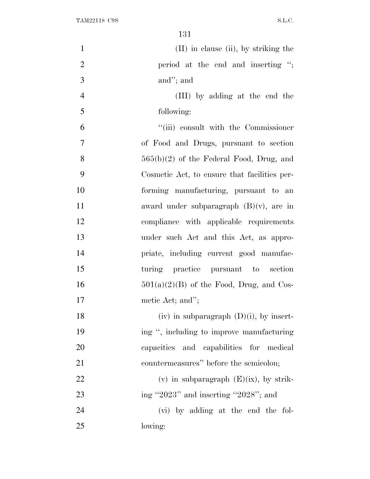| $\mathbf{1}$   | $(II)$ in clause $(ii)$ , by striking the    |
|----------------|----------------------------------------------|
| $\overline{2}$ | period at the end and inserting ";           |
| 3              | and"; and                                    |
| $\overline{4}$ | (III) by adding at the end the               |
| 5              | following:                                   |
| 6              | "(iii) consult with the Commissioner         |
| $\overline{7}$ | of Food and Drugs, pursuant to section       |
| 8              | $565(b)(2)$ of the Federal Food, Drug, and   |
| 9              | Cosmetic Act, to ensure that facilities per- |
| 10             | forming manufacturing, pursuant to an        |
| 11             | award under subparagraph $(B)(v)$ , are in   |
| 12             | compliance with applicable requirements      |
| 13             | under such Act and this Act, as appro-       |
| 14             | priate, including current good manufac-      |
| 15             | turing practice pursuant to section          |
| 16             | $501(a)(2)(B)$ of the Food, Drug, and Cos-   |
| 17             | metic Act; and";                             |
| 18             | (iv) in subparagraph $(D)(i)$ , by insert-   |
| 19             | ing ", including to improve manufacturing    |
| 20             | capacities and capabilities for medical      |
| 21             | countermeasures" before the semicolon;       |
| 22             | (v) in subparagraph $(E)(ix)$ , by strik-    |
| 23             | ing "2023" and inserting "2028"; and         |
| 24             | (vi) by adding at the end the fol-           |
| 25             | lowing:                                      |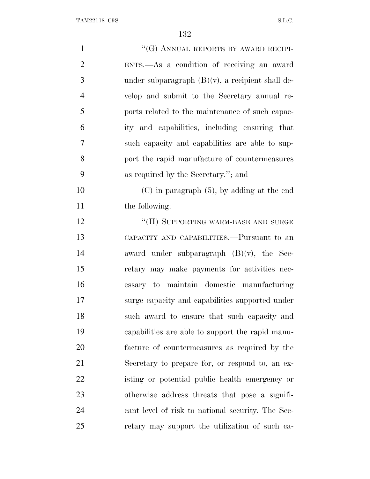| $\mathbf{1}$   | "(G) ANNUAL REPORTS BY AWARD RECIPI-                |
|----------------|-----------------------------------------------------|
| $\overline{2}$ | ENTS.—As a condition of receiving an award          |
| 3              | under subparagraph $(B)(v)$ , a recipient shall de- |
| $\overline{4}$ | velop and submit to the Secretary annual re-        |
| 5              | ports related to the maintenance of such capac-     |
| 6              | ity and capabilities, including ensuring that       |
| $\overline{7}$ | such capacity and capabilities are able to sup-     |
| 8              | port the rapid manufacture of countermeasures       |
| 9              | as required by the Secretary."; and                 |
| 10             | $(C)$ in paragraph $(5)$ , by adding at the end     |
| 11             | the following:                                      |
| 12             | "(H) SUPPORTING WARM-BASE AND SURGE                 |
| 13             | CAPACITY AND CAPABILITIES.—Pursuant to an           |
| 14             | award under subparagraph $(B)(v)$ , the Sec-        |
| 15             | retary may make payments for activities nec-        |
| 16             | essary to maintain domestic manufacturing           |
| 17             | surge capacity and capabilities supported under     |
| 18             | such award to ensure that such capacity and         |
| 19             | capabilities are able to support the rapid manu-    |
| <b>20</b>      | facture of countermeasures as required by the       |
| 21             | Secretary to prepare for, or respond to, an ex-     |
| 22             | isting or potential public health emergency or      |
| 23             | otherwise address threats that pose a signifi-      |
| 24             | cant level of risk to national security. The Sec-   |
| 25             | retary may support the utilization of such ca-      |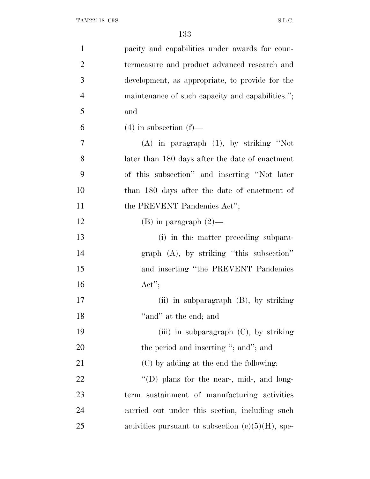| $\mathbf{1}$   | pacity and capabilities under awards for coun-       |
|----------------|------------------------------------------------------|
| $\overline{2}$ | termeasure and product advanced research and         |
| 3              | development, as appropriate, to provide for the      |
| $\overline{4}$ | maintenance of such capacity and capabilities.";     |
| 5              | and                                                  |
| 6              | $(4)$ in subsection $(f)$ —                          |
| 7              | $(A)$ in paragraph $(1)$ , by striking "Not          |
| 8              | later than 180 days after the date of enactment      |
| 9              | of this subsection" and inserting "Not later         |
| 10             | than 180 days after the date of enactment of         |
| 11             | the PREVENT Pandemics Act";                          |
| 12             | $(B)$ in paragraph $(2)$ —                           |
| 13             | (i) in the matter preceding subpara-                 |
| 14             | $graph$ (A), by striking "this subsection"           |
| 15             | and inserting "the PREVENT Pandemics"                |
| 16             | Act";                                                |
| 17             | (ii) in subparagraph $(B)$ , by striking             |
| 18             | "and" at the end; and                                |
| 19             | (iii) in subparagraph $(C)$ , by striking            |
| 20             | the period and inserting "; and"; and                |
| 21             | (C) by adding at the end the following:              |
| 22             | "(D) plans for the near-, mid-, and long-            |
| 23             | term sustainment of manufacturing activities         |
| 24             | carried out under this section, including such       |
| 25             | activities pursuant to subsection $(e)(5)(H)$ , spe- |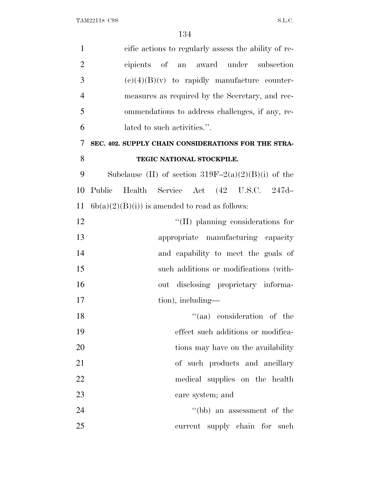| $\mathbf{1}$   | cific actions to regularly assess the ability of re-  |
|----------------|-------------------------------------------------------|
| $\overline{2}$ | cipients of an award under subsection                 |
| 3              | $(e)(4)(B)(v)$ to rapidly manufacture counter-        |
| $\overline{4}$ | measures as required by the Secretary, and rec-       |
| 5              | ommendations to address challenges, if any, re-       |
| 6              | lated to such activities.".                           |
| 7              | SEC. 402. SUPPLY CHAIN CONSIDERATIONS FOR THE STRA-   |
| 8              | TEGIC NATIONAL STOCKPILE.                             |
| 9              | Subclause (II) of section $319F-2(a)(2)(B)(i)$ of the |
| 10             | Health Service Act (42 U.S.C. 247d-<br>Public         |
| 11             | $6b(a)(2)(B(i))$ is amended to read as follows:       |
| 12             | $\lq\lq$ (II) planning considerations for             |
| 13             | appropriate manufacturing capacity                    |
| 14             | and capability to meet the goals of                   |
| 15             | such additions or modifications (with-                |
| 16             | out disclosing proprietary informa-                   |
| 17             | tion), including—                                     |
| 18             | "(aa) consideration of the                            |
| 19             | effect such additions or modifica-                    |
| 20             | tions may have on the availability                    |
| 21             | of such products and ancillary                        |
| 22             | medical supplies on the health                        |
| 23             | care system; and                                      |
| 24             | $``(bb)$ an assessment of the                         |
| 25             | current supply chain for such                         |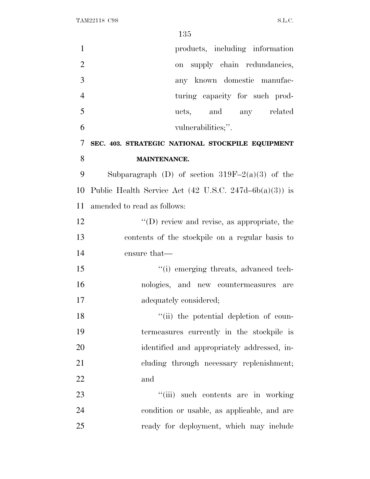| $\mathbf{1}$   | products, including information                                     |
|----------------|---------------------------------------------------------------------|
| $\overline{2}$ | supply chain redundancies,<br>on                                    |
| 3              | any known domestic manufac-                                         |
| $\overline{4}$ | turing capacity for such prod-                                      |
| 5              | ucts, and any related                                               |
| 6              | vulnerabilities;".                                                  |
| 7              | SEC. 403. STRATEGIC NATIONAL STOCKPILE EQUIPMENT                    |
| 8              | <b>MAINTENANCE.</b>                                                 |
| 9              | Subparagraph (D) of section $319F-2(a)(3)$ of the                   |
| 10             | Public Health Service Act $(42 \text{ U.S.C. } 247d - 6b(a)(3))$ is |
| 11             | amended to read as follows:                                         |
| 12             | $\lq\lq$ (D) review and revise, as appropriate, the                 |
| 13             | contents of the stockpile on a regular basis to                     |
| 14             | ensure that—                                                        |
| 15             | "(i) emerging threats, advanced tech-                               |
| 16             | nologies, and new countermeasures are                               |
| 17             | adequately considered;                                              |
| 18             | "(ii) the potential depletion of coun-                              |
| 19             | termeasures currently in the stockpile is                           |
| 20             | identified and appropriately addressed, in-                         |
| 21             | cluding through necessary replenishment;                            |
| 22             | and                                                                 |
| 23             | "(iii) such contents are in working                                 |
| 24             | condition or usable, as applicable, and are                         |
| 25             | ready for deployment, which may include                             |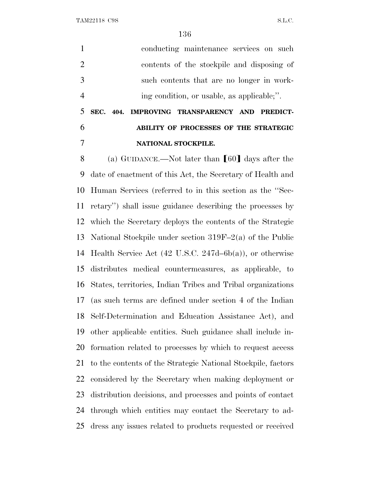conducting maintenance services on such contents of the stockpile and disposing of such contents that are no longer in work-ing condition, or usable, as applicable;''.

# **SEC. 404. IMPROVING TRANSPARENCY AND PREDICT- ABILITY OF PROCESSES OF THE STRATEGIC NATIONAL STOCKPILE.**

8 (a) GUIDANCE.—Not later than  $[60]$  days after the date of enactment of this Act, the Secretary of Health and Human Services (referred to in this section as the ''Sec- retary'') shall issue guidance describing the processes by which the Secretary deploys the contents of the Strategic National Stockpile under section 319F–2(a) of the Public Health Service Act (42 U.S.C. 247d–6b(a)), or otherwise distributes medical countermeasures, as applicable, to States, territories, Indian Tribes and Tribal organizations (as such terms are defined under section 4 of the Indian Self-Determination and Education Assistance Act), and other applicable entities. Such guidance shall include in- formation related to processes by which to request access to the contents of the Strategic National Stockpile, factors considered by the Secretary when making deployment or distribution decisions, and processes and points of contact through which entities may contact the Secretary to ad-dress any issues related to products requested or received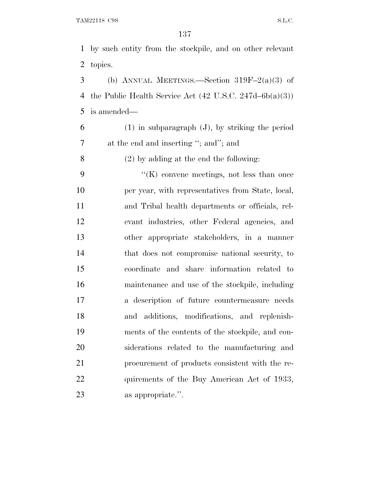by such entity from the stockpile, and on other relevant topics.

3 (b) ANNUAL MEETINGS.—Section  $319F-2(a)(3)$  of 4 the Public Health Service Act  $(42 \text{ U.S.C. } 247d - 6b(a)(3))$ is amended—

 (1) in subparagraph (J), by striking the period at the end and inserting ''; and''; and

(2) by adding at the end the following:

 ''(K) convene meetings, not less than once per year, with representatives from State, local, and Tribal health departments or officials, rel- evant industries, other Federal agencies, and other appropriate stakeholders, in a manner that does not compromise national security, to coordinate and share information related to maintenance and use of the stockpile, including a description of future countermeasure needs and additions, modifications, and replenish- ments of the contents of the stockpile, and con- siderations related to the manufacturing and procurement of products consistent with the re-22 quirements of the Buy American Act of 1933, as appropriate.''.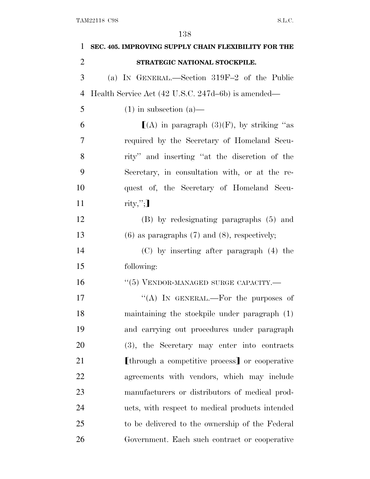| 1              | SEC. 405. IMPROVING SUPPLY CHAIN FLEXIBILITY FOR THE |
|----------------|------------------------------------------------------|
| $\overline{2}$ | STRATEGIC NATIONAL STOCKPILE.                        |
| 3              | (a) IN GENERAL.—Section 319F-2 of the Public         |
| 4              | Health Service Act (42 U.S.C. 247d–6b) is amended—   |
| 5              | $(1)$ in subsection $(a)$ —                          |
| 6              | $[(A)$ in paragraph $(3)(F)$ , by striking "as       |
| 7              | required by the Secretary of Homeland Secu-          |
| 8              | rity" and inserting "at the discretion of the        |
| 9              | Secretary, in consultation with, or at the re-       |
| 10             | quest of, the Secretary of Homeland Secu-            |
| 11             | $\text{rity}, \text{''};$                            |
| 12             | (B) by redesignating paragraphs (5) and              |
| 13             | $(6)$ as paragraphs $(7)$ and $(8)$ , respectively;  |
| 14             | $(C)$ by inserting after paragraph $(4)$ the         |
| 15             | following:                                           |
| 16             | "(5) VENDOR-MANAGED SURGE CAPACITY.-                 |
| 17             | "(A) IN GENERAL.—For the purposes of                 |
| 18             | maintaining the stockpile under paragraph (1)        |
| 19             | and carrying out procedures under paragraph          |
| 20             | (3), the Secretary may enter into contracts          |
| 21             | [through a competitive process] or cooperative       |
| 22             | agreements with vendors, which may include           |
| 23             | manufacturers or distributors of medical prod-       |
| 24             | ucts, with respect to medical products intended      |
| 25             | to be delivered to the ownership of the Federal      |
| 26             | Government. Each such contract or cooperative        |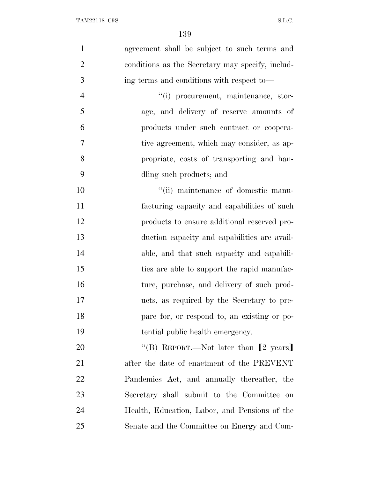| $\mathbf{1}$   | agreement shall be subject to such terms and     |
|----------------|--------------------------------------------------|
| $\overline{2}$ | conditions as the Secretary may specify, includ- |
| 3              | ing terms and conditions with respect to—        |
| $\overline{4}$ | "(i) procurement, maintenance, stor-             |
| 5              | age, and delivery of reserve amounts of          |
| 6              | products under such contract or coopera-         |
| $\overline{7}$ | tive agreement, which may consider, as ap-       |
| 8              | propriate, costs of transporting and han-        |
| 9              | dling such products; and                         |
| 10             | "(ii) maintenance of domestic manu-              |
| 11             | facturing capacity and capabilities of such      |
| 12             | products to ensure additional reserved pro-      |
| 13             | duction capacity and capabilities are avail-     |
| 14             | able, and that such capacity and capabili-       |
| 15             | ties are able to support the rapid manufac-      |
| 16             | ture, purchase, and delivery of such prod-       |
| 17             | ucts, as required by the Secretary to pre-       |
| 18             | pare for, or respond to, an existing or po-      |
| 19             | tential public health emergency.                 |
| 20             | "(B) REPORT.—Not later than $[2 \text{ years}]$  |
| 21             | after the date of enactment of the PREVENT       |
| 22             | Pandemics Act, and annually thereafter, the      |
| 23             | Secretary shall submit to the Committee on       |
| 24             | Health, Education, Labor, and Pensions of the    |
| 25             | Senate and the Committee on Energy and Com-      |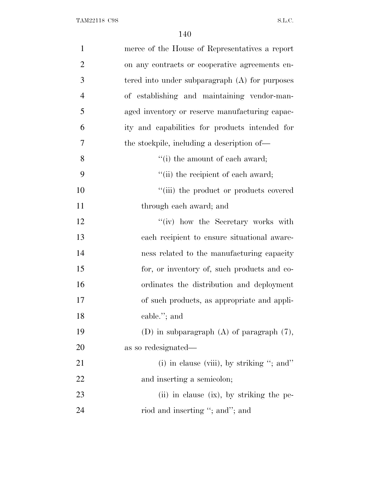| $\mathbf{1}$   | merce of the House of Representatives a report   |
|----------------|--------------------------------------------------|
| $\overline{2}$ | on any contracts or cooperative agreements en-   |
| 3              | tered into under subparagraph $(A)$ for purposes |
| $\overline{4}$ | of establishing and maintaining vendor-man-      |
| 5              | aged inventory or reserve manufacturing capac-   |
| 6              | ity and capabilities for products intended for   |
| 7              | the stockpile, including a description of—       |
| 8              | "(i) the amount of each award;                   |
| 9              | "(ii) the recipient of each award;               |
| 10             | "(iii) the product or products covered           |
| 11             | through each award; and                          |
| 12             | "(iv) how the Secretary works with               |
| 13             | each recipient to ensure situational aware-      |
| 14             | ness related to the manufacturing capacity       |
| 15             | for, or inventory of, such products and co-      |
| 16             | ordinates the distribution and deployment        |
| 17             | of such products, as appropriate and appli-      |
| 18             | cable."; and                                     |
| 19             | (D) in subparagraph $(A)$ of paragraph $(7)$ ,   |
| 20             | as so redesignated—                              |
| 21             | (i) in clause (viii), by striking "; and"        |
| 22             | and inserting a semicolon;                       |
| 23             | (ii) in clause (ix), by striking the pe-         |
| 24             | riod and inserting "; and"; and                  |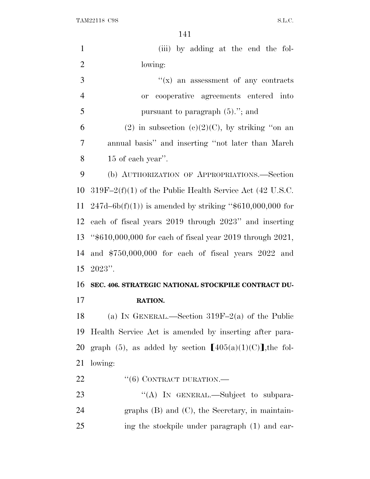| $\mathbf{1}$   | (iii) by adding at the end the fol-                           |
|----------------|---------------------------------------------------------------|
| $\overline{2}$ | lowing:                                                       |
| 3              | $f(x)$ an assessment of any contracts                         |
| $\overline{4}$ | cooperative agreements entered into<br>or                     |
| 5              | pursuant to paragraph $(5)$ ."; and                           |
| 6              | (2) in subsection (c)(2)(C), by striking "on an               |
| 7              | annual basis" and inserting "not later than March"            |
| 8              | 15 of each year".                                             |
| 9              | (b) AUTHORIZATION OF APPROPRIATIONS.—Section                  |
| 10             | $319F-2(f)(1)$ of the Public Health Service Act (42 U.S.C.    |
|                | 11 247d–6b(f)(1)) is amended by striking " $$610,000,000$ for |
|                | 12 each of fiscal years 2019 through 2023" and inserting      |
| 13             | " $$610,000,000$ for each of fiscal year 2019 through 2021,   |
| 14             | and $$750,000,000$ for each of fiscal years $2022$ and        |
|                | $15 \t2023$ ".                                                |
| 16             | SEC. 406. STRATEGIC NATIONAL STOCKPILE CONTRACT DU-           |
| 17             | RATION.                                                       |
| 18             | (a) IN GENERAL.—Section $319F-2(a)$ of the Public             |
| 19             | Health Service Act is amended by inserting after para-        |
| 20             | graph (5), as added by section $[405(a)(1)(C)]$ , the fol-    |
| 21             | lowing:                                                       |
| 22             | $``(6)$ CONTRACT DURATION.—                                   |
| 23             | "(A) IN GENERAL.—Subject to subpara-                          |
| 24             | graphs $(B)$ and $(C)$ , the Secretary, in maintain-          |
| 25             | ing the stockpile under paragraph (1) and car-                |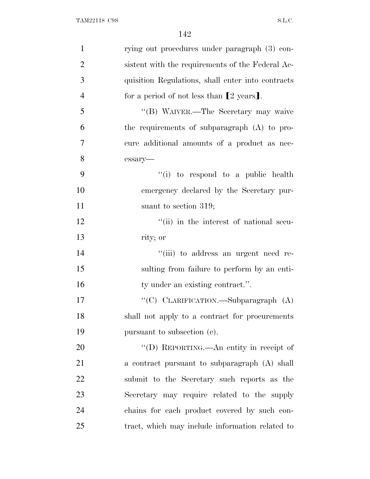| $\mathbf{1}$   | rying out procedures under paragraph (3) con-       |
|----------------|-----------------------------------------------------|
| $\overline{2}$ | sistent with the requirements of the Federal Ac-    |
| 3              | quisition Regulations, shall enter into contracts   |
| $\overline{4}$ | for a period of not less than $[2 \text{ years}]$ . |
| 5              | "(B) WAIVER.—The Secretary may waive                |
| 6              | the requirements of subparagraph (A) to pro-        |
| 7              | cure additional amounts of a product as nec-        |
| 8              | essary-                                             |
| 9              | "(i) to respond to a public health                  |
| 10             | emergency declared by the Secretary pur-            |
| 11             | suant to section $319$ ;                            |
| 12             | "(ii) in the interest of national secu-             |
| 13             | rity; or                                            |
| 14             | "(iii) to address an urgent need re-                |
| 15             | sulting from failure to perform by an enti-         |
| 16             | ty under an existing contract.".                    |
| 17             | "(C) CLARIFICATION.—Subparagraph (A)                |
| 18             | shall not apply to a contract for procurements      |
| 19             | pursuant to subsection (c).                         |
| 20             | "(D) REPORTING.—An entity in receipt of             |
| 21             | a contract pursuant to subparagraph (A) shall       |
| 22             | submit to the Secretary such reports as the         |
| 23             | Secretary may require related to the supply         |
| 24             | chains for each product covered by such con-        |
| 25             | tract, which may include information related to     |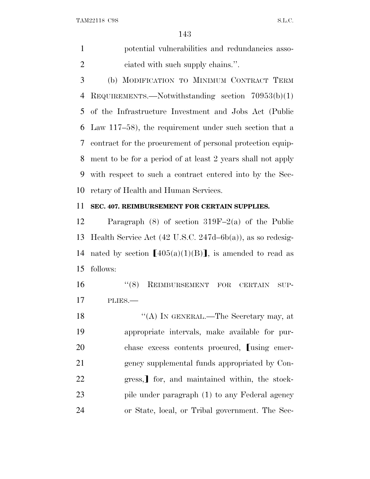potential vulnerabilities and redundancies asso-2 ciated with such supply chains.".

 (b) MODIFICATION TO MINIMUM CONTRACT TERM REQUIREMENTS.—Notwithstanding section 70953(b)(1) of the Infrastructure Investment and Jobs Act (Public Law 117–58), the requirement under such section that a contract for the procurement of personal protection equip- ment to be for a period of at least 2 years shall not apply with respect to such a contract entered into by the Sec-retary of Health and Human Services.

#### **SEC. 407. REIMBURSEMENT FOR CERTAIN SUPPLIES.**

 Paragraph (8) of section 319F–2(a) of the Public Health Service Act (42 U.S.C. 247d–6b(a)), as so redesig-14 nated by section  $[405(a)(1)(B)]$ , is amended to read as follows:

16 "(8) REIMBURSEMENT FOR CERTAIN SUP-PLIES.—

18 "(A) In GENERAL.—The Secretary may, at appropriate intervals, make available for pur-20 chase excess contents procured, some emer- gency supplemental funds appropriated by Con-22 gress, for, and maintained within, the stock-23 pile under paragraph (1) to any Federal agency or State, local, or Tribal government. The Sec-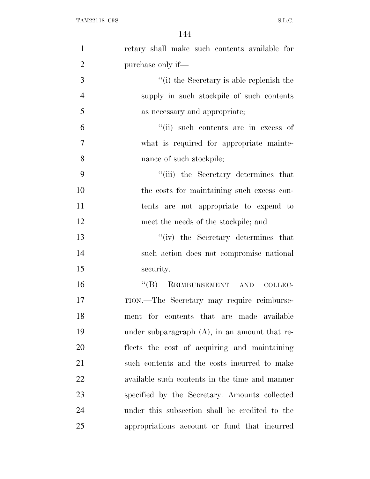| $\mathbf{1}$   | retary shall make such contents available for    |
|----------------|--------------------------------------------------|
| $\overline{2}$ | purchase only if—                                |
| 3              | "(i) the Secretary is able replenish the         |
| $\overline{4}$ | supply in such stockpile of such contents        |
| 5              | as necessary and appropriate;                    |
| 6              | "(ii) such contents are in excess of             |
| $\overline{7}$ | what is required for appropriate mainte-         |
| 8              | nance of such stockpile;                         |
| 9              | "(iii) the Secretary determines that             |
| 10             | the costs for maintaining such excess con-       |
| 11             | tents are not appropriate to expend to           |
| 12             | meet the needs of the stockpile; and             |
| 13             | "(iv) the Secretary determines that              |
| 14             | such action does not compromise national         |
| 15             | security.                                        |
| 16             | "(B) REIMBURSEMENT AND<br>COLLEC-                |
| 17             | TION.—The Secretary may require reimburse-       |
| 18             | ment for contents that are made available        |
| 19             | under subparagraph $(A)$ , in an amount that re- |
| 20             | flects the cost of acquiring and maintaining     |
| 21             | such contents and the costs incurred to make     |
| 22             | available such contents in the time and manner   |
| 23             | specified by the Secretary. Amounts collected    |
| 24             | under this subsection shall be credited to the   |
| 25             | appropriations account or fund that incurred     |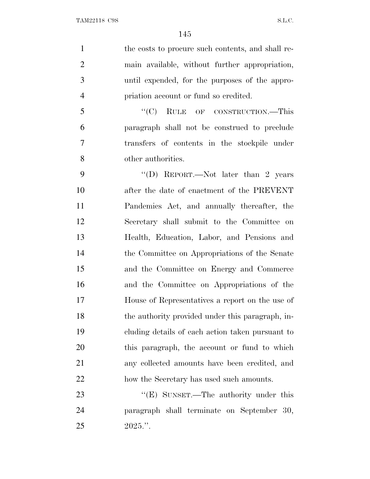1 the costs to procure such contents, and shall re- main available, without further appropriation, until expended, for the purposes of the appro- priation account or fund so credited. 5 "(C) RULE OF CONSTRUCTION.—This paragraph shall not be construed to preclude transfers of contents in the stockpile under other authorities.

9 "'(D) REPORT.—Not later than 2 years after the date of enactment of the PREVENT Pandemics Act, and annually thereafter, the Secretary shall submit to the Committee on Health, Education, Labor, and Pensions and the Committee on Appropriations of the Senate and the Committee on Energy and Commerce and the Committee on Appropriations of the House of Representatives a report on the use of the authority provided under this paragraph, in- cluding details of each action taken pursuant to this paragraph, the account or fund to which any collected amounts have been credited, and how the Secretary has used such amounts.

23 "'(E) SUNSET.—The authority under this paragraph shall terminate on September 30, 2025.''.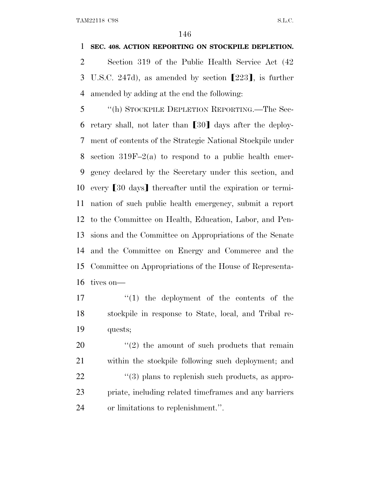### **SEC. 408. ACTION REPORTING ON STOCKPILE DEPLETION.**

 Section 319 of the Public Health Service Act (42 3 U.S.C. 247d), as amended by section  $[223]$ , is further amended by adding at the end the following:

 ''(h) STOCKPILE DEPLETION REPORTING.—The Sec-6 retary shall, not later than  $\lceil 30 \rceil$  days after the deploy- ment of contents of the Strategic National Stockpile under section 319F–2(a) to respond to a public health emer- gency declared by the Secretary under this section, and 10 every [30 days] thereafter until the expiration or termi- nation of such public health emergency, submit a report to the Committee on Health, Education, Labor, and Pen- sions and the Committee on Appropriations of the Senate and the Committee on Energy and Commerce and the Committee on Appropriations of the House of Representa-tives on—

17  $\frac{17}{2}$   $\frac{17}{2}$  the deployment of the contents of the stockpile in response to State, local, and Tribal re-quests;

 $\frac{1}{2}$  the amount of such products that remain within the stockpile following such deployment; and 22 ''(3) plans to replenish such products, as appro- priate, including related timeframes and any barriers or limitations to replenishment.''.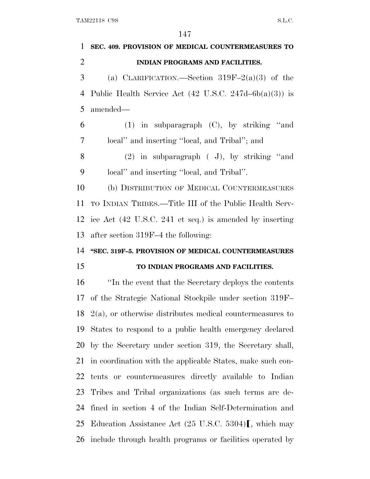**SEC. 409. PROVISION OF MEDICAL COUNTERMEASURES TO INDIAN PROGRAMS AND FACILITIES.** 3 (a) CLARIFICATION.—Section  $319F-2(a)(3)$  of the Public Health Service Act (42 U.S.C. 247d–6b(a)(3)) is amended— (1) in subparagraph (C), by striking ''and local'' and inserting ''local, and Tribal''; and (2) in subparagraph ( J), by striking ''and local'' and inserting ''local, and Tribal''. (b) DISTRIBUTION OF MEDICAL COUNTERMEASURES TO INDIAN TRIBES.—Title III of the Public Health Serv- ice Act (42 U.S.C. 241 et seq.) is amended by inserting after section 319F–4 the following: **''SEC. 319F–5. PROVISION OF MEDICAL COUNTERMEASURES TO INDIAN PROGRAMS AND FACILITIES.** ''In the event that the Secretary deploys the contents of the Strategic National Stockpile under section 319F– 2(a), or otherwise distributes medical countermeasures to States to respond to a public health emergency declared by the Secretary under section 319, the Secretary shall, in coordination with the applicable States, make such con- tents or countermeasures directly available to Indian Tribes and Tribal organizations (as such terms are de- fined in section 4 of the Indian Self-Determination and 25 Education Assistance Act  $(25 \text{ U.S.C. } 5304)$ , which may include through health programs or facilities operated by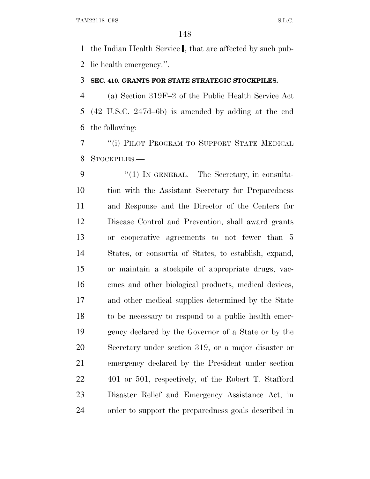1 the Indian Health Service], that are affected by such pub-lic health emergency.''.

#### **SEC. 410. GRANTS FOR STATE STRATEGIC STOCKPILES.**

 (a) Section 319F–2 of the Public Health Service Act (42 U.S.C. 247d–6b) is amended by adding at the end the following:

 ''(i) PILOT PROGRAM TO SUPPORT STATE MEDICAL STOCKPILES.—

9 "(1) IN GENERAL.—The Secretary, in consulta- tion with the Assistant Secretary for Preparedness and Response and the Director of the Centers for Disease Control and Prevention, shall award grants or cooperative agreements to not fewer than 5 States, or consortia of States, to establish, expand, or maintain a stockpile of appropriate drugs, vac- cines and other biological products, medical devices, and other medical supplies determined by the State to be necessary to respond to a public health emer- gency declared by the Governor of a State or by the Secretary under section 319, or a major disaster or emergency declared by the President under section 401 or 501, respectively, of the Robert T. Stafford Disaster Relief and Emergency Assistance Act, in order to support the preparedness goals described in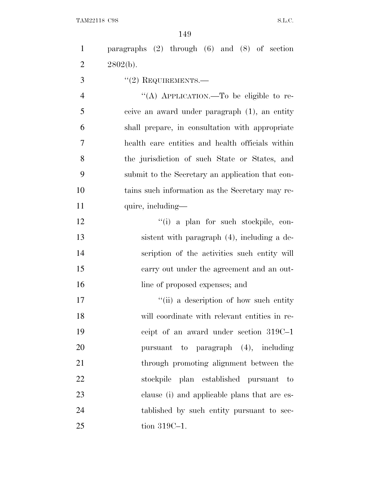paragraphs (2) through (6) and (8) of section 2  $2802(b)$ . 3 "(2) REQUIREMENTS.— 4 "(A) APPLICATION.—To be eligible to re- ceive an award under paragraph (1), an entity shall prepare, in consultation with appropriate health care entities and health officials within the jurisdiction of such State or States, and submit to the Secretary an application that con- tains such information as the Secretary may re-11 quire, including—  $\frac{1}{2}$   $\frac{1}{2}$   $\frac{1}{2}$   $\frac{1}{2}$  a plan for such stockpile, con- sistent with paragraph (4), including a de- scription of the activities such entity will carry out under the agreement and an out-16 line of proposed expenses; and  $\frac{1}{10}$  a description of how such entity

 will coordinate with relevant entities in re- ceipt of an award under section 319C–1 pursuant to paragraph (4), including through promoting alignment between the stockpile plan established pursuant to clause (i) and applicable plans that are es- tablished by such entity pursuant to sec-tion 319C–1.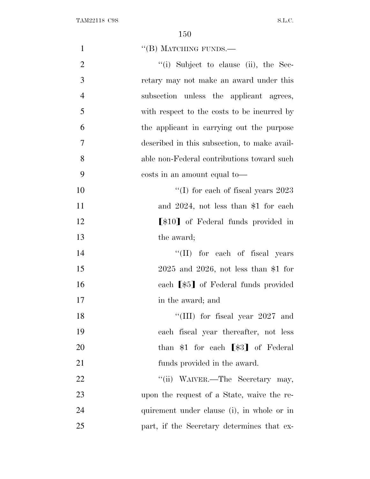| $\mathbf{1}$   | "(B) MATCHING FUNDS.—                        |
|----------------|----------------------------------------------|
| $\overline{2}$ | $``(i)$ Subject to clause (ii), the Sec-     |
| 3              | retary may not make an award under this      |
| $\overline{4}$ | subsection unless the applicant agrees,      |
| 5              | with respect to the costs to be incurred by  |
| 6              | the applicant in carrying out the purpose    |
| $\overline{7}$ | described in this subsection, to make avail- |
| 8              | able non-Federal contributions toward such   |
| 9              | costs in an amount equal to—                 |
| 10             | "(I) for each of fiscal years $2023$         |
| 11             | and $2024$ , not less than \$1 for each      |
| 12             | [\$10] of Federal funds provided in          |
| 13             | the award;                                   |
| 14             | "(II) for each of fiscal years               |
| 15             | $2025$ and $2026$ , not less than \$1 for    |
| 16             | each [\$5] of Federal funds provided         |
| 17             | in the award; and                            |
| 18             | "(III) for fiscal year $2027$ and            |
| 19             | each fiscal year thereafter, not less        |
| 20             | than $$1$ for each $[$3]$ of Federal         |
| 21             | funds provided in the award.                 |
| 22             | "(ii) WAIVER.—The Secretary may,             |
| 23             | upon the request of a State, waive the re-   |
| 24             | quirement under clause (i), in whole or in   |
| 25             | part, if the Secretary determines that ex-   |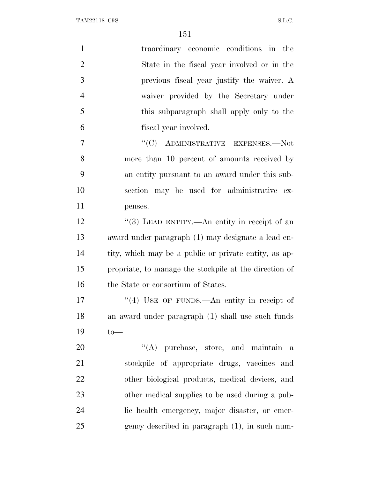| $\mathbf{1}$   | traordinary economic conditions in the                 |
|----------------|--------------------------------------------------------|
| $\overline{2}$ | State in the fiscal year involved or in the            |
| 3              | previous fiscal year justify the waiver. A             |
| $\overline{4}$ | waiver provided by the Secretary under                 |
| 5              | this subparagraph shall apply only to the              |
| 6              | fiscal year involved.                                  |
| $\overline{7}$ | "(C) ADMINISTRATIVE EXPENSES.—Not                      |
| 8              | more than 10 percent of amounts received by            |
| 9              | an entity pursuant to an award under this sub-         |
| 10             | section may be used for administrative ex-             |
| 11             | penses.                                                |
| 12             | "(3) LEAD ENTITY.—An entity in receipt of an           |
| 13             | award under paragraph (1) may designate a lead en-     |
| 14             | tity, which may be a public or private entity, as ap-  |
| 15             | propriate, to manage the stockpile at the direction of |
| 16             | the State or consortium of States.                     |
| 17             | "(4) USE OF FUNDS.—An entity in receipt of             |
| 18             | an award under paragraph (1) shall use such funds      |
| 19             | $to-$                                                  |
| 20             | $\lq\lq$ purchase, store, and maintain<br>a            |
| 21             | stockpile of appropriate drugs, vaccines and           |
| <u>22</u>      | other biological products, medical devices, and        |
| 23             | other medical supplies to be used during a pub-        |
| 24             | lic health emergency, major disaster, or emer-         |
| 25             | gency described in paragraph (1), in such num-         |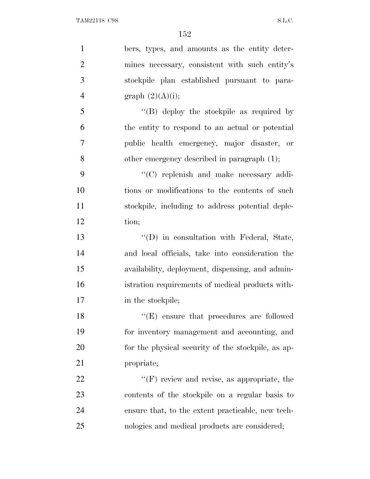| $\mathbf{1}$   | bers, types, and amounts as the entity deter-            |
|----------------|----------------------------------------------------------|
| $\overline{2}$ | mines necessary, consistent with such entity's           |
| 3              | stockpile plan established pursuant to para-             |
| $\overline{4}$ | graph $(2)(A)(i);$                                       |
| 5              | $\lq\lq (B)$ deploy the stockpile as required by         |
| 6              | the entity to respond to an actual or potential          |
| $\overline{7}$ | public health emergency, major disaster, or              |
| 8              | other emergency described in paragraph (1);              |
| 9              | "(C) replenish and make necessary addi-                  |
| 10             | tions or modifications to the contents of such           |
| 11             | stockpile, including to address potential deple-         |
| 12             | tion;                                                    |
| 13             | "(D) in consultation with Federal, State,                |
| 14             | and local officials, take into consideration the         |
| 15             | availability, deployment, dispensing, and admin-         |
| 16             | istration requirements of medical products with-         |
| 17             | in the stockpile;                                        |
| 18             | $\lq\lq(\mathbf{E})$ ensure that procedures are followed |
| 19             | for inventory management and accounting, and             |
| 20             | for the physical security of the stockpile, as ap-       |
| 21             | propriate;                                               |
| 22             | $\lq\lq(F)$ review and revise, as appropriate, the       |
| 23             | contents of the stockpile on a regular basis to          |
| 24             | ensure that, to the extent practicable, new tech-        |
| 25             | nologies and medical products are considered;            |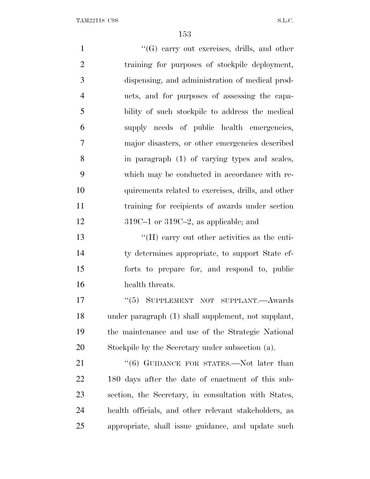1 ''(G) carry out exercises, drills, and other training for purposes of stockpile deployment, dispensing, and administration of medical prod- ucts, and for purposes of assessing the capa- bility of such stockpile to address the medical supply needs of public health emergencies, major disasters, or other emergencies described in paragraph (1) of varying types and scales, which may be conducted in accordance with re- quirements related to exercises, drills, and other training for recipients of awards under section 12 319C–1 or 319C–2, as applicable; and ''(H) carry out other activities as the enti- ty determines appropriate, to support State ef- forts to prepare for, and respond to, public health threats. 17 "(5) SUPPLEMENT NOT SUPPLANT.—Awards under paragraph (1) shall supplement, not supplant, the maintenance and use of the Strategic National Stockpile by the Secretary under subsection (a). 21 "(6) GUIDANCE FOR STATES.—Not later than 180 days after the date of enactment of this sub- section, the Secretary, in consultation with States, health officials, and other relevant stakeholders, as appropriate, shall issue guidance, and update such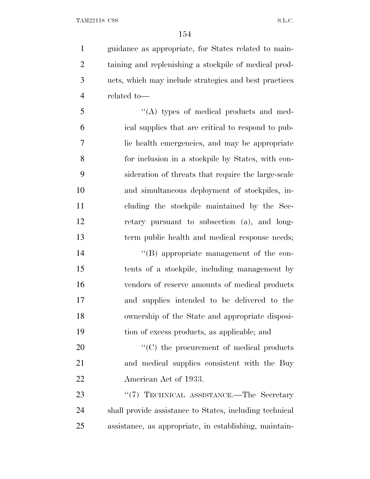guidance as appropriate, for States related to main- taining and replenishing a stockpile of medical prod- ucts, which may include strategies and best practices related to—

 ''(A) types of medical products and med- ical supplies that are critical to respond to pub- lic health emergencies, and may be appropriate for inclusion in a stockpile by States, with con- sideration of threats that require the large-scale and simultaneous deployment of stockpiles, in- cluding the stockpile maintained by the Sec- retary pursuant to subsection (a), and long-term public health and medical response needs;

 ''(B) appropriate management of the con- tents of a stockpile, including management by vendors of reserve amounts of medical products and supplies intended to be delivered to the ownership of the State and appropriate disposi-tion of excess products, as applicable; and

20  $\cdot$  (C) the procurement of medical products and medical supplies consistent with the Buy American Act of 1933.

23 "(7) TECHNICAL ASSISTANCE.—The Secretary shall provide assistance to States, including technical assistance, as appropriate, in establishing, maintain-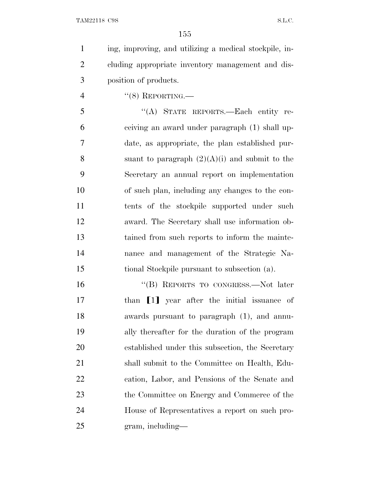ing, improving, and utilizing a medical stockpile, in- cluding appropriate inventory management and dis-position of products.

''(8) REPORTING.—

 ''(A) STATE REPORTS.—Each entity re- ceiving an award under paragraph (1) shall up- date, as appropriate, the plan established pur-8 suant to paragraph  $(2)(A)(i)$  and submit to the Secretary an annual report on implementation of such plan, including any changes to the con- tents of the stockpile supported under such award. The Secretary shall use information ob- tained from such reports to inform the mainte- nance and management of the Strategic Na-tional Stockpile pursuant to subsection (a).

16 "(B) REPORTS TO CONGRESS.—Not later 17 than [1] year after the initial issuance of awards pursuant to paragraph (1), and annu- ally thereafter for the duration of the program established under this subsection, the Secretary shall submit to the Committee on Health, Edu- cation, Labor, and Pensions of the Senate and 23 the Committee on Energy and Commerce of the House of Representatives a report on such pro-gram, including—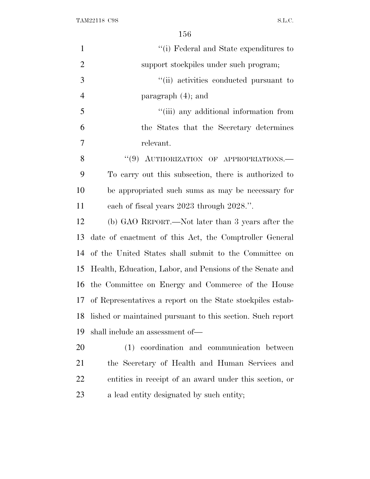| $\mathbf{1}$   | "(i) Federal and State expenditures to                        |
|----------------|---------------------------------------------------------------|
| $\overline{2}$ | support stockpiles under such program;                        |
| 3              | "(ii) activities conducted pursuant to                        |
| $\overline{4}$ | paragraph $(4)$ ; and                                         |
| 5              | "(iii) any additional information from                        |
| 6              | the States that the Secretary determines                      |
| $\overline{7}$ | relevant.                                                     |
| 8              | "(9) AUTHORIZATION OF APPROPRIATIONS.-                        |
| 9              | To carry out this subsection, there is authorized to          |
| 10             | be appropriated such sums as may be necessary for             |
| 11             | each of fiscal years 2023 through 2028.".                     |
| 12             | (b) GAO REPORT.—Not later than 3 years after the              |
| 13             | date of enactment of this Act, the Comptroller General        |
| 14             | of the United States shall submit to the Committee on         |
| 15             | Health, Education, Labor, and Pensions of the Senate and      |
| 16             | the Committee on Energy and Commerce of the House             |
|                | 17 of Representatives a report on the State stockpiles estab- |
| 18             | lished or maintained pursuant to this section. Such report    |
| 19             | shall include an assessment of—                               |
| 20             | (1) coordination and communication between                    |
| 21             | the Secretary of Health and Human Services and                |
| 22             | entities in receipt of an award under this section, or        |
| 23             | a lead entity designated by such entity;                      |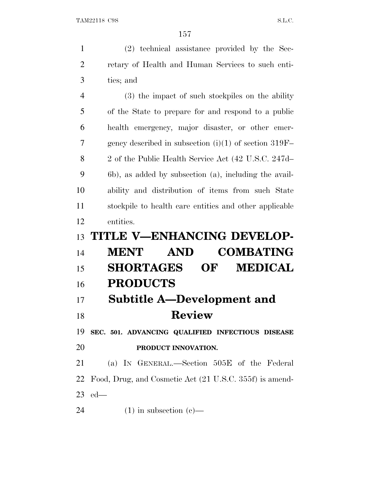(2) technical assistance provided by the Sec- retary of Health and Human Services to such enti- ties; and (3) the impact of such stockpiles on the ability of the State to prepare for and respond to a public health emergency, major disaster, or other emer- gency described in subsection (i)(1) of section 319F– 2 of the Public Health Service Act (42 U.S.C. 247d– 6b), as added by subsection (a), including the avail- ability and distribution of items from such State stockpile to health care entities and other applicable entities. **TITLE V—ENHANCING DEVELOP- MENT AND COMBATING SHORTAGES OF MEDICAL PRODUCTS Subtitle A—Development and Review SEC. 501. ADVANCING QUALIFIED INFECTIOUS DISEASE PRODUCT INNOVATION.** (a) I<sup>N</sup> GENERAL.—Section 505E of the Federal Food, Drug, and Cosmetic Act (21 U.S.C. 355f) is amend- ed— 24 (1) in subsection  $(e)$ —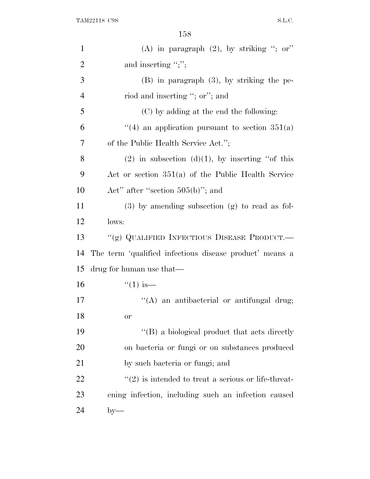| $\mathbf{1}$   | (A) in paragraph $(2)$ , by striking "; or"             |
|----------------|---------------------------------------------------------|
| $\overline{2}$ | and inserting ";";                                      |
| 3              | $(B)$ in paragraph $(3)$ , by striking the pe-          |
| $\overline{4}$ | riod and inserting "; or"; and                          |
| 5              | (C) by adding at the end the following:                 |
| 6              | "(4) an application pursuant to section $351(a)$        |
| 7              | of the Public Health Service Act.";                     |
| 8              | (2) in subsection (d)(1), by inserting "of this         |
| 9              | Act or section $351(a)$ of the Public Health Service    |
| 10             | Act" after "section $505(b)$ "; and                     |
| 11             | $(3)$ by amending subsection $(g)$ to read as fol-      |
| 12             | lows:                                                   |
| 13             | "(g) QUALIFIED INFECTIOUS DISEASE PRODUCT.—             |
| 14             | The term 'qualified infectious disease product' means a |
| 15             | drug for human use that—                                |
| 16             | $``(1)$ is—                                             |
| 17             | "(A) an antibacterial or antifungal drug;               |
| 18             | <sub>or</sub>                                           |
| 19             | "(B) a biological product that acts directly            |
| 20             | on bacteria or fungi or on substances produced          |
| 21             | by such bacteria or fungi; and                          |
| 22             | $\lq(2)$ is intended to treat a serious or life-threat- |
| 23             | ening infection, including such an infection caused     |
| 24             | $by-$                                                   |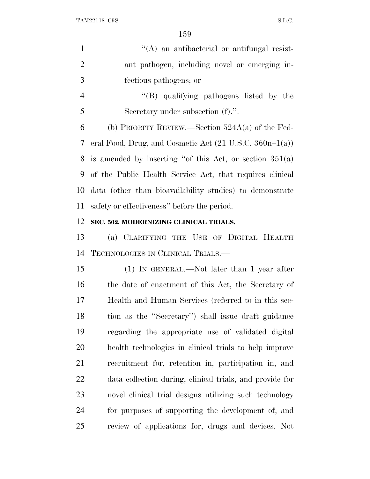$'$ (A) an antibacterial or antifungal resist- ant pathogen, including novel or emerging in- fectious pathogens; or ''(B) qualifying pathogens listed by the Secretary under subsection (f).''. 6 (b) PRIORITY REVIEW.—Section  $524A(a)$  of the Fed- eral Food, Drug, and Cosmetic Act (21 U.S.C. 360n–1(a)) is amended by inserting ''of this Act, or section 351(a) of the Public Health Service Act, that requires clinical data (other than bioavailability studies) to demonstrate safety or effectiveness'' before the period. **SEC. 502. MODERNIZING CLINICAL TRIALS.** (a) CLARIFYING THE USE OF DIGITAL HEALTH

TECHNOLOGIES IN CLINICAL TRIALS.—

 (1) IN GENERAL.—Not later than 1 year after the date of enactment of this Act, the Secretary of Health and Human Services (referred to in this sec- tion as the ''Secretary'') shall issue draft guidance regarding the appropriate use of validated digital health technologies in clinical trials to help improve recruitment for, retention in, participation in, and data collection during, clinical trials, and provide for novel clinical trial designs utilizing such technology for purposes of supporting the development of, and review of applications for, drugs and devices. Not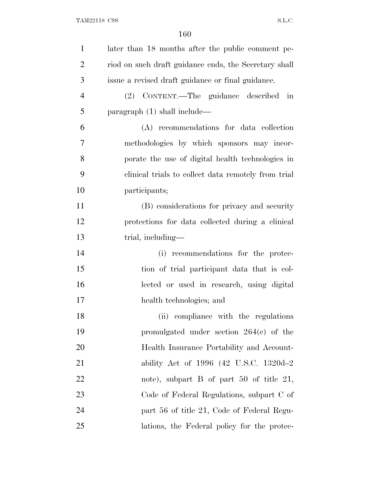| $\mathbf{1}$   | later than 18 months after the public comment pe-     |
|----------------|-------------------------------------------------------|
| $\overline{2}$ | riod on such draft guidance ends, the Secretary shall |
| 3              | issue a revised draft guidance or final guidance.     |
| $\overline{4}$ | (2) CONTENT.—The guidance described<br>in             |
| 5              | paragraph $(1)$ shall include—                        |
| 6              | (A) recommendations for data collection               |
| 7              | methodologies by which sponsors may incor-            |
| 8              | porate the use of digital health technologies in      |
| 9              | clinical trials to collect data remotely from trial   |
| 10             | participants;                                         |
| 11             | (B) considerations for privacy and security           |
| 12             | protections for data collected during a clinical      |
| 13             | trial, including—                                     |
| 14             | recommendations for the protec-<br>(i)                |
| 15             | tion of trial participant data that is col-           |
| 16             | lected or used in research, using digital             |
| 17             | health technologies; and                              |
| 18             | (ii) compliance with the regulations                  |
| 19             | promulgated under section $264(e)$ of the             |
| 20             | Health Insurance Portability and Account-             |
| 21             | ability Act of 1996 (42 U.S.C. 1320d-2)               |
| 22             | note), subpart B of part 50 of title 21,              |
| 23             | Code of Federal Regulations, subpart C of             |
| 24             | part 56 of title 21, Code of Federal Regu-            |
| 25             | lations, the Federal policy for the protec-           |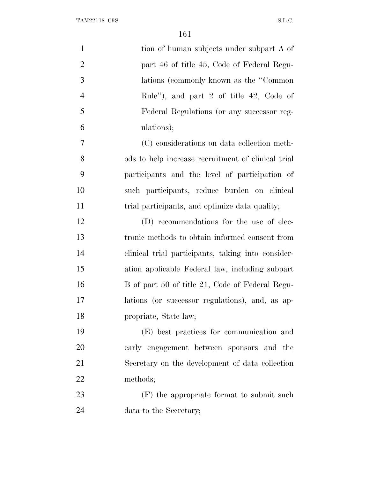| $\mathbf{1}$   | tion of human subjects under subpart A of          |
|----------------|----------------------------------------------------|
| $\overline{2}$ | part 46 of title 45, Code of Federal Regu-         |
| 3              | lations (commonly known as the "Common"            |
| $\overline{4}$ | Rule"), and part 2 of title 42, Code of            |
| 5              | Federal Regulations (or any successor reg-         |
| 6              | ulations);                                         |
| 7              | (C) considerations on data collection meth-        |
| 8              | ods to help increase recruitment of clinical trial |
| 9              | participants and the level of participation of     |
| 10             | such participants, reduce burden on clinical       |
| 11             | trial participants, and optimize data quality;     |
| 12             | (D) recommendations for the use of elec-           |
| 13             | tronic methods to obtain informed consent from     |
| 14             | clinical trial participants, taking into consider- |
| 15             | ation applicable Federal law, including subpart    |
| 16             | B of part 50 of title 21, Code of Federal Regu-    |
| 17             | lations (or successor regulations), and, as ap-    |
| 18             | propriate, State law;                              |
| 19             | (E) best practices for communication and           |
| 20             | early engagement between sponsors and the          |
| 21             | Secretary on the development of data collection    |
| 22             | methods;                                           |
| 23             | (F) the appropriate format to submit such          |
| 24             | data to the Secretary;                             |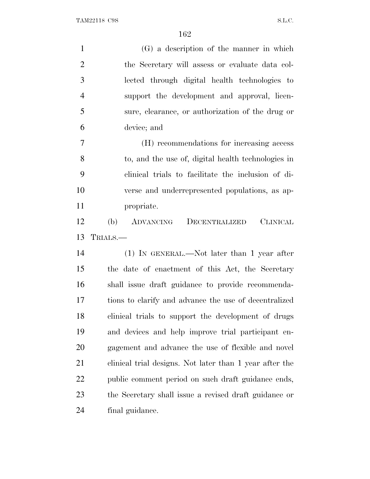| $\mathbf{1}$   | (G) a description of the manner in which                |
|----------------|---------------------------------------------------------|
| $\overline{2}$ | the Secretary will assess or evaluate data col-         |
| 3              | lected through digital health technologies to           |
| $\overline{4}$ | support the development and approval, licen-            |
| 5              | sure, elearance, or authorization of the drug or        |
| 6              | device; and                                             |
| 7              | (H) recommendations for increasing access               |
| 8              | to, and the use of, digital health technologies in      |
| 9              | clinical trials to facilitate the inclusion of di-      |
| 10             | verse and underrepresented populations, as ap-          |
| 11             | propriate.                                              |
| 12             | <b>CLINICAL</b><br>(b)<br>ADVANCING<br>DECENTRALIZED    |
| 13             | TRIALS.—                                                |
| 14             | (1) IN GENERAL.—Not later than 1 year after             |
| 15             | the date of enactment of this Act, the Secretary        |
| 16             | shall issue draft guidance to provide recommenda-       |
| 17             | tions to clarify and advance the use of decentralized   |
| 18             | clinical trials to support the development of drugs     |
| 19             | and devices and help improve trial participant en-      |
| 20             | gagement and advance the use of flexible and novel      |
| 21             | clinical trial designs. Not later than 1 year after the |
| 22             | public comment period on such draft guidance ends,      |
| 23             |                                                         |
|                | the Secretary shall issue a revised draft guidance or   |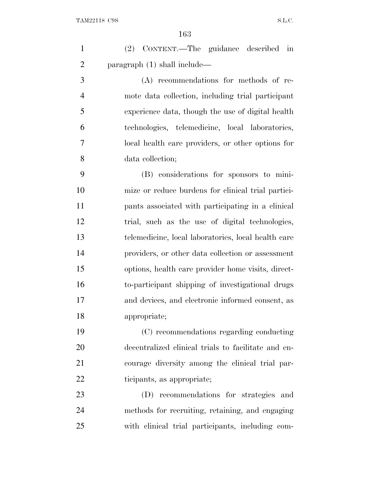| $\mathbf{1}$   | (2) CONTENT.—The guidance described in              |
|----------------|-----------------------------------------------------|
| $\overline{2}$ | paragraph $(1)$ shall include—                      |
| 3              | (A) recommendations for methods of re-              |
| $\overline{4}$ | mote data collection, including trial participant   |
| 5              | experience data, though the use of digital health   |
| 6              | technologies, telemedicine, local laboratories,     |
| 7              | local health care providers, or other options for   |
| 8              | data collection;                                    |
| 9              | (B) considerations for sponsors to mini-            |
| 10             | mize or reduce burdens for clinical trial partici-  |
| 11             | pants associated with participating in a clinical   |
| 12             | trial, such as the use of digital technologies,     |
| 13             | telemedicine, local laboratories, local health care |
| 14             | providers, or other data collection or assessment   |
| 15             | options, health care provider home visits, direct-  |
| 16             | to-participant shipping of investigational drugs    |
| 17             | and devices, and electronic informed consent, as    |
| 18             | appropriate;                                        |
| 19             | (C) recommendations regarding conducting            |
| 20             | decentralized clinical trials to facilitate and en- |
| 21             | courage diversity among the clinical trial par-     |
| 22             | ticipants, as appropriate;                          |
| 23             | (D) recommendations for strategies and              |
| 24             | methods for recruiting, retaining, and engaging     |
| 25             | with clinical trial participants, including com-    |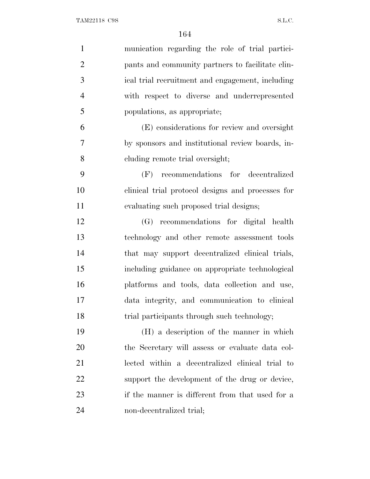| $\mathbf{1}$   | munication regarding the role of trial partici-   |
|----------------|---------------------------------------------------|
| $\overline{2}$ | pants and community partners to facilitate clin-  |
| 3              | ical trial recruitment and engagement, including  |
| $\overline{4}$ | with respect to diverse and underrepresented      |
| 5              | populations, as appropriate;                      |
| 6              | (E) considerations for review and oversight       |
| $\overline{7}$ | by sponsors and institutional review boards, in-  |
| 8              | cluding remote trial oversight;                   |
| 9              | (F) recommendations for decentralized             |
| 10             | clinical trial protocol designs and processes for |
| 11             | evaluating such proposed trial designs;           |
| 12             | (G) recommendations for digital health            |
| 13             | technology and other remote assessment tools      |
| 14             | that may support decentralized clinical trials,   |
| 15             | including guidance on appropriate technological   |
| 16             | platforms and tools, data collection and use,     |
| 17             | data integrity, and communication to clinical     |
| 18             | trial participants through such technology;       |
| 19             | (H) a description of the manner in which          |
| 20             | the Secretary will assess or evaluate data col-   |
| 21             | lected within a decentralized clinical trial to   |
| 22             | support the development of the drug or device,    |
| 23             | if the manner is different from that used for a   |
| 24             | non-decentralized trial;                          |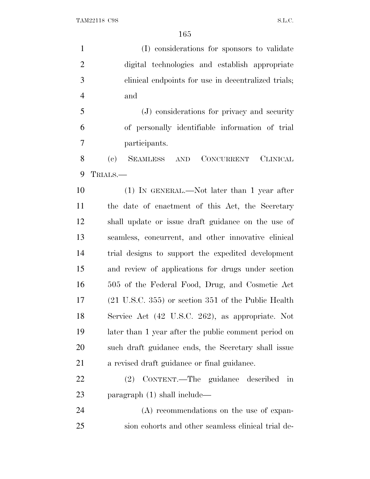(I) considerations for sponsors to validate digital technologies and establish appropriate clinical endpoints for use in decentralized trials; and (J) considerations for privacy and security of personally identifiable information of trial participants. (c) SEAMLESS AND CONCURRENT CLINICAL TRIALS.— (1) IN GENERAL.—Not later than 1 year after the date of enactment of this Act, the Secretary shall update or issue draft guidance on the use of seamless, concurrent, and other innovative clinical trial designs to support the expedited development and review of applications for drugs under section 505 of the Federal Food, Drug, and Cosmetic Act (21 U.S.C. 355) or section 351 of the Public Health Service Act (42 U.S.C. 262), as appropriate. Not later than 1 year after the public comment period on such draft guidance ends, the Secretary shall issue a revised draft guidance or final guidance. (2) CONTENT.—The guidance described in paragraph (1) shall include— (A) recommendations on the use of expan-

sion cohorts and other seamless clinical trial de-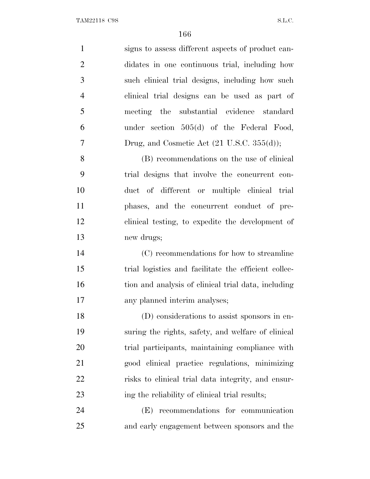signs to assess different aspects of product can- didates in one continuous trial, including how such clinical trial designs, including how such clinical trial designs can be used as part of meeting the substantial evidence standard under section 505(d) of the Federal Food, 7 Drug, and Cosmetic Act (21 U.S.C. 355(d)); (B) recommendations on the use of clinical trial designs that involve the concurrent con- duct of different or multiple clinical trial phases, and the concurrent conduct of pre- clinical testing, to expedite the development of new drugs; (C) recommendations for how to streamline trial logistics and facilitate the efficient collec- tion and analysis of clinical trial data, including any planned interim analyses; (D) considerations to assist sponsors in en- suring the rights, safety, and welfare of clinical trial participants, maintaining compliance with good clinical practice regulations, minimizing risks to clinical trial data integrity, and ensur- ing the reliability of clinical trial results; (E) recommendations for communication

and early engagement between sponsors and the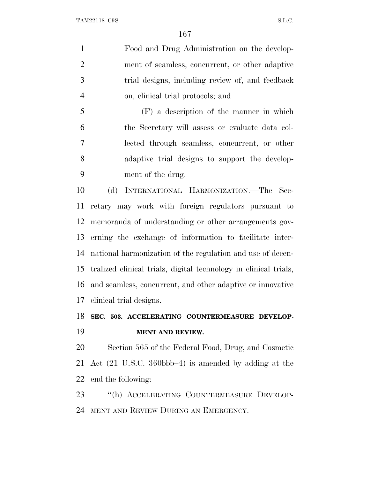Food and Drug Administration on the develop- ment of seamless, concurrent, or other adaptive trial designs, including review of, and feedback on, clinical trial protocols; and

 (F) a description of the manner in which the Secretary will assess or evaluate data col- lected through seamless, concurrent, or other adaptive trial designs to support the develop-ment of the drug.

 (d) INTERNATIONAL HARMONIZATION.—The Sec- retary may work with foreign regulators pursuant to memoranda of understanding or other arrangements gov- erning the exchange of information to facilitate inter- national harmonization of the regulation and use of decen- tralized clinical trials, digital technology in clinical trials, and seamless, concurrent, and other adaptive or innovative clinical trial designs.

## **SEC. 503. ACCELERATING COUNTERMEASURE DEVELOP-MENT AND REVIEW.**

 Section 565 of the Federal Food, Drug, and Cosmetic Act (21 U.S.C. 360bbb–4) is amended by adding at the end the following:

 ''(h) ACCELERATING COUNTERMEASURE DEVELOP-MENT AND REVIEW DURING AN EMERGENCY.—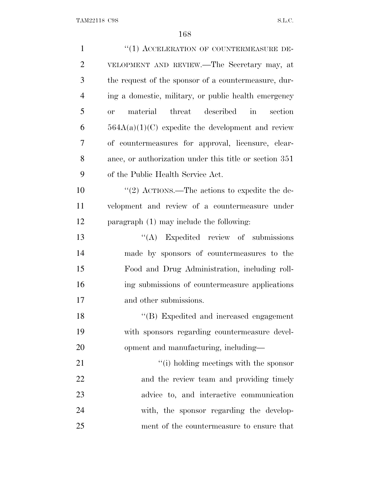| $\mathbf{1}$   | "(1) ACCELERATION OF COUNTERMEASURE DE-                 |
|----------------|---------------------------------------------------------|
| $\overline{2}$ | VELOPMENT AND REVIEW.—The Secretary may, at             |
| 3              | the request of the sponsor of a countermeasure, dur-    |
| $\overline{4}$ | ing a domestic, military, or public health emergency    |
| 5              | material<br>threat described in<br>section<br><b>or</b> |
| 6              | $564A(a)(1)(C)$ expedite the development and review     |
| 7              | of countermeasures for approval, licensure, clear-      |
| 8              | ance, or authorization under this title or section 351  |
| 9              | of the Public Health Service Act.                       |
| 10             | "(2) ACTIONS.—The actions to expedite the de-           |
| 11             | velopment and review of a countermeasure under          |
| 12             | paragraph $(1)$ may include the following:              |
| 13             | $\lq\lq$ Expedited review of submissions                |
| 14             | made by sponsors of countermeasures to the              |
| 15             | Food and Drug Administration, including roll-           |
| 16             | ing submissions of countermeasure applications          |
| 17             | and other submissions.                                  |
| 18             | "(B) Expedited and increased engagement                 |
| 19             | with sponsors regarding countermeasure devel-           |
| 20             | opment and manufacturing, including—                    |
| 21             | "(i) holding meetings with the sponsor                  |
| 22             | and the review team and providing timely                |
| 23             | advice to, and interactive communication                |
| 24             | with, the sponsor regarding the develop-                |
| 25             | ment of the countermeasure to ensure that               |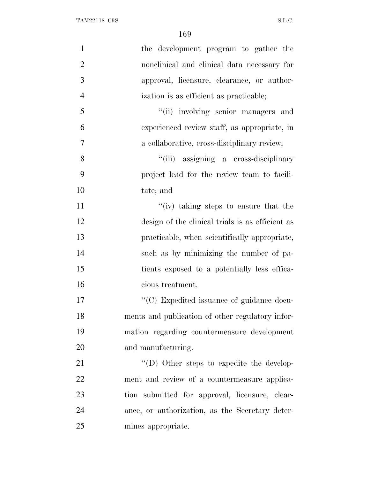| $\mathbf{1}$   | the development program to gather the            |
|----------------|--------------------------------------------------|
| $\overline{2}$ | nonclinical and clinical data necessary for      |
| 3              | approval, licensure, clearance, or author-       |
| $\overline{4}$ | ization is as efficient as practicable;          |
| 5              | "(ii) involving senior managers and              |
| 6              | experienced review staff, as appropriate, in     |
| 7              | a collaborative, cross-disciplinary review;      |
| 8              | "(iii) assigning a cross-disciplinary            |
| 9              | project lead for the review team to facili-      |
| 10             | tate; and                                        |
| 11             | "(iv) taking steps to ensure that the            |
| 12             | design of the clinical trials is as efficient as |
| 13             | practicable, when scientifically appropriate,    |
| 14             | such as by minimizing the number of pa-          |
| 15             | tients exposed to a potentially less effica-     |
| 16             | cious treatment.                                 |
| 17             | "(C) Expedited issuance of guidance docu-        |
| 18             | ments and publication of other regulatory infor- |
| 19             | mation regarding countermeasure development      |
| 20             | and manufacturing.                               |
| 21             | "(D) Other steps to expedite the develop-        |
| 22             | ment and review of a countermeasure applica-     |
| 23             | tion submitted for approval, licensure, clear-   |
| 24             | ance, or authorization, as the Secretary deter-  |
| 25             | mines appropriate.                               |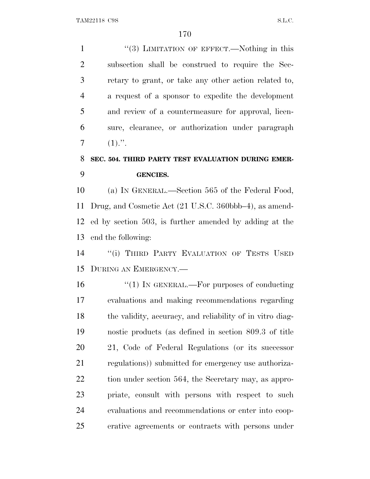1 ''(3) LIMITATION OF EFFECT.—Nothing in this subsection shall be construed to require the Sec- retary to grant, or take any other action related to, a request of a sponsor to expedite the development and review of a countermeasure for approval, licen- sure, clearance, or authorization under paragraph (1).".

# **SEC. 504. THIRD PARTY TEST EVALUATION DURING EMER-GENCIES.**

 (a) I<sup>N</sup> GENERAL.—Section 565 of the Federal Food, Drug, and Cosmetic Act (21 U.S.C. 360bbb–4), as amend- ed by section 503, is further amended by adding at the end the following:

14 "(i) THIRD PARTY EVALUATION OF TESTS USED DURING AN EMERGENCY.—

 $\frac{1}{2}$  (1) In GENERAL.—For purposes of conducting evaluations and making recommendations regarding the validity, accuracy, and reliability of in vitro diag- nostic products (as defined in section 809.3 of title 21, Code of Federal Regulations (or its successor regulations)) submitted for emergency use authoriza-22 tion under section 564, the Secretary may, as appro- priate, consult with persons with respect to such evaluations and recommendations or enter into coop-erative agreements or contracts with persons under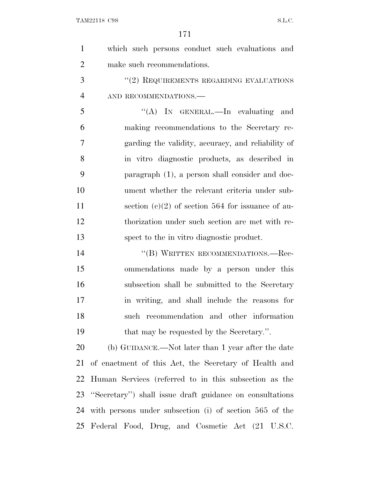| 1              | which such persons conduct such evaluations and          |
|----------------|----------------------------------------------------------|
| $\overline{2}$ | make such recommendations.                               |
| 3              | "(2) REQUIREMENTS REGARDING EVALUATIONS                  |
| $\overline{4}$ | AND RECOMMENDATIONS.-                                    |
| 5              | "(A) IN GENERAL.—In evaluating and                       |
| 6              | making recommendations to the Secretary re-              |
| 7              | garding the validity, accuracy, and reliability of       |
| 8              | in vitro diagnostic products, as described in            |
| 9              | paragraph (1), a person shall consider and doc-          |
| 10             | ument whether the relevant criteria under sub-           |
| 11             | section (c)(2) of section 564 for issuance of au-        |
| 12             | thorization under such section are met with re-          |
| 13             | spect to the in vitro diagnostic product.                |
| 14             | "(B) WRITTEN RECOMMENDATIONS.—Rec-                       |
| 15             | ommendations made by a person under this                 |
| 16             | subsection shall be submitted to the Secretary           |
| 17             | in writing, and shall include the reasons for            |
| 18             | such recommendation and other information                |
| 19             | that may be requested by the Secretary.".                |
| 20             | (b) GUIDANCE.—Not later than 1 year after the date       |
| 21             | of enactment of this Act, the Secretary of Health and    |
| 22             | Human Services (referred to in this subsection as the    |
| 23             | "Secretary") shall issue draft guidance on consultations |
| 24             | with persons under subsection (i) of section 565 of the  |
|                | 25 Federal Food, Drug, and Cosmetic Act (21 U.S.C.       |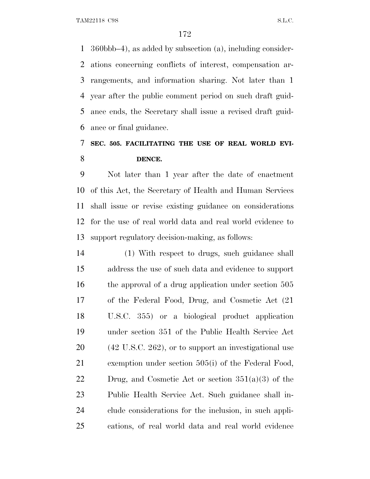360bbb–4), as added by subsection (a), including consider- ations concerning conflicts of interest, compensation ar- rangements, and information sharing. Not later than 1 year after the public comment period on such draft guid- ance ends, the Secretary shall issue a revised draft guid-ance or final guidance.

# **SEC. 505. FACILITATING THE USE OF REAL WORLD EVI-DENCE.**

 Not later than 1 year after the date of enactment of this Act, the Secretary of Health and Human Services shall issue or revise existing guidance on considerations for the use of real world data and real world evidence to support regulatory decision-making, as follows:

 (1) With respect to drugs, such guidance shall address the use of such data and evidence to support the approval of a drug application under section 505 of the Federal Food, Drug, and Cosmetic Act (21 U.S.C. 355) or a biological product application under section 351 of the Public Health Service Act (42 U.S.C. 262), or to support an investigational use exemption under section 505(i) of the Federal Food, 22 Drug, and Cosmetic Act or section  $351(a)(3)$  of the Public Health Service Act. Such guidance shall in- clude considerations for the inclusion, in such appli-cations, of real world data and real world evidence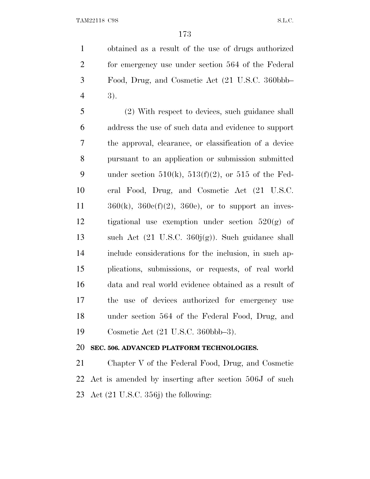obtained as a result of the use of drugs authorized for emergency use under section 564 of the Federal Food, Drug, and Cosmetic Act (21 U.S.C. 360bbb– 3).

 (2) With respect to devices, such guidance shall address the use of such data and evidence to support the approval, clearance, or classification of a device pursuant to an application or submission submitted 9 under section  $510(k)$ ,  $513(f)(2)$ , or  $515$  of the Fed- eral Food, Drug, and Cosmetic Act (21 U.S.C.  $360(k)$ ,  $360e(f)(2)$ ,  $360e$ , or to support an inves-12 tigational use exemption under section  $520(g)$  of such Act (21 U.S.C. 360j(g)). Such guidance shall include considerations for the inclusion, in such ap- plications, submissions, or requests, of real world data and real world evidence obtained as a result of the use of devices authorized for emergency use under section 564 of the Federal Food, Drug, and Cosmetic Act (21 U.S.C. 360bbb–3).

### **SEC. 506. ADVANCED PLATFORM TECHNOLOGIES.**

 Chapter V of the Federal Food, Drug, and Cosmetic Act is amended by inserting after section 506J of such Act (21 U.S.C. 356j) the following: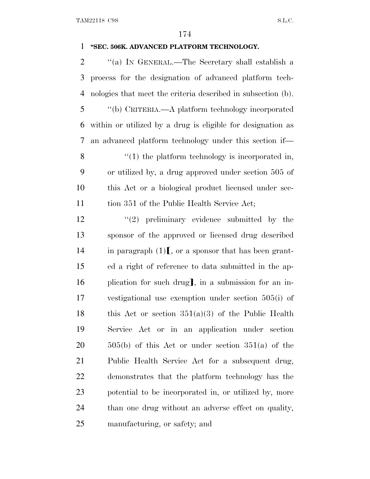#### **''SEC. 506K. ADVANCED PLATFORM TECHNOLOGY.**

 ''(a) I<sup>N</sup> GENERAL.—The Secretary shall establish a process for the designation of advanced platform tech- nologies that meet the criteria described in subsection (b). ''(b) CRITERIA.—A platform technology incorporated within or utilized by a drug is eligible for designation as an advanced platform technology under this section if— 8 "(1) the platform technology is incorporated in, or utilized by, a drug approved under section 505 of this Act or a biological product licensed under sec-11 tion 351 of the Public Health Service Act; 12 ''(2) preliminary evidence submitted by the sponsor of the approved or licensed drug described 14 in paragraph  $(1)$ , or a sponsor that has been grant- ed a right of reference to data submitted in the ap-16 plication for such drug, in a submission for an in- vestigational use exemption under section 505(i) of 18 this Act or section  $351(a)(3)$  of the Public Health Service Act or in an application under section  $20 \qquad 505(b)$  of this Act or under section  $351(a)$  of the Public Health Service Act for a subsequent drug, demonstrates that the platform technology has the potential to be incorporated in, or utilized by, more

than one drug without an adverse effect on quality,

manufacturing, or safety; and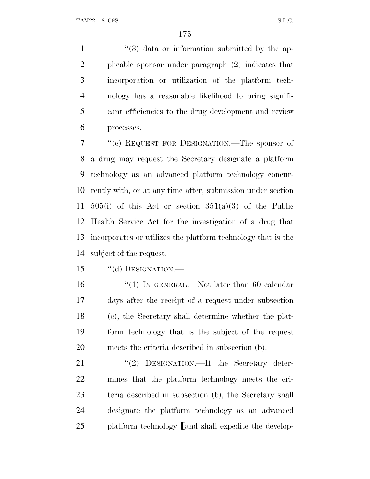$\frac{1}{3}$   $\frac{1}{3}$  data or information submitted by the ap- plicable sponsor under paragraph (2) indicates that incorporation or utilization of the platform tech- nology has a reasonable likelihood to bring signifi- cant efficiencies to the drug development and review processes.

 ''(c) REQUEST FOR DESIGNATION.—The sponsor of a drug may request the Secretary designate a platform technology as an advanced platform technology concur- rently with, or at any time after, submission under section 11 505(i) of this Act or section  $351(a)(3)$  of the Public Health Service Act for the investigation of a drug that incorporates or utilizes the platform technology that is the subject of the request.

15 "(d) DESIGNATION.—

16 "(1) IN GENERAL.—Not later than 60 calendar days after the receipt of a request under subsection (c), the Secretary shall determine whether the plat- form technology that is the subject of the request meets the criteria described in subsection (b).

21 ''(2) DESIGNATION.—If the Secretary deter- mines that the platform technology meets the cri- teria described in subsection (b), the Secretary shall designate the platform technology as an advanced platform technology and shall expedite the develop-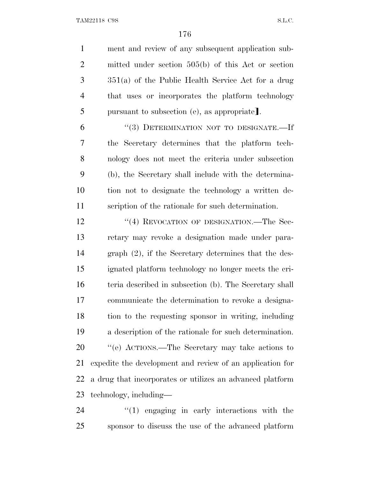ment and review of any subsequent application sub- mitted under section 505(b) of this Act or section 351(a) of the Public Health Service Act for a drug that uses or incorporates the platform technology 5 pursuant to subsection (e), as appropriate. ''(3) DETERMINATION NOT TO DESIGNATE.—If the Secretary determines that the platform tech- nology does not meet the criteria under subsection (b), the Secretary shall include with the determina- tion not to designate the technology a written de- scription of the rationale for such determination. 12 "(4) REVOCATION OF DESIGNATION.—The Sec- retary may revoke a designation made under para- graph (2), if the Secretary determines that the des- ignated platform technology no longer meets the cri- teria described in subsection (b). The Secretary shall communicate the determination to revoke a designa- tion to the requesting sponsor in writing, including a description of the rationale for such determination. ''(e) ACTIONS.—The Secretary may take actions to expedite the development and review of an application for a drug that incorporates or utilizes an advanced platform technology, including—

24  $\frac{1}{2}$  (1) engaging in early interactions with the sponsor to discuss the use of the advanced platform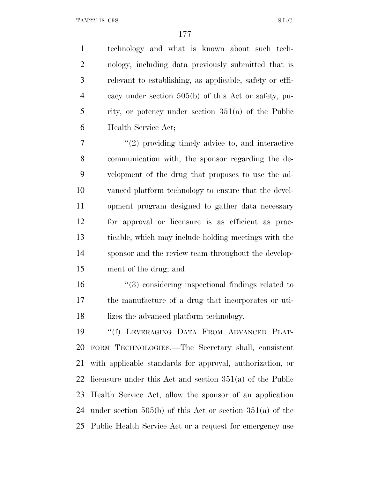technology and what is known about such tech- nology, including data previously submitted that is relevant to establishing, as applicable, safety or effi- cacy under section 505(b) of this Act or safety, pu- rity, or potency under section 351(a) of the Public Health Service Act;

 $\frac{1}{2}$  ''(2) providing timely advice to, and interactive communication with, the sponsor regarding the de- velopment of the drug that proposes to use the ad- vanced platform technology to ensure that the devel- opment program designed to gather data necessary for approval or licensure is as efficient as prac- ticable, which may include holding meetings with the sponsor and the review team throughout the develop-ment of the drug; and

 ''(3) considering inspectional findings related to the manufacture of a drug that incorporates or uti-lizes the advanced platform technology.

 ''(f) LEVERAGING DATA FROM ADVANCED PLAT- FORM TECHNOLOGIES.—The Secretary shall, consistent with applicable standards for approval, authorization, or licensure under this Act and section 351(a) of the Public Health Service Act, allow the sponsor of an application under section 505(b) of this Act or section 351(a) of the Public Health Service Act or a request for emergency use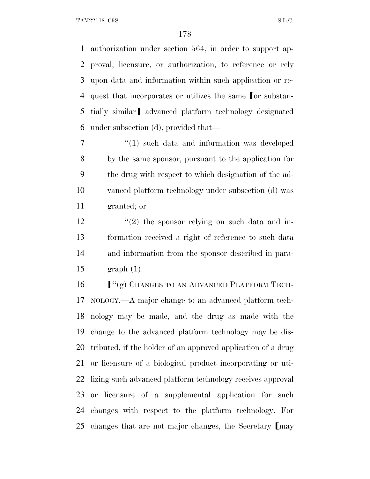authorization under section 564, in order to support ap- proval, licensure, or authorization, to reference or rely upon data and information within such application or re-4 quest that incorporates or utilizes the same or substan-5 tially similar advanced platform technology designated under subsection (d), provided that—

 $\frac{1}{1}$  such data and information was developed by the same sponsor, pursuant to the application for the drug with respect to which designation of the ad- vanced platform technology under subsection (d) was granted; or

 $\frac{12}{2}$  ''(2) the sponsor relying on such data and in- formation received a right of reference to such data and information from the sponsor described in para-graph (1).

**F**<sup>"</sup>(g) CHANGES TO AN ADVANCED PLATFORM TECH- NOLOGY.—A major change to an advanced platform tech- nology may be made, and the drug as made with the change to the advanced platform technology may be dis- tributed, if the holder of an approved application of a drug or licensure of a biological product incorporating or uti- lizing such advanced platform technology receives approval or licensure of a supplemental application for such changes with respect to the platform technology. For 25 changes that are not major changes, the Secretary  $\lceil \max \rceil$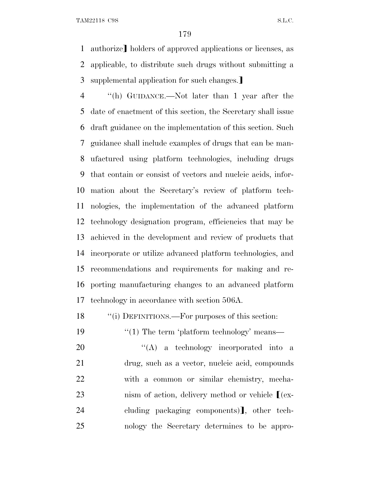1 authorize] holders of approved applications or licenses, as applicable, to distribute such drugs without submitting a 3 supplemental application for such changes.

 ''(h) GUIDANCE.—Not later than 1 year after the date of enactment of this section, the Secretary shall issue draft guidance on the implementation of this section. Such guidance shall include examples of drugs that can be man- ufactured using platform technologies, including drugs that contain or consist of vectors and nucleic acids, infor- mation about the Secretary's review of platform tech- nologies, the implementation of the advanced platform technology designation program, efficiencies that may be achieved in the development and review of products that incorporate or utilize advanced platform technologies, and recommendations and requirements for making and re- porting manufacturing changes to an advanced platform technology in accordance with section 506A.

18 ""(i) DEFINITIONS.—For purposes of this section:

19 ''(1) The term 'platform technology' means—

20 "'(A) a technology incorporated into a drug, such as a vector, nucleic acid, compounds with a common or similar chemistry, mecha-23 nism of action, delivery method or vehicle  $[(ex-$ 24 cluding packaging components), other tech-nology the Secretary determines to be appro-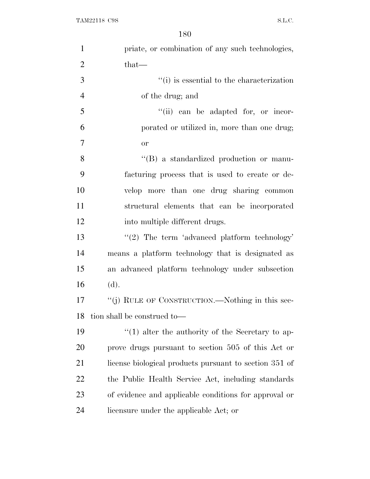| $\mathbf{1}$   | priate, or combination of any such technologies,        |
|----------------|---------------------------------------------------------|
| $\overline{2}$ | $that-$                                                 |
| 3              | $\lq\lq$ (i) is essential to the characterization       |
| $\overline{4}$ | of the drug; and                                        |
| 5              | "(ii) can be adapted for, or incor-                     |
| 6              | porated or utilized in, more than one drug;             |
| $\overline{7}$ | <b>or</b>                                               |
| 8              | "(B) a standardized production or manu-                 |
| 9              | facturing process that is used to create or de-         |
| 10             | velop more than one drug sharing common                 |
| 11             | structural elements that can be incorporated            |
| 12             | into multiple different drugs.                          |
| 13             | $\lq(2)$ The term 'advanced platform technology'        |
| 14             | means a platform technology that is designated as       |
| 15             | an advanced platform technology under subsection        |
| 16             | (d).                                                    |
| 17             | "(j) RULE OF CONSTRUCTION.—Nothing in this sec-         |
| 18             | tion shall be construed to—                             |
| 19             | $\cdot$ (1) alter the authority of the Secretary to ap- |
| 20             | prove drugs pursuant to section 505 of this Act or      |
| 21             | license biological products pursuant to section 351 of  |
| 22             | the Public Health Service Act, including standards      |
| 23             | of evidence and applicable conditions for approval or   |
| 24             | licensure under the applicable Act; or                  |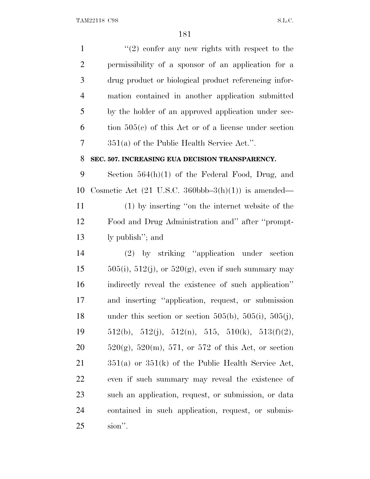$\frac{1}{2}$  confer any new rights with respect to the permissibility of a sponsor of an application for a drug product or biological product referencing infor- mation contained in another application submitted by the holder of an approved application under sec- tion  $505(c)$  of this Act or of a license under section 351(a) of the Public Health Service Act.''. **SEC. 507. INCREASING EUA DECISION TRANSPARENCY.** Section 564(h)(1) of the Federal Food, Drug, and 10 Cosmetic Act  $(21 \text{ U.S.C. } 360 \text{bbb} - 3(h)(1))$  is amended— (1) by inserting ''on the internet website of the Food and Drug Administration and'' after ''prompt- ly publish''; and (2) by striking ''application under section  $505(i)$ , 512(j), or 520(g), even if such summary may indirectly reveal the existence of such application'' and inserting ''application, request, or submission 18 under this section or section 505(b), 505(i), 505(j),  $512(b)$ ,  $512(j)$ ,  $512(n)$ ,  $515$ ,  $510(k)$ ,  $513(f)(2)$ ,  $520(g)$ ,  $520(m)$ ,  $571$ , or  $572$  of this Act, or section 351(a) or 351(k) of the Public Health Service Act, even if such summary may reveal the existence of such an application, request, or submission, or data contained in such application, request, or submis-sion''.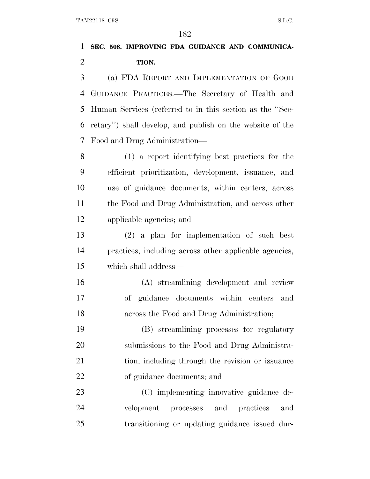## **SEC. 508. IMPROVING FDA GUIDANCE AND COMMUNICA-TION.**

 (a) FDA REPORT AND IMPLEMENTATION OF GOOD GUIDANCE PRACTICES.—The Secretary of Health and Human Services (referred to in this section as the ''Sec- retary'') shall develop, and publish on the website of the Food and Drug Administration—

 (1) a report identifying best practices for the efficient prioritization, development, issuance, and use of guidance documents, within centers, across the Food and Drug Administration, and across other applicable agencies; and

 (2) a plan for implementation of such best practices, including across other applicable agencies, which shall address—

 (A) streamlining development and review of guidance documents within centers and across the Food and Drug Administration;

 (B) streamlining processes for regulatory submissions to the Food and Drug Administra- tion, including through the revision or issuance of guidance documents; and

 (C) implementing innovative guidance de- velopment processes and practices and transitioning or updating guidance issued dur-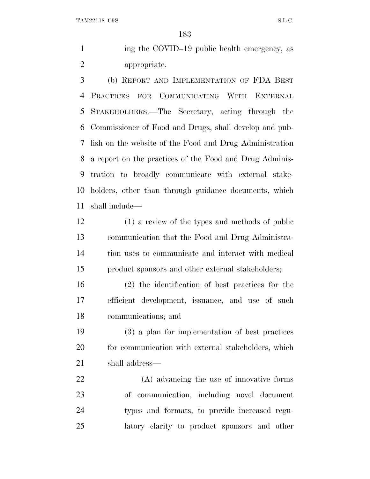1 ing the COVID–19 public health emergency, as appropriate.

 (b) REPORT AND IMPLEMENTATION OF FDA BEST PRACTICES FOR COMMUNICATING WITH EXTERNAL STAKEHOLDERS.—The Secretary, acting through the Commissioner of Food and Drugs, shall develop and pub- lish on the website of the Food and Drug Administration a report on the practices of the Food and Drug Adminis- tration to broadly communicate with external stake- holders, other than through guidance documents, which shall include—

 (1) a review of the types and methods of public communication that the Food and Drug Administra- tion uses to communicate and interact with medical product sponsors and other external stakeholders;

 (2) the identification of best practices for the efficient development, issuance, and use of such communications; and

 (3) a plan for implementation of best practices 20 for communication with external stakeholders, which shall address—

 (A) advancing the use of innovative forms of communication, including novel document types and formats, to provide increased regu-latory clarity to product sponsors and other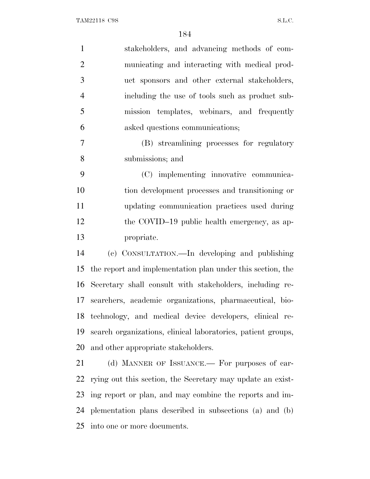| $\mathbf{1}$   | stakeholders, and advancing methods of com-                  |
|----------------|--------------------------------------------------------------|
| $\overline{2}$ | municating and interacting with medical prod-                |
| 3              | uct sponsors and other external stakeholders,                |
| $\overline{4}$ | including the use of tools such as product sub-              |
| 5              | mission templates, webinars, and frequently                  |
| 6              | asked questions communications;                              |
| $\overline{7}$ | (B) streamlining processes for regulatory                    |
| 8              | submissions; and                                             |
| 9              | (C) implementing innovative communica-                       |
| 10             | tion development processes and transitioning or              |
| 11             | updating communication practices used during                 |
| 12             | the COVID-19 public health emergency, as ap-                 |
| 13             | propriate.                                                   |
| 14             | (c) CONSULTATION.—In developing and publishing               |
| 15             | the report and implementation plan under this section, the   |
| 16             | Secretary shall consult with stakeholders, including re-     |
| 17             | searchers, academic organizations, pharmaceutical, bio-      |
| 18             | technology, and medical device developers, clinical re-      |
| 19             | search organizations, clinical laboratories, patient groups, |
| 20             | and other appropriate stakeholders.                          |
| 21             | (d) MANNER OF ISSUANCE.— For purposes of car-                |
| 22             | rying out this section, the Secretary may update an exist-   |
| 23             | ing report or plan, and may combine the reports and im-      |
| 24             | plementation plans described in subsections (a) and (b)      |

into one or more documents.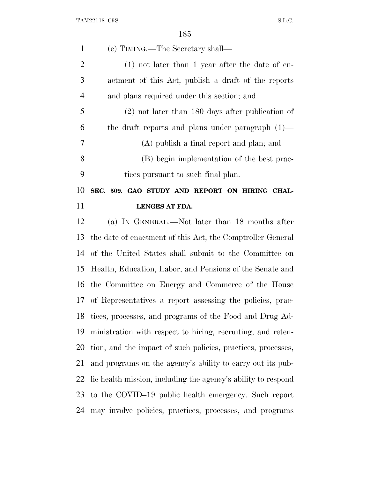| $\mathbf{1}$   | (e) TIMING.—The Secretary shall—                              |
|----------------|---------------------------------------------------------------|
| $\overline{2}$ | $(1)$ not later than 1 year after the date of en-             |
| 3              | actment of this Act, publish a draft of the reports           |
| $\overline{4}$ | and plans required under this section; and                    |
| 5              | $(2)$ not later than 180 days after publication of            |
| 6              | the draft reports and plans under paragraph $(1)$ —           |
| 7              | (A) publish a final report and plan; and                      |
| 8              | (B) begin implementation of the best prac-                    |
| 9              | tices pursuant to such final plan.                            |
| 10             | SEC. 509. GAO STUDY AND REPORT ON HIRING CHAL-                |
| 11             | <b>LENGES AT FDA.</b>                                         |
| 12             | (a) IN GENERAL.—Not later than 18 months after                |
| 13             | the date of enactment of this Act, the Comptroller General    |
| 14             | of the United States shall submit to the Committee on         |
| 15             | Health, Education, Labor, and Pensions of the Senate and      |
| 16             | the Committee on Energy and Commerce of the House             |
| 17             | of Representatives a report assessing the policies, prac-     |
| 18             | tices, processes, and programs of the Food and Drug Ad-       |
| 19             | ministration with respect to hiring, recruiting, and reten-   |
| 20             | tion, and the impact of such policies, practices, processes,  |
| 21             | and programs on the agency's ability to carry out its pub-    |
| 22             | lic health mission, including the agency's ability to respond |
| 23             |                                                               |
|                | to the COVID-19 public health emergency. Such report          |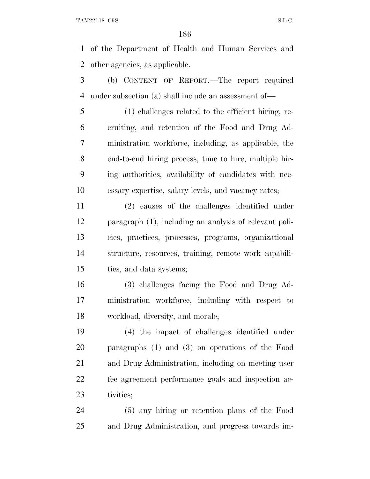of the Department of Health and Human Services and other agencies, as applicable.

 (b) CONTENT OF REPORT.—The report required under subsection (a) shall include an assessment of—

 (1) challenges related to the efficient hiring, re- cruiting, and retention of the Food and Drug Ad- ministration workforce, including, as applicable, the end-to-end hiring process, time to hire, multiple hir- ing authorities, availability of candidates with nec-essary expertise, salary levels, and vacancy rates;

 (2) causes of the challenges identified under paragraph (1), including an analysis of relevant poli- cies, practices, processes, programs, organizational structure, resources, training, remote work capabili-ties, and data systems;

 (3) challenges facing the Food and Drug Ad- ministration workforce, including with respect to workload, diversity, and morale;

 (4) the impact of challenges identified under paragraphs (1) and (3) on operations of the Food and Drug Administration, including on meeting user fee agreement performance goals and inspection ac-tivities;

 (5) any hiring or retention plans of the Food and Drug Administration, and progress towards im-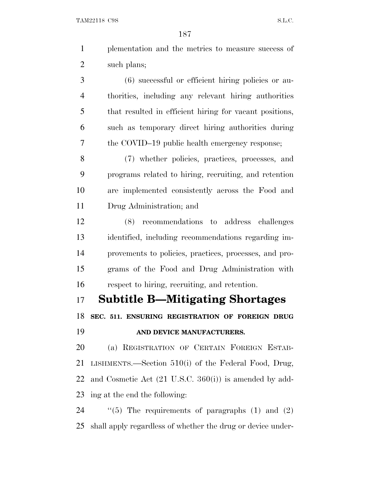| $\mathbf{1}$   | plementation and the metrics to measure success of                |
|----------------|-------------------------------------------------------------------|
| $\overline{2}$ | such plans;                                                       |
| 3              | (6) successful or efficient hiring policies or au-                |
| $\overline{4}$ | thorities, including any relevant hiring authorities              |
| 5              | that resulted in efficient hiring for vacant positions,           |
| 6              | such as temporary direct hiring authorities during                |
| 7              | the COVID-19 public health emergency response;                    |
| 8              | (7) whether policies, practices, processes, and                   |
| 9              | programs related to hiring, recruiting, and retention             |
| 10             | are implemented consistently across the Food and                  |
| 11             | Drug Administration; and                                          |
| 12             | recommendations to address challenges<br>(8)                      |
| 13             | identified, including recommendations regarding im-               |
| 14             | provements to policies, practices, processes, and pro-            |
| 15             | grams of the Food and Drug Administration with                    |
| 16             | respect to hiring, recruiting, and retention.                     |
| 17             | <b>Subtitle B-Mitigating Shortages</b>                            |
| 18             | SEC. 511. ENSURING REGISTRATION OF FOREIGN DRUG                   |
| 19             | AND DEVICE MANUFACTURERS.                                         |
| 20             | (a) REGISTRATION OF CERTAIN FOREIGN ESTAB-                        |
| 21             | LISHMENTS.—Section $510(i)$ of the Federal Food, Drug,            |
| 22             | and Cosmetic Act $(21 \text{ U.S.C. } 360(i))$ is amended by add- |
| 23             | ing at the end the following:                                     |
| 24             | "(5) The requirements of paragraphs $(1)$ and $(2)$               |
| 25             | shall apply regardless of whether the drug or device under-       |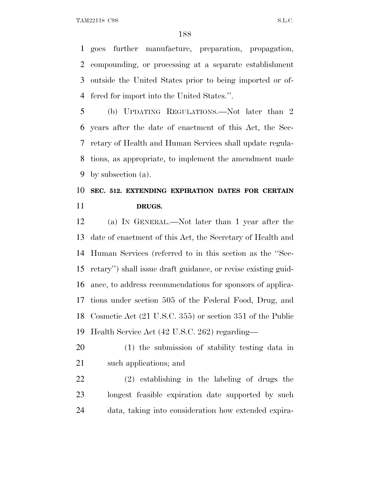goes further manufacture, preparation, propagation, compounding, or processing at a separate establishment outside the United States prior to being imported or of-fered for import into the United States.''.

5 (b) UPDATING REGULATIONS.—Not later than 2 years after the date of enactment of this Act, the Sec- retary of Health and Human Services shall update regula- tions, as appropriate, to implement the amendment made by subsection (a).

# **SEC. 512. EXTENDING EXPIRATION DATES FOR CERTAIN DRUGS.**

 (a) I<sup>N</sup> GENERAL.—Not later than 1 year after the date of enactment of this Act, the Secretary of Health and Human Services (referred to in this section as the ''Sec- retary'') shall issue draft guidance, or revise existing guid- ance, to address recommendations for sponsors of applica- tions under section 505 of the Federal Food, Drug, and Cosmetic Act (21 U.S.C. 355) or section 351 of the Public Health Service Act (42 U.S.C. 262) regarding—

 (1) the submission of stability testing data in such applications; and

 (2) establishing in the labeling of drugs the longest feasible expiration date supported by such data, taking into consideration how extended expira-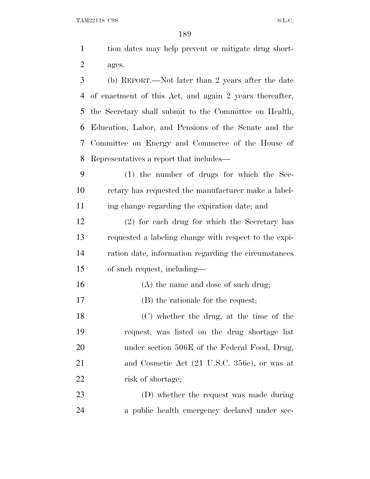| 1 | tion dates may help prevent or mitigate drug short-       |
|---|-----------------------------------------------------------|
| 2 | ages.                                                     |
| 3 | (b) REPORT.—Not later than 2 years after the date         |
|   | 4 of enactment of this Act, and again 2 years thereafter, |
|   | 5 the Secretary shall submit to the Committee on Health,  |
|   | 6 Education, Labor, and Pensions of the Senate and the    |
|   | 7 Committee on Energy and Commerce of the House of        |
|   | 8 Representatives a report that includes—                 |
|   |                                                           |

 (1) the number of drugs for which the Sec- retary has requested the manufacturer make a label-ing change regarding the expiration date; and

 (2) for each drug for which the Secretary has requested a labeling change with respect to the expi- ration date, information regarding the circumstances of such request, including—

- 16 (A) the name and dose of such drug;
- (B) the rationale for the request;

 (C) whether the drug, at the time of the request, was listed on the drug shortage list 20 under section 506E of the Federal Food, Drug, 21 and Cosmetic Act (21 U.S.C. 356e), or was at 22 risk of shortage;

 (D) whether the request was made during a public health emergency declared under sec-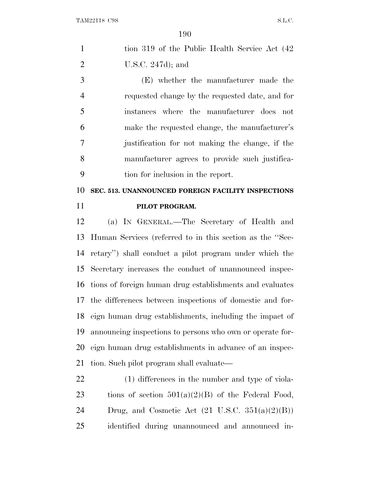|   | tion 319 of the Public Health Service Act (42) |
|---|------------------------------------------------|
| 2 | U.S.C. $247d$ ; and                            |

 (E) whether the manufacturer made the requested change by the requested date, and for instances where the manufacturer does not make the requested change, the manufacturer's justification for not making the change, if the manufacturer agrees to provide such justifica-tion for inclusion in the report.

 **SEC. 513. UNANNOUNCED FOREIGN FACILITY INSPECTIONS PILOT PROGRAM.**

 (a) I<sup>N</sup> GENERAL.—The Secretary of Health and Human Services (referred to in this section as the ''Sec- retary'') shall conduct a pilot program under which the Secretary increases the conduct of unannounced inspec- tions of foreign human drug establishments and evaluates the differences between inspections of domestic and for- eign human drug establishments, including the impact of announcing inspections to persons who own or operate for- eign human drug establishments in advance of an inspec-tion. Such pilot program shall evaluate—

 (1) differences in the number and type of viola-23 tions of section  $501(a)(2)(B)$  of the Federal Food, 24 Drug, and Cosmetic Act  $(21 \text{ U.S.C. } 351(a)(2)(B))$ identified during unannounced and announced in-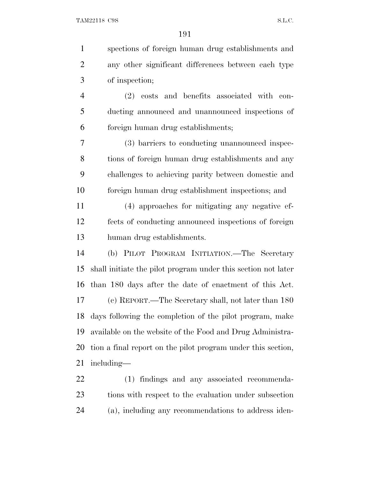spections of foreign human drug establishments and any other significant differences between each type of inspection; (2) costs and benefits associated with con- ducting announced and unannounced inspections of foreign human drug establishments; (3) barriers to conducting unannounced inspec- tions of foreign human drug establishments and any challenges to achieving parity between domestic and foreign human drug establishment inspections; and (4) approaches for mitigating any negative ef- fects of conducting announced inspections of foreign human drug establishments. (b) PILOT PROGRAM INITIATION.—The Secretary shall initiate the pilot program under this section not later than 180 days after the date of enactment of this Act. (c) REPORT.—The Secretary shall, not later than 180 days following the completion of the pilot program, make available on the website of the Food and Drug Administra- tion a final report on the pilot program under this section, including— (1) findings and any associated recommenda- tions with respect to the evaluation under subsection (a), including any recommendations to address iden-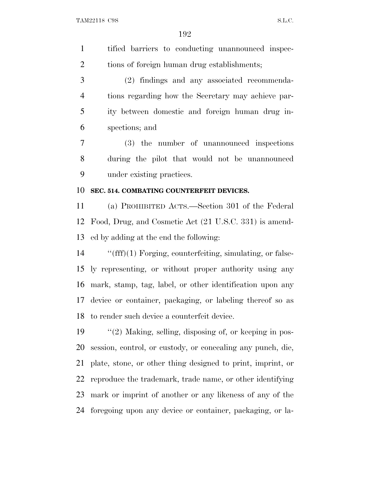tified barriers to conducting unannounced inspec-tions of foreign human drug establishments;

 (2) findings and any associated recommenda- tions regarding how the Secretary may achieve par- ity between domestic and foreign human drug in-spections; and

 (3) the number of unannounced inspections during the pilot that would not be unannounced under existing practices.

#### **SEC. 514. COMBATING COUNTERFEIT DEVICES.**

 (a) PROHIBITED ACTS.—Section 301 of the Federal Food, Drug, and Cosmetic Act (21 U.S.C. 331) is amend-ed by adding at the end the following:

 ''(fff)(1) Forging, counterfeiting, simulating, or false- ly representing, or without proper authority using any mark, stamp, tag, label, or other identification upon any device or container, packaging, or labeling thereof so as to render such device a counterfeit device.

 ''(2) Making, selling, disposing of, or keeping in pos- session, control, or custody, or concealing any punch, die, plate, stone, or other thing designed to print, imprint, or reproduce the trademark, trade name, or other identifying mark or imprint of another or any likeness of any of the foregoing upon any device or container, packaging, or la-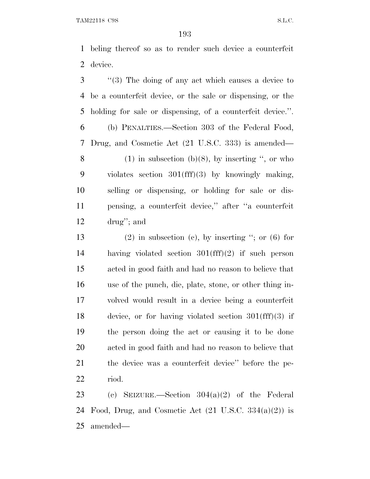beling thereof so as to render such device a counterfeit device.

 ''(3) The doing of any act which causes a device to be a counterfeit device, or the sale or dispensing, or the holding for sale or dispensing, of a counterfeit device.''.

 (b) PENALTIES.—Section 303 of the Federal Food, Drug, and Cosmetic Act (21 U.S.C. 333) is amended— 8 (1) in subsection (b)(8), by inserting  $\degree$ , or who

 violates section 301(fff)(3) by knowingly making, selling or dispensing, or holding for sale or dis- pensing, a counterfeit device,'' after ''a counterfeit drug''; and

13 (2) in subsection (c), by inserting  $\degree$ ; or (6) for having violated section 301(fff)(2) if such person acted in good faith and had no reason to believe that use of the punch, die, plate, stone, or other thing in- volved would result in a device being a counterfeit device, or for having violated section 301(fff)(3) if the person doing the act or causing it to be done acted in good faith and had no reason to believe that the device was a counterfeit device'' before the pe-riod.

 (c) SEIZURE.—Section 304(a)(2) of the Federal 24 Food, Drug, and Cosmetic Act  $(21 \text{ U.S.C. } 334(a)(2))$  is amended—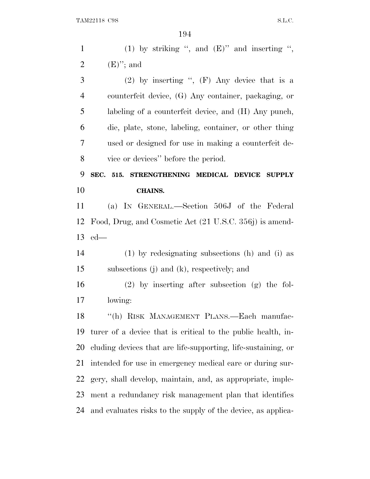| $\mathbf{1}$   | (1) by striking ", and $(E)$ " and inserting ",               |
|----------------|---------------------------------------------------------------|
| $\overline{2}$ | $(E)$ "; and                                                  |
| 3              | $(2)$ by inserting ", (F) Any device that is a                |
| $\overline{4}$ | counterfeit device, (G) Any container, packaging, or          |
| 5              | labeling of a counterfeit device, and (H) Any punch,          |
| 6              | die, plate, stone, labeling, container, or other thing        |
| 7              | used or designed for use in making a counterfeit de-          |
| 8              | vice or devices" before the period.                           |
| 9              | SEC. 515.<br>STRENGTHENING MEDICAL DEVICE SUPPLY              |
| 10             | <b>CHAINS.</b>                                                |
| 11             | (a) IN GENERAL.—Section 506J of the Federal                   |
| 12             | Food, Drug, and Cosmetic Act (21 U.S.C. 356j) is amend-       |
|                |                                                               |
| 13             | $ed$ —                                                        |
| 14             | $(1)$ by redesignating subsections (h) and (i) as             |
| 15             | subsections $(j)$ and $(k)$ , respectively; and               |
| 16             | $(2)$ by inserting after subsection $(g)$ the fol-            |
| 17             | lowing:                                                       |
| 18             | "(h) RISK MANAGEMENT PLANS.—Each manufac-                     |
| 19             | turer of a device that is critical to the public health, in-  |
| 20             | cluding devices that are life-supporting, life-sustaining, or |
| 21             | intended for use in emergency medical care or during sur-     |
| 22             | gery, shall develop, maintain, and, as appropriate, imple-    |
| 23             | ment a redundancy risk management plan that identifies        |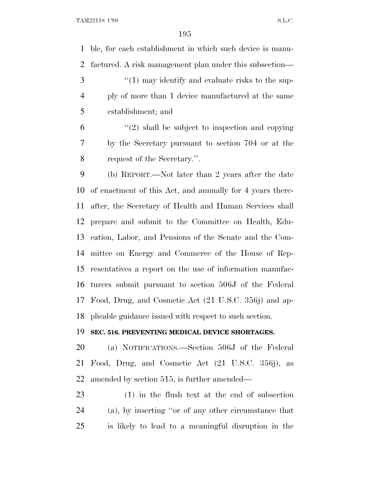ble, for each establishment in which such device is manu-factured. A risk management plan under this subsection—

3 ''(1) may identify and evaluate risks to the sup- ply of more than 1 device manufactured at the same establishment; and

 $(2)$  shall be subject to inspection and copying by the Secretary pursuant to section 704 or at the request of the Secretary.''.

 (b) REPORT.—Not later than 2 years after the date of enactment of this Act, and annually for 4 years there- after, the Secretary of Health and Human Services shall prepare and submit to the Committee on Health, Edu- cation, Labor, and Pensions of the Senate and the Com- mittee on Energy and Commerce of the House of Rep- resentatives a report on the use of information manufac- turers submit pursuant to section 506J of the Federal Food, Drug, and Cosmetic Act (21 U.S.C. 356j) and ap-plicable guidance issued with respect to such section.

#### **SEC. 516. PREVENTING MEDICAL DEVICE SHORTAGES.**

 (a) NOTIFICATIONS.—Section 506J of the Federal Food, Drug, and Cosmetic Act (21 U.S.C. 356j), as amended by section 515, is further amended—

 (1) in the flush text at the end of subsection (a), by inserting ''or of any other circumstance that is likely to lead to a meaningful disruption in the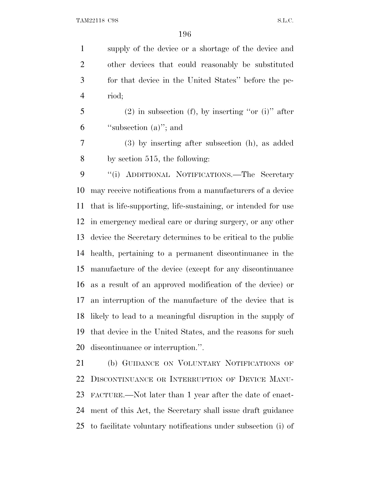supply of the device or a shortage of the device and other devices that could reasonably be substituted for that device in the United States'' before the pe-riod;

 (2) in subsection (f), by inserting "or (i)" after ''subsection (a)''; and

 (3) by inserting after subsection (h), as added by section 515, the following:

 ''(i) ADDITIONAL NOTIFICATIONS.—The Secretary may receive notifications from a manufacturers of a device that is life-supporting, life-sustaining, or intended for use in emergency medical care or during surgery, or any other device the Secretary determines to be critical to the public health, pertaining to a permanent discontinuance in the manufacture of the device (except for any discontinuance as a result of an approved modification of the device) or an interruption of the manufacture of the device that is likely to lead to a meaningful disruption in the supply of that device in the United States, and the reasons for such discontinuance or interruption.''.

 (b) GUIDANCE ON VOLUNTARY NOTIFICATIONS OF DISCONTINUANCE OR INTERRUPTION OF DEVICE MANU- FACTURE.—Not later than 1 year after the date of enact- ment of this Act, the Secretary shall issue draft guidance to facilitate voluntary notifications under subsection (i) of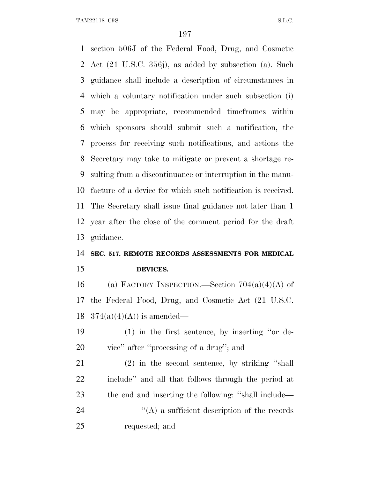section 506J of the Federal Food, Drug, and Cosmetic Act (21 U.S.C. 356j), as added by subsection (a). Such guidance shall include a description of circumstances in which a voluntary notification under such subsection (i) may be appropriate, recommended timeframes within which sponsors should submit such a notification, the process for receiving such notifications, and actions the Secretary may take to mitigate or prevent a shortage re- sulting from a discontinuance or interruption in the manu- facture of a device for which such notification is received. The Secretary shall issue final guidance not later than 1 year after the close of the comment period for the draft guidance.

### **SEC. 517. REMOTE RECORDS ASSESSMENTS FOR MEDICAL DEVICES.**

16 (a) FACTORY INSPECTION.—Section  $704(a)(4)(A)$  of the Federal Food, Drug, and Cosmetic Act (21 U.S.C. 18  $374(a)(4)(A)$  is amended—

 (1) in the first sentence, by inserting ''or de-vice'' after ''processing of a drug''; and

 (2) in the second sentence, by striking ''shall include'' and all that follows through the period at the end and inserting the following: ''shall include—  $\langle (A)$  a sufficient description of the records requested; and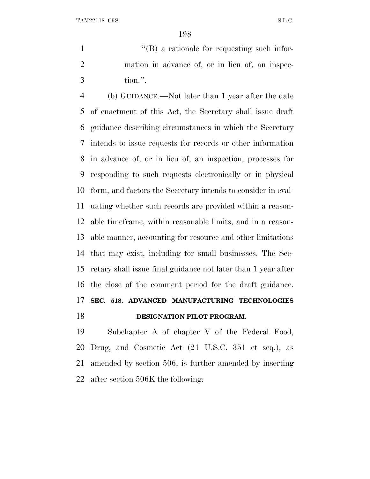1  $\langle$  (B) a rationale for requesting such infor- mation in advance of, or in lieu of, an inspec-tion.''.

 (b) GUIDANCE.—Not later than 1 year after the date of enactment of this Act, the Secretary shall issue draft guidance describing circumstances in which the Secretary intends to issue requests for records or other information in advance of, or in lieu of, an inspection, processes for responding to such requests electronically or in physical form, and factors the Secretary intends to consider in eval- uating whether such records are provided within a reason- able timeframe, within reasonable limits, and in a reason- able manner, accounting for resource and other limitations that may exist, including for small businesses. The Sec- retary shall issue final guidance not later than 1 year after the close of the comment period for the draft guidance. **SEC. 518. ADVANCED MANUFACTURING TECHNOLOGIES DESIGNATION PILOT PROGRAM.** 

 Subchapter A of chapter V of the Federal Food, Drug, and Cosmetic Act (21 U.S.C. 351 et seq.), as amended by section 506, is further amended by inserting after section 506K the following: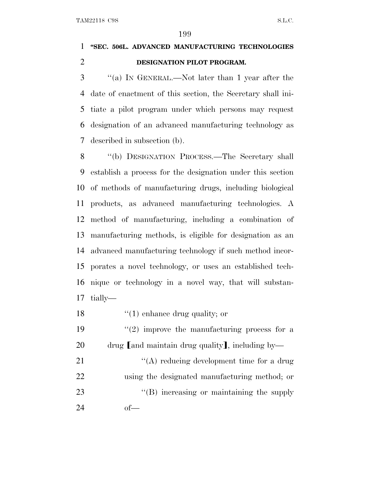### **''SEC. 506L. ADVANCED MANUFACTURING TECHNOLOGIES DESIGNATION PILOT PROGRAM.**

 ''(a) I<sup>N</sup> GENERAL.—Not later than 1 year after the date of enactment of this section, the Secretary shall ini- tiate a pilot program under which persons may request designation of an advanced manufacturing technology as described in subsection (b).

 ''(b) DESIGNATION PROCESS.—The Secretary shall establish a process for the designation under this section of methods of manufacturing drugs, including biological products, as advanced manufacturing technologies. A method of manufacturing, including a combination of manufacturing methods, is eligible for designation as an advanced manufacturing technology if such method incor- porates a novel technology, or uses an established tech- nique or technology in a novel way, that will substan-tially—

18 ''(1) enhance drug quality; or

19  $(2)$  improve the manufacturing process for a 20 drug  $[$ and maintain drug quality $]$ , including by—

21 ''(A) reducing development time for a drug using the designated manufacturing method; or 23 "'(B) increasing or maintaining the supply of—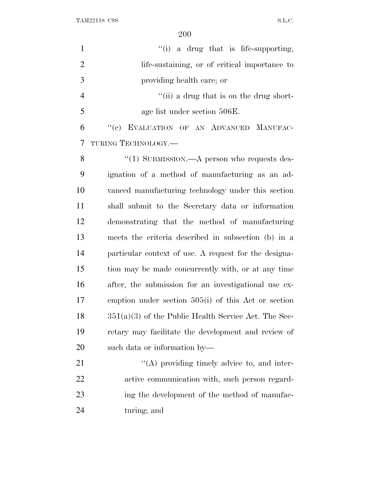| $\mathbf{1}$   | "(i) a drug that is life-supporting,                   |
|----------------|--------------------------------------------------------|
| $\overline{2}$ | life-sustaining, or of critical importance to          |
| 3              | providing health care; or                              |
| $\overline{4}$ | "(ii) a drug that is on the drug short-                |
| 5              | age list under section 506E.                           |
| 6              | "(c) EVALUATION OF AN ADVANCED MANUFAC-                |
| 7              | TURING TECHNOLOGY.-                                    |
| 8              | "(1) SUBMISSION.—A person who requests des-            |
| 9              | ignation of a method of manufacturing as an ad-        |
| 10             | vanced manufacturing technology under this section     |
| 11             | shall submit to the Secretary data or information      |
| 12             | demonstrating that the method of manufacturing         |
| 13             | meets the criteria described in subsection (b) in a    |
| 14             | particular context of use. A request for the designa-  |
| 15             | tion may be made concurrently with, or at any time     |
| 16             | after, the submission for an investigational use ex-   |
| 17             | emption under section $505(i)$ of this Act or section  |
| 18             | $351(a)(3)$ of the Public Health Service Act. The Sec- |
| 19             | retary may facilitate the development and review of    |
| 20             | such data or information by—                           |
| 21             | $\lq\lq$ providing timely advice to, and inter-        |
| 22             | active communication with, such person regard-         |
| 23             | ing the development of the method of manufac-          |
| 24             | turing; and                                            |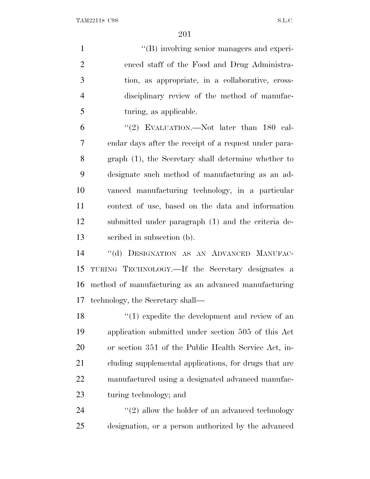$\langle$  (B) involving senior managers and experi- enced staff of the Food and Drug Administra- tion, as appropriate, in a collaborative, cross- disciplinary review of the method of manufac-turing, as applicable.

 ''(2) EVALUATION.—Not later than 180 cal- endar days after the receipt of a request under para- graph (1), the Secretary shall determine whether to designate such method of manufacturing as an ad- vanced manufacturing technology, in a particular context of use, based on the data and information submitted under paragraph (1) and the criteria de-scribed in subsection (b).

 ''(d) DESIGNATION AS AN ADVANCED MANUFAC- TURING TECHNOLOGY.—If the Secretary designates a method of manufacturing as an advanced manufacturing technology, the Secretary shall—

18 ''(1) expedite the development and review of an application submitted under section 505 of this Act or section 351 of the Public Health Service Act, in-21 cluding supplemental applications, for drugs that are manufactured using a designated advanced manufac-turing technology; and

24 ''(2) allow the holder of an advanced technology designation, or a person authorized by the advanced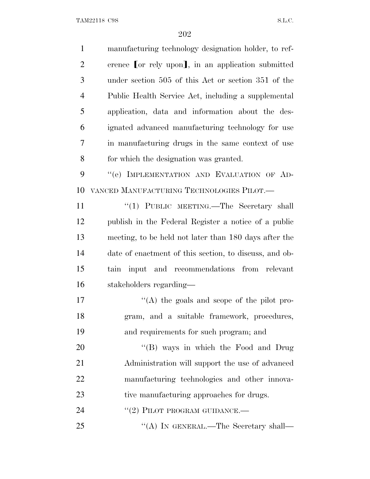| $\mathbf{1}$   | manufacturing technology designation holder, to ref-   |
|----------------|--------------------------------------------------------|
| $\overline{2}$ | erence [or rely upon], in an application submitted     |
| 3              | under section 505 of this Act or section 351 of the    |
| $\overline{4}$ | Public Health Service Act, including a supplemental    |
| 5              | application, data and information about the des-       |
| 6              | ignated advanced manufacturing technology for use      |
| 7              | in manufacturing drugs in the same context of use      |
| 8              | for which the designation was granted.                 |
| 9              | "(e) IMPLEMENTATION AND EVALUATION OF AD-              |
| 10             | VANCED MANUFACTURING TECHNOLOGIES PILOT.—              |
| 11             | "(1) PUBLIC MEETING.—The Secretary shall               |
| 12             | publish in the Federal Register a notice of a public   |
| 13             | meeting, to be held not later than 180 days after the  |
| 14             | date of enactment of this section, to discuss, and ob- |
| 15             | tain input and recommendations from relevant           |
| 16             | stakeholders regarding—                                |
| 17             | "(A) the goals and scope of the pilot pro-             |
| 18             | gram, and a suitable framework, procedures,            |
| 19             | and requirements for such program; and                 |
| 20             | "(B) ways in which the Food and Drug                   |
| 21             | Administration will support the use of advanced        |
| 22             | manufacturing technologies and other innova-           |
| 23             | tive manufacturing approaches for drugs.               |
| 24             | $``(2)$ PILOT PROGRAM GUIDANCE.—                       |
| 25             | "(A) IN GENERAL.—The Secretary shall—                  |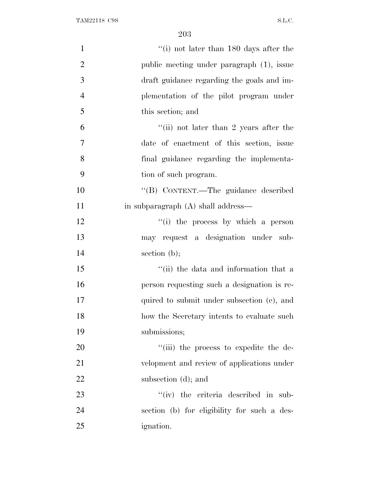| $\mathbf{1}$   | "(i) not later than 180 days after the      |
|----------------|---------------------------------------------|
| $\mathfrak{2}$ | public meeting under paragraph (1), issue   |
| 3              | draft guidance regarding the goals and im-  |
| $\overline{4}$ | plementation of the pilot program under     |
| 5              | this section; and                           |
| 6              | "(ii) not later than 2 years after the      |
| 7              | date of enactment of this section, issue    |
| 8              | final guidance regarding the implementa-    |
| 9              | tion of such program.                       |
| 10             | "(B) CONTENT.—The guidance described        |
| 11             | in subparagraph (A) shall address—          |
| 12             | "(i) the process by which a person          |
| 13             | may request a designation under sub-        |
| 14             | section $(b)$ ;                             |
| 15             | "(ii) the data and information that a       |
| 16             | person requesting such a designation is re- |
| 17             | quired to submit under subsection (c), and  |
| 18             | how the Secretary intents to evaluate such  |
| 19             | submissions;                                |
| 20             | "(iii) the process to expedite the de-      |
| 21             | velopment and review of applications under  |
| 22             | subsection (d); and                         |
| 23             | $``(iv)$ the criteria described in sub-     |
| 24             | section (b) for eligibility for such a des- |
| 25             | <i>ignation.</i>                            |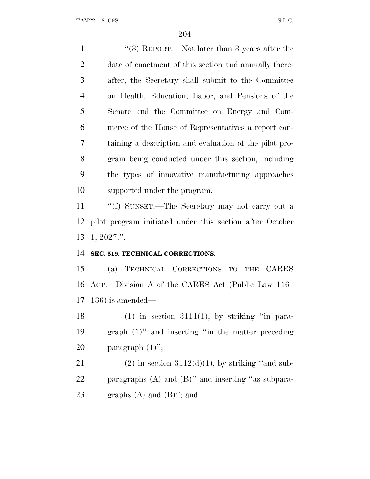1 ''(3) REPORT.—Not later than 3 years after the 2 date of enactment of this section and annually there- after, the Secretary shall submit to the Committee on Health, Education, Labor, and Pensions of the Senate and the Committee on Energy and Com- merce of the House of Representatives a report con- taining a description and evaluation of the pilot pro- gram being conducted under this section, including the types of innovative manufacturing approaches supported under the program. ''(f) SUNSET.—The Secretary may not carry out a

 pilot program initiated under this section after October 1, 2027.''.

### **SEC. 519. TECHNICAL CORRECTIONS.**

 (a) TECHNICAL CORRECTIONS TO THE CARES ACT.—Division A of the CARES Act (Public Law 116– 136) is amended—

18 (1) in section 3111(1), by striking "in para- graph (1)'' and inserting ''in the matter preceding 20 paragraph  $(1)$ ";

21 (2) in section  $3112(d)(1)$ , by striking "and sub- paragraphs (A) and (B)'' and inserting ''as subpara-23 graphs  $(A)$  and  $(B)$ "; and